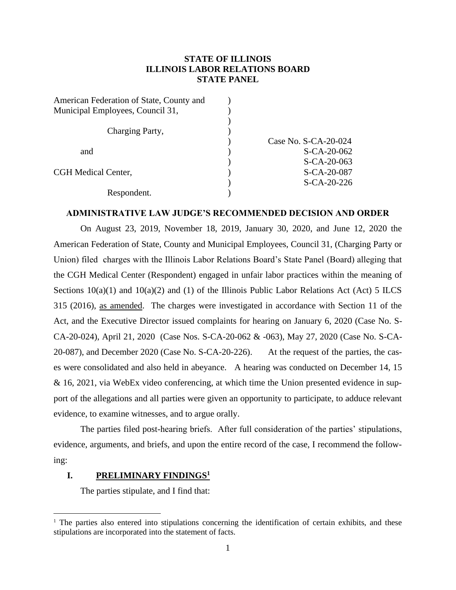# **STATE OF ILLINOIS ILLINOIS LABOR RELATIONS BOARD STATE PANEL**

| Case No. $S$ -CA-20-024 |
|-------------------------|
| $S - CA - 20 - 062$     |
| $S - CA - 20 - 063$     |
| S-CA-20-087             |
| $S - CA - 20 - 226$     |
|                         |
|                         |

## **ADMINISTRATIVE LAW JUDGE'S RECOMMENDED DECISION AND ORDER**

On August 23, 2019, November 18, 2019, January 30, 2020, and June 12, 2020 the American Federation of State, County and Municipal Employees, Council 31, (Charging Party or Union) filed charges with the Illinois Labor Relations Board's State Panel (Board) alleging that the CGH Medical Center (Respondent) engaged in unfair labor practices within the meaning of Sections  $10(a)(1)$  and  $10(a)(2)$  and (1) of the Illinois Public Labor Relations Act (Act) 5 ILCS 315 (2016), as amended. The charges were investigated in accordance with Section 11 of the Act, and the Executive Director issued complaints for hearing on January 6, 2020 (Case No. S-CA-20-024), April 21, 2020 (Case Nos. S-CA-20-062 & -063), May 27, 2020 (Case No. S-CA-20-087), and December 2020 (Case No. S-CA-20-226). At the request of the parties, the cases were consolidated and also held in abeyance. A hearing was conducted on December 14, 15 & 16, 2021, via WebEx video conferencing, at which time the Union presented evidence in support of the allegations and all parties were given an opportunity to participate, to adduce relevant evidence, to examine witnesses, and to argue orally.

The parties filed post-hearing briefs. After full consideration of the parties' stipulations, evidence, arguments, and briefs, and upon the entire record of the case, I recommend the following:

### **I. PRELIMINARY FINDINGS<sup>1</sup>**

The parties stipulate, and I find that:

 $1$  The parties also entered into stipulations concerning the identification of certain exhibits, and these stipulations are incorporated into the statement of facts.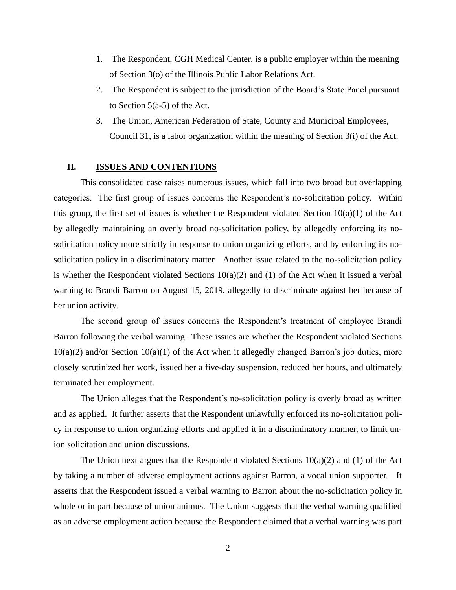- 1. The Respondent, CGH Medical Center, is a public employer within the meaning of Section 3(o) of the Illinois Public Labor Relations Act.
- 2. The Respondent is subject to the jurisdiction of the Board's State Panel pursuant to Section  $5(a-5)$  of the Act.
- 3. The Union, American Federation of State, County and Municipal Employees, Council 31, is a labor organization within the meaning of Section 3(i) of the Act.

#### **II. ISSUES AND CONTENTIONS**

This consolidated case raises numerous issues, which fall into two broad but overlapping categories. The first group of issues concerns the Respondent's no-solicitation policy. Within this group, the first set of issues is whether the Respondent violated Section 10(a)(1) of the Act by allegedly maintaining an overly broad no-solicitation policy, by allegedly enforcing its nosolicitation policy more strictly in response to union organizing efforts, and by enforcing its nosolicitation policy in a discriminatory matter. Another issue related to the no-solicitation policy is whether the Respondent violated Sections  $10(a)(2)$  and (1) of the Act when it issued a verbal warning to Brandi Barron on August 15, 2019, allegedly to discriminate against her because of her union activity.

The second group of issues concerns the Respondent's treatment of employee Brandi Barron following the verbal warning. These issues are whether the Respondent violated Sections 10(a)(2) and/or Section 10(a)(1) of the Act when it allegedly changed Barron's job duties, more closely scrutinized her work, issued her a five-day suspension, reduced her hours, and ultimately terminated her employment.

The Union alleges that the Respondent's no-solicitation policy is overly broad as written and as applied. It further asserts that the Respondent unlawfully enforced its no-solicitation policy in response to union organizing efforts and applied it in a discriminatory manner, to limit union solicitation and union discussions.

The Union next argues that the Respondent violated Sections  $10(a)(2)$  and (1) of the Act by taking a number of adverse employment actions against Barron, a vocal union supporter. It asserts that the Respondent issued a verbal warning to Barron about the no-solicitation policy in whole or in part because of union animus. The Union suggests that the verbal warning qualified as an adverse employment action because the Respondent claimed that a verbal warning was part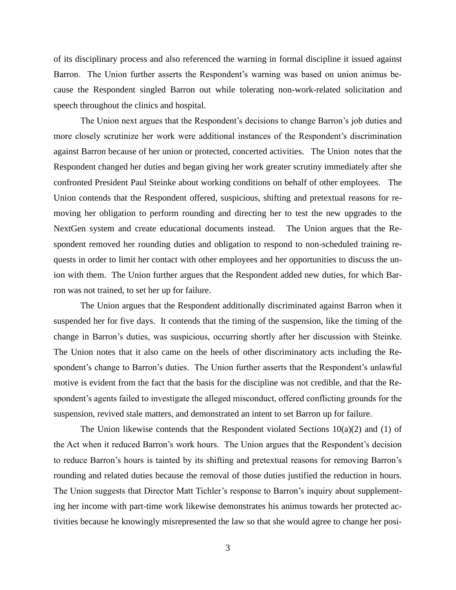of its disciplinary process and also referenced the warning in formal discipline it issued against Barron. The Union further asserts the Respondent's warning was based on union animus because the Respondent singled Barron out while tolerating non-work-related solicitation and speech throughout the clinics and hospital.

The Union next argues that the Respondent's decisions to change Barron's job duties and more closely scrutinize her work were additional instances of the Respondent's discrimination against Barron because of her union or protected, concerted activities. The Union notes that the Respondent changed her duties and began giving her work greater scrutiny immediately after she confronted President Paul Steinke about working conditions on behalf of other employees. The Union contends that the Respondent offered, suspicious, shifting and pretextual reasons for removing her obligation to perform rounding and directing her to test the new upgrades to the NextGen system and create educational documents instead. The Union argues that the Respondent removed her rounding duties and obligation to respond to non-scheduled training requests in order to limit her contact with other employees and her opportunities to discuss the union with them. The Union further argues that the Respondent added new duties, for which Barron was not trained, to set her up for failure.

The Union argues that the Respondent additionally discriminated against Barron when it suspended her for five days. It contends that the timing of the suspension, like the timing of the change in Barron's duties, was suspicious, occurring shortly after her discussion with Steinke. The Union notes that it also came on the heels of other discriminatory acts including the Respondent's change to Barron's duties. The Union further asserts that the Respondent's unlawful motive is evident from the fact that the basis for the discipline was not credible, and that the Respondent's agents failed to investigate the alleged misconduct, offered conflicting grounds for the suspension, revived stale matters, and demonstrated an intent to set Barron up for failure.

The Union likewise contends that the Respondent violated Sections  $10(a)(2)$  and (1) of the Act when it reduced Barron's work hours. The Union argues that the Respondent's decision to reduce Barron's hours is tainted by its shifting and pretextual reasons for removing Barron's rounding and related duties because the removal of those duties justified the reduction in hours. The Union suggests that Director Matt Tichler's response to Barron's inquiry about supplementing her income with part-time work likewise demonstrates his animus towards her protected activities because he knowingly misrepresented the law so that she would agree to change her posi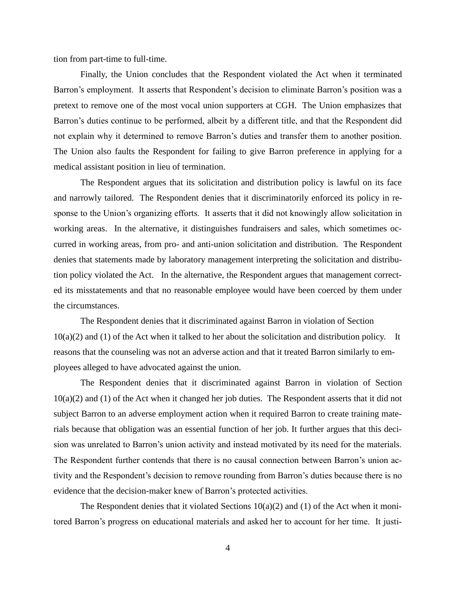tion from part-time to full-time.

Finally, the Union concludes that the Respondent violated the Act when it terminated Barron's employment. It asserts that Respondent's decision to eliminate Barron's position was a pretext to remove one of the most vocal union supporters at CGH. The Union emphasizes that Barron's duties continue to be performed, albeit by a different title, and that the Respondent did not explain why it determined to remove Barron's duties and transfer them to another position. The Union also faults the Respondent for failing to give Barron preference in applying for a medical assistant position in lieu of termination.

The Respondent argues that its solicitation and distribution policy is lawful on its face and narrowly tailored. The Respondent denies that it discriminatorily enforced its policy in response to the Union's organizing efforts. It asserts that it did not knowingly allow solicitation in working areas. In the alternative, it distinguishes fundraisers and sales, which sometimes occurred in working areas, from pro- and anti-union solicitation and distribution. The Respondent denies that statements made by laboratory management interpreting the solicitation and distribution policy violated the Act. In the alternative, the Respondent argues that management corrected its misstatements and that no reasonable employee would have been coerced by them under the circumstances.

The Respondent denies that it discriminated against Barron in violation of Section  $10(a)(2)$  and (1) of the Act when it talked to her about the solicitation and distribution policy. It reasons that the counseling was not an adverse action and that it treated Barron similarly to employees alleged to have advocated against the union.

The Respondent denies that it discriminated against Barron in violation of Section  $10(a)(2)$  and (1) of the Act when it changed her job duties. The Respondent asserts that it did not subject Barron to an adverse employment action when it required Barron to create training materials because that obligation was an essential function of her job. It further argues that this decision was unrelated to Barron's union activity and instead motivated by its need for the materials. The Respondent further contends that there is no causal connection between Barron's union activity and the Respondent's decision to remove rounding from Barron's duties because there is no evidence that the decision-maker knew of Barron's protected activities.

The Respondent denies that it violated Sections  $10(a)(2)$  and  $(1)$  of the Act when it monitored Barron's progress on educational materials and asked her to account for her time. It justi-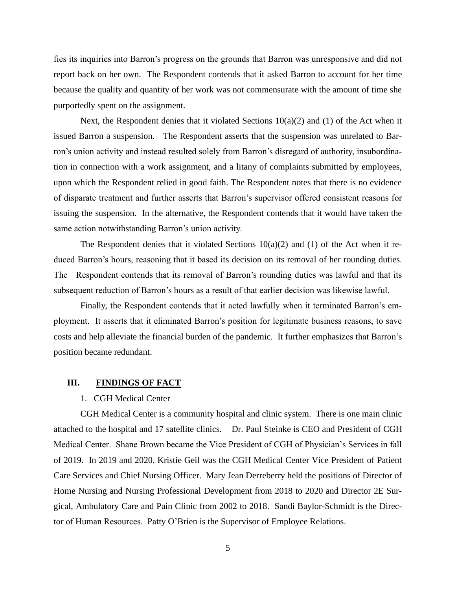fies its inquiries into Barron's progress on the grounds that Barron was unresponsive and did not report back on her own. The Respondent contends that it asked Barron to account for her time because the quality and quantity of her work was not commensurate with the amount of time she purportedly spent on the assignment.

Next, the Respondent denies that it violated Sections  $10(a)(2)$  and (1) of the Act when it issued Barron a suspension. The Respondent asserts that the suspension was unrelated to Barron's union activity and instead resulted solely from Barron's disregard of authority, insubordination in connection with a work assignment, and a litany of complaints submitted by employees, upon which the Respondent relied in good faith. The Respondent notes that there is no evidence of disparate treatment and further asserts that Barron's supervisor offered consistent reasons for issuing the suspension. In the alternative, the Respondent contends that it would have taken the same action notwithstanding Barron's union activity.

The Respondent denies that it violated Sections  $10(a)(2)$  and (1) of the Act when it reduced Barron's hours, reasoning that it based its decision on its removal of her rounding duties. The Respondent contends that its removal of Barron's rounding duties was lawful and that its subsequent reduction of Barron's hours as a result of that earlier decision was likewise lawful.

Finally, the Respondent contends that it acted lawfully when it terminated Barron's employment. It asserts that it eliminated Barron's position for legitimate business reasons, to save costs and help alleviate the financial burden of the pandemic. It further emphasizes that Barron's position became redundant.

# **III. FINDINGS OF FACT**

## 1. CGH Medical Center

CGH Medical Center is a community hospital and clinic system. There is one main clinic attached to the hospital and 17 satellite clinics. Dr. Paul Steinke is CEO and President of CGH Medical Center. Shane Brown became the Vice President of CGH of Physician's Services in fall of 2019. In 2019 and 2020, Kristie Geil was the CGH Medical Center Vice President of Patient Care Services and Chief Nursing Officer. Mary Jean Derreberry held the positions of Director of Home Nursing and Nursing Professional Development from 2018 to 2020 and Director 2E Surgical, Ambulatory Care and Pain Clinic from 2002 to 2018. Sandi Baylor-Schmidt is the Director of Human Resources. Patty O'Brien is the Supervisor of Employee Relations.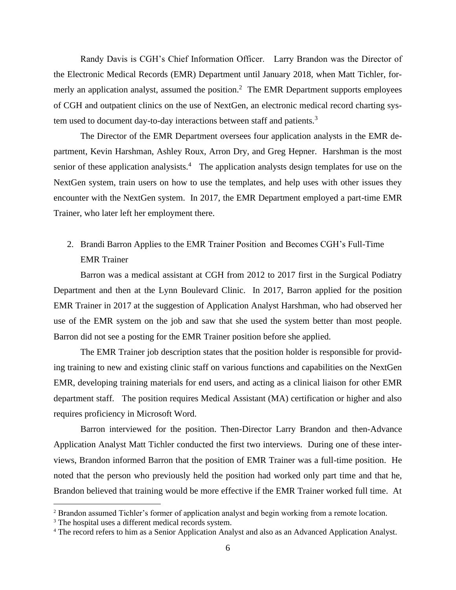Randy Davis is CGH's Chief Information Officer. Larry Brandon was the Director of the Electronic Medical Records (EMR) Department until January 2018, when Matt Tichler, formerly an application analyst, assumed the position.<sup>2</sup> The EMR Department supports employees of CGH and outpatient clinics on the use of NextGen, an electronic medical record charting system used to document day-to-day interactions between staff and patients.<sup>3</sup>

The Director of the EMR Department oversees four application analysts in the EMR department, Kevin Harshman, Ashley Roux, Arron Dry, and Greg Hepner. Harshman is the most senior of these application analysists.<sup>4</sup> The application analysts design templates for use on the NextGen system, train users on how to use the templates, and help uses with other issues they encounter with the NextGen system. In 2017, the EMR Department employed a part-time EMR Trainer, who later left her employment there.

2. Brandi Barron Applies to the EMR Trainer Position and Becomes CGH's Full-Time EMR Trainer

Barron was a medical assistant at CGH from 2012 to 2017 first in the Surgical Podiatry Department and then at the Lynn Boulevard Clinic. In 2017, Barron applied for the position EMR Trainer in 2017 at the suggestion of Application Analyst Harshman, who had observed her use of the EMR system on the job and saw that she used the system better than most people. Barron did not see a posting for the EMR Trainer position before she applied.

The EMR Trainer job description states that the position holder is responsible for providing training to new and existing clinic staff on various functions and capabilities on the NextGen EMR, developing training materials for end users, and acting as a clinical liaison for other EMR department staff. The position requires Medical Assistant (MA) certification or higher and also requires proficiency in Microsoft Word.

Barron interviewed for the position. Then-Director Larry Brandon and then-Advance Application Analyst Matt Tichler conducted the first two interviews. During one of these interviews, Brandon informed Barron that the position of EMR Trainer was a full-time position. He noted that the person who previously held the position had worked only part time and that he, Brandon believed that training would be more effective if the EMR Trainer worked full time. At

<sup>&</sup>lt;sup>2</sup> Brandon assumed Tichler's former of application analyst and begin working from a remote location.

<sup>&</sup>lt;sup>3</sup> The hospital uses a different medical records system.

<sup>4</sup> The record refers to him as a Senior Application Analyst and also as an Advanced Application Analyst.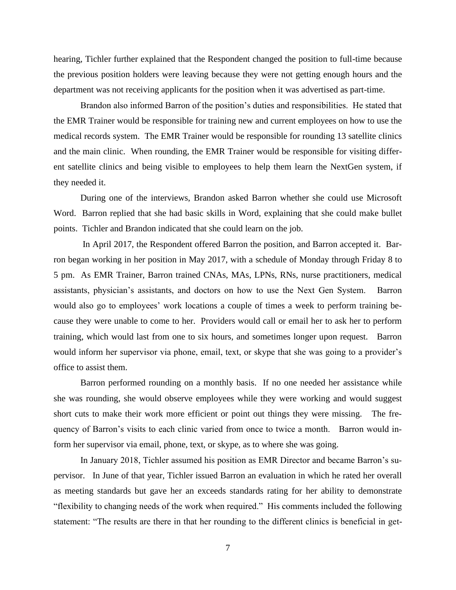hearing, Tichler further explained that the Respondent changed the position to full-time because the previous position holders were leaving because they were not getting enough hours and the department was not receiving applicants for the position when it was advertised as part-time.

Brandon also informed Barron of the position's duties and responsibilities. He stated that the EMR Trainer would be responsible for training new and current employees on how to use the medical records system. The EMR Trainer would be responsible for rounding 13 satellite clinics and the main clinic. When rounding, the EMR Trainer would be responsible for visiting different satellite clinics and being visible to employees to help them learn the NextGen system, if they needed it.

During one of the interviews, Brandon asked Barron whether she could use Microsoft Word. Barron replied that she had basic skills in Word, explaining that she could make bullet points. Tichler and Brandon indicated that she could learn on the job.

In April 2017, the Respondent offered Barron the position, and Barron accepted it. Barron began working in her position in May 2017, with a schedule of Monday through Friday 8 to 5 pm. As EMR Trainer, Barron trained CNAs, MAs, LPNs, RNs, nurse practitioners, medical assistants, physician's assistants, and doctors on how to use the Next Gen System. Barron would also go to employees' work locations a couple of times a week to perform training because they were unable to come to her. Providers would call or email her to ask her to perform training, which would last from one to six hours, and sometimes longer upon request. Barron would inform her supervisor via phone, email, text, or skype that she was going to a provider's office to assist them.

Barron performed rounding on a monthly basis. If no one needed her assistance while she was rounding, she would observe employees while they were working and would suggest short cuts to make their work more efficient or point out things they were missing. The frequency of Barron's visits to each clinic varied from once to twice a month. Barron would inform her supervisor via email, phone, text, or skype, as to where she was going.

In January 2018, Tichler assumed his position as EMR Director and became Barron's supervisor. In June of that year, Tichler issued Barron an evaluation in which he rated her overall as meeting standards but gave her an exceeds standards rating for her ability to demonstrate "flexibility to changing needs of the work when required." His comments included the following statement: "The results are there in that her rounding to the different clinics is beneficial in get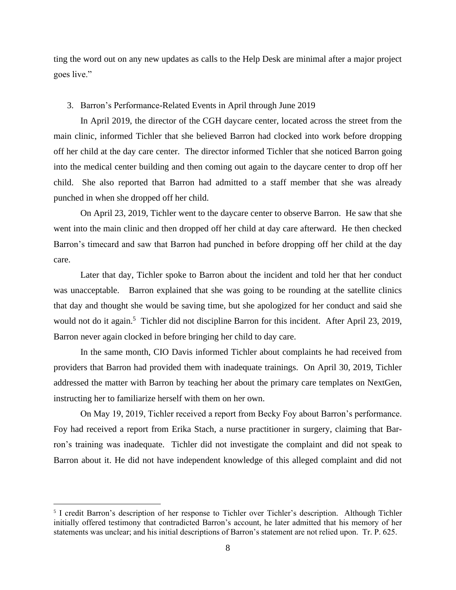ting the word out on any new updates as calls to the Help Desk are minimal after a major project goes live."

#### 3. Barron's Performance-Related Events in April through June 2019

In April 2019, the director of the CGH daycare center, located across the street from the main clinic, informed Tichler that she believed Barron had clocked into work before dropping off her child at the day care center. The director informed Tichler that she noticed Barron going into the medical center building and then coming out again to the daycare center to drop off her child. She also reported that Barron had admitted to a staff member that she was already punched in when she dropped off her child.

On April 23, 2019, Tichler went to the daycare center to observe Barron. He saw that she went into the main clinic and then dropped off her child at day care afterward. He then checked Barron's timecard and saw that Barron had punched in before dropping off her child at the day care.

Later that day, Tichler spoke to Barron about the incident and told her that her conduct was unacceptable. Barron explained that she was going to be rounding at the satellite clinics that day and thought she would be saving time, but she apologized for her conduct and said she would not do it again.<sup>5</sup> Tichler did not discipline Barron for this incident. After April 23, 2019, Barron never again clocked in before bringing her child to day care.

In the same month, CIO Davis informed Tichler about complaints he had received from providers that Barron had provided them with inadequate trainings. On April 30, 2019, Tichler addressed the matter with Barron by teaching her about the primary care templates on NextGen, instructing her to familiarize herself with them on her own.

On May 19, 2019, Tichler received a report from Becky Foy about Barron's performance. Foy had received a report from Erika Stach, a nurse practitioner in surgery, claiming that Barron's training was inadequate. Tichler did not investigate the complaint and did not speak to Barron about it. He did not have independent knowledge of this alleged complaint and did not

<sup>&</sup>lt;sup>5</sup> I credit Barron's description of her response to Tichler over Tichler's description. Although Tichler initially offered testimony that contradicted Barron's account, he later admitted that his memory of her statements was unclear; and his initial descriptions of Barron's statement are not relied upon. Tr. P. 625.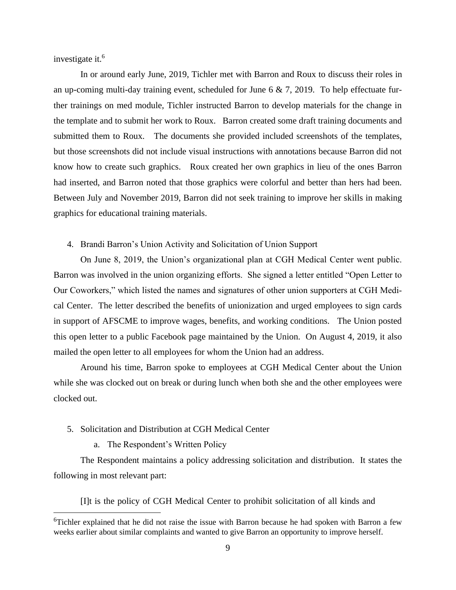investigate it.<sup>6</sup>

In or around early June, 2019, Tichler met with Barron and Roux to discuss their roles in an up-coming multi-day training event, scheduled for June 6 & 7, 2019. To help effectuate further trainings on med module, Tichler instructed Barron to develop materials for the change in the template and to submit her work to Roux. Barron created some draft training documents and submitted them to Roux. The documents she provided included screenshots of the templates, but those screenshots did not include visual instructions with annotations because Barron did not know how to create such graphics. Roux created her own graphics in lieu of the ones Barron had inserted, and Barron noted that those graphics were colorful and better than hers had been. Between July and November 2019, Barron did not seek training to improve her skills in making graphics for educational training materials.

## 4. Brandi Barron's Union Activity and Solicitation of Union Support

On June 8, 2019, the Union's organizational plan at CGH Medical Center went public. Barron was involved in the union organizing efforts. She signed a letter entitled "Open Letter to Our Coworkers," which listed the names and signatures of other union supporters at CGH Medical Center. The letter described the benefits of unionization and urged employees to sign cards in support of AFSCME to improve wages, benefits, and working conditions. The Union posted this open letter to a public Facebook page maintained by the Union. On August 4, 2019, it also mailed the open letter to all employees for whom the Union had an address.

Around his time, Barron spoke to employees at CGH Medical Center about the Union while she was clocked out on break or during lunch when both she and the other employees were clocked out.

- 5. Solicitation and Distribution at CGH Medical Center
	- a. The Respondent's Written Policy

The Respondent maintains a policy addressing solicitation and distribution. It states the following in most relevant part:

[I]t is the policy of CGH Medical Center to prohibit solicitation of all kinds and

<sup>&</sup>lt;sup>6</sup>Tichler explained that he did not raise the issue with Barron because he had spoken with Barron a few weeks earlier about similar complaints and wanted to give Barron an opportunity to improve herself.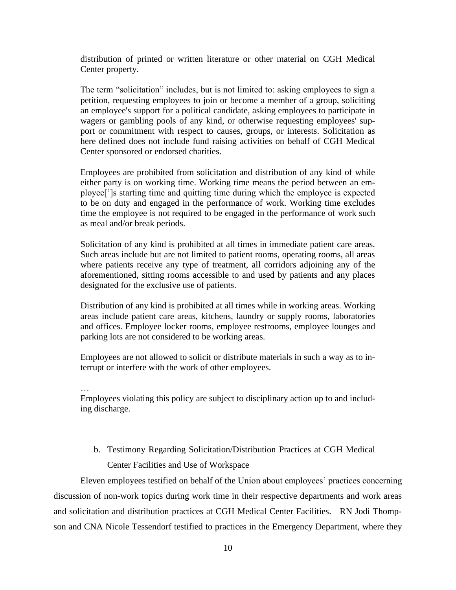distribution of printed or written literature or other material on CGH Medical Center property.

The term "solicitation" includes, but is not limited to: asking employees to sign a petition, requesting employees to join or become a member of a group, soliciting an employee's support for a political candidate, asking employees to participate in wagers or gambling pools of any kind, or otherwise requesting employees' support or commitment with respect to causes, groups, or interests. Solicitation as here defined does not include fund raising activities on behalf of CGH Medical Center sponsored or endorsed charities.

Employees are prohibited from solicitation and distribution of any kind of while either party is on working time. Working time means the period between an employee[']s starting time and quitting time during which the employee is expected to be on duty and engaged in the performance of work. Working time excludes time the employee is not required to be engaged in the performance of work such as meal and/or break periods.

Solicitation of any kind is prohibited at all times in immediate patient care areas. Such areas include but are not limited to patient rooms, operating rooms, all areas where patients receive any type of treatment, all corridors adjoining any of the aforementioned, sitting rooms accessible to and used by patients and any places designated for the exclusive use of patients.

Distribution of any kind is prohibited at all times while in working areas. Working areas include patient care areas, kitchens, laundry or supply rooms, laboratories and offices. Employee locker rooms, employee restrooms, employee lounges and parking lots are not considered to be working areas.

Employees are not allowed to solicit or distribute materials in such a way as to interrupt or interfere with the work of other employees.

…

Employees violating this policy are subject to disciplinary action up to and including discharge.

b. Testimony Regarding Solicitation/Distribution Practices at CGH Medical Center Facilities and Use of Workspace

Eleven employees testified on behalf of the Union about employees' practices concerning discussion of non-work topics during work time in their respective departments and work areas and solicitation and distribution practices at CGH Medical Center Facilities. RN Jodi Thompson and CNA Nicole Tessendorf testified to practices in the Emergency Department, where they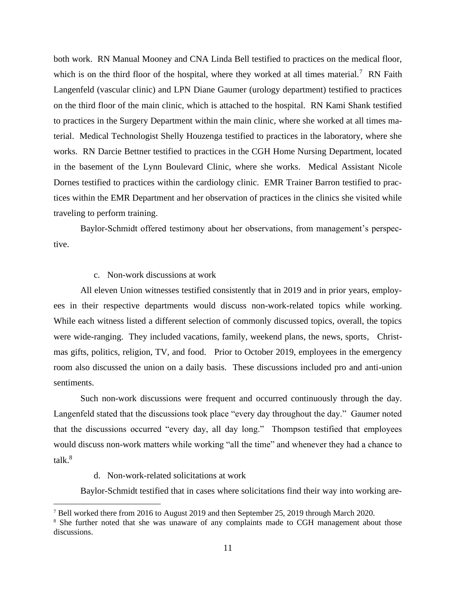both work. RN Manual Mooney and CNA Linda Bell testified to practices on the medical floor, which is on the third floor of the hospital, where they worked at all times material.<sup>7</sup> RN Faith Langenfeld (vascular clinic) and LPN Diane Gaumer (urology department) testified to practices on the third floor of the main clinic, which is attached to the hospital. RN Kami Shank testified to practices in the Surgery Department within the main clinic, where she worked at all times material. Medical Technologist Shelly Houzenga testified to practices in the laboratory, where she works. RN Darcie Bettner testified to practices in the CGH Home Nursing Department, located in the basement of the Lynn Boulevard Clinic, where she works. Medical Assistant Nicole Dornes testified to practices within the cardiology clinic. EMR Trainer Barron testified to practices within the EMR Department and her observation of practices in the clinics she visited while traveling to perform training.

Baylor-Schmidt offered testimony about her observations, from management's perspective.

## c. Non-work discussions at work

All eleven Union witnesses testified consistently that in 2019 and in prior years, employees in their respective departments would discuss non-work-related topics while working. While each witness listed a different selection of commonly discussed topics, overall, the topics were wide-ranging. They included vacations, family, weekend plans, the news, sports, Christmas gifts, politics, religion, TV, and food. Prior to October 2019, employees in the emergency room also discussed the union on a daily basis. These discussions included pro and anti-union sentiments.

Such non-work discussions were frequent and occurred continuously through the day. Langenfeld stated that the discussions took place "every day throughout the day." Gaumer noted that the discussions occurred "every day, all day long." Thompson testified that employees would discuss non-work matters while working "all the time" and whenever they had a chance to talk.<sup>8</sup>

d. Non-work-related solicitations at work

Baylor-Schmidt testified that in cases where solicitations find their way into working are-

<sup>7</sup> Bell worked there from 2016 to August 2019 and then September 25, 2019 through March 2020.

<sup>&</sup>lt;sup>8</sup> She further noted that she was unaware of any complaints made to CGH management about those discussions.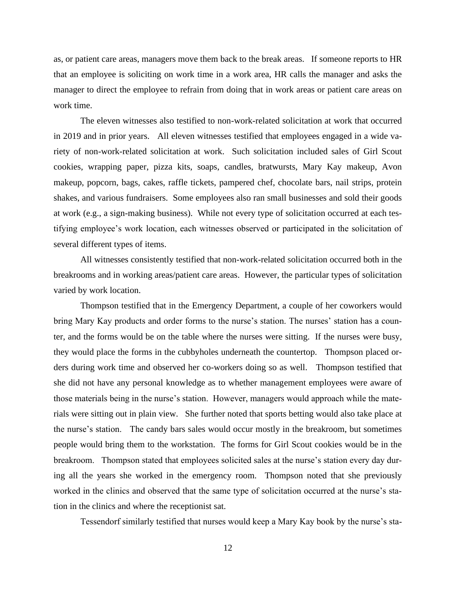as, or patient care areas, managers move them back to the break areas. If someone reports to HR that an employee is soliciting on work time in a work area, HR calls the manager and asks the manager to direct the employee to refrain from doing that in work areas or patient care areas on work time.

The eleven witnesses also testified to non-work-related solicitation at work that occurred in 2019 and in prior years. All eleven witnesses testified that employees engaged in a wide variety of non-work-related solicitation at work. Such solicitation included sales of Girl Scout cookies, wrapping paper, pizza kits, soaps, candles, bratwursts, Mary Kay makeup, Avon makeup, popcorn, bags, cakes, raffle tickets, pampered chef, chocolate bars, nail strips, protein shakes, and various fundraisers. Some employees also ran small businesses and sold their goods at work (e.g., a sign-making business). While not every type of solicitation occurred at each testifying employee's work location, each witnesses observed or participated in the solicitation of several different types of items.

All witnesses consistently testified that non-work-related solicitation occurred both in the breakrooms and in working areas/patient care areas. However, the particular types of solicitation varied by work location.

Thompson testified that in the Emergency Department, a couple of her coworkers would bring Mary Kay products and order forms to the nurse's station. The nurses' station has a counter, and the forms would be on the table where the nurses were sitting. If the nurses were busy, they would place the forms in the cubbyholes underneath the countertop. Thompson placed orders during work time and observed her co-workers doing so as well. Thompson testified that she did not have any personal knowledge as to whether management employees were aware of those materials being in the nurse's station. However, managers would approach while the materials were sitting out in plain view. She further noted that sports betting would also take place at the nurse's station. The candy bars sales would occur mostly in the breakroom, but sometimes people would bring them to the workstation. The forms for Girl Scout cookies would be in the breakroom. Thompson stated that employees solicited sales at the nurse's station every day during all the years she worked in the emergency room. Thompson noted that she previously worked in the clinics and observed that the same type of solicitation occurred at the nurse's station in the clinics and where the receptionist sat.

Tessendorf similarly testified that nurses would keep a Mary Kay book by the nurse's sta-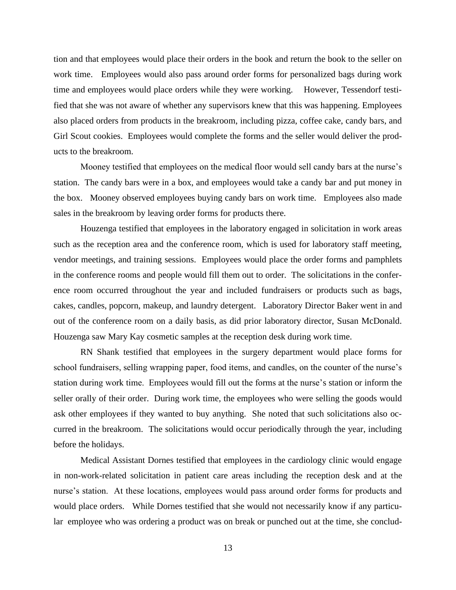tion and that employees would place their orders in the book and return the book to the seller on work time. Employees would also pass around order forms for personalized bags during work time and employees would place orders while they were working. However, Tessendorf testified that she was not aware of whether any supervisors knew that this was happening. Employees also placed orders from products in the breakroom, including pizza, coffee cake, candy bars, and Girl Scout cookies. Employees would complete the forms and the seller would deliver the products to the breakroom.

Mooney testified that employees on the medical floor would sell candy bars at the nurse's station. The candy bars were in a box, and employees would take a candy bar and put money in the box. Mooney observed employees buying candy bars on work time. Employees also made sales in the breakroom by leaving order forms for products there.

Houzenga testified that employees in the laboratory engaged in solicitation in work areas such as the reception area and the conference room, which is used for laboratory staff meeting, vendor meetings, and training sessions. Employees would place the order forms and pamphlets in the conference rooms and people would fill them out to order. The solicitations in the conference room occurred throughout the year and included fundraisers or products such as bags, cakes, candles, popcorn, makeup, and laundry detergent. Laboratory Director Baker went in and out of the conference room on a daily basis, as did prior laboratory director, Susan McDonald. Houzenga saw Mary Kay cosmetic samples at the reception desk during work time.

RN Shank testified that employees in the surgery department would place forms for school fundraisers, selling wrapping paper, food items, and candles, on the counter of the nurse's station during work time. Employees would fill out the forms at the nurse's station or inform the seller orally of their order. During work time, the employees who were selling the goods would ask other employees if they wanted to buy anything. She noted that such solicitations also occurred in the breakroom. The solicitations would occur periodically through the year, including before the holidays.

Medical Assistant Dornes testified that employees in the cardiology clinic would engage in non-work-related solicitation in patient care areas including the reception desk and at the nurse's station. At these locations, employees would pass around order forms for products and would place orders. While Dornes testified that she would not necessarily know if any particular employee who was ordering a product was on break or punched out at the time, she conclud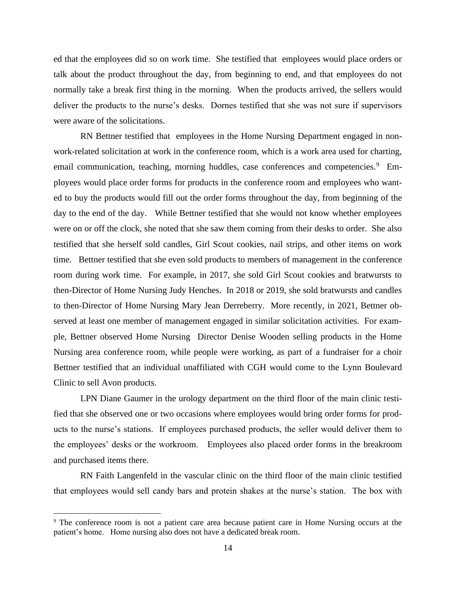ed that the employees did so on work time. She testified that employees would place orders or talk about the product throughout the day, from beginning to end, and that employees do not normally take a break first thing in the morning. When the products arrived, the sellers would deliver the products to the nurse's desks. Dornes testified that she was not sure if supervisors were aware of the solicitations.

RN Bettner testified that employees in the Home Nursing Department engaged in nonwork-related solicitation at work in the conference room, which is a work area used for charting, email communication, teaching, morning huddles, case conferences and competencies.<sup>9</sup> Employees would place order forms for products in the conference room and employees who wanted to buy the products would fill out the order forms throughout the day, from beginning of the day to the end of the day. While Bettner testified that she would not know whether employees were on or off the clock, she noted that she saw them coming from their desks to order. She also testified that she herself sold candles, Girl Scout cookies, nail strips, and other items on work time. Bettner testified that she even sold products to members of management in the conference room during work time. For example, in 2017, she sold Girl Scout cookies and bratwursts to then-Director of Home Nursing Judy Henches. In 2018 or 2019, she sold bratwursts and candles to then-Director of Home Nursing Mary Jean Derreberry. More recently, in 2021, Bettner observed at least one member of management engaged in similar solicitation activities. For example, Bettner observed Home Nursing Director Denise Wooden selling products in the Home Nursing area conference room, while people were working, as part of a fundraiser for a choir Bettner testified that an individual unaffiliated with CGH would come to the Lynn Boulevard Clinic to sell Avon products.

LPN Diane Gaumer in the urology department on the third floor of the main clinic testified that she observed one or two occasions where employees would bring order forms for products to the nurse's stations. If employees purchased products, the seller would deliver them to the employees' desks or the workroom. Employees also placed order forms in the breakroom and purchased items there.

RN Faith Langenfeld in the vascular clinic on the third floor of the main clinic testified that employees would sell candy bars and protein shakes at the nurse's station. The box with

<sup>9</sup> The conference room is not a patient care area because patient care in Home Nursing occurs at the patient's home. Home nursing also does not have a dedicated break room.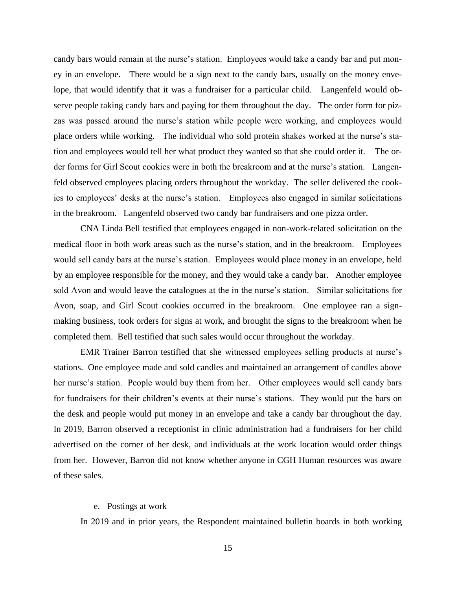candy bars would remain at the nurse's station. Employees would take a candy bar and put money in an envelope. There would be a sign next to the candy bars, usually on the money envelope, that would identify that it was a fundraiser for a particular child. Langenfeld would observe people taking candy bars and paying for them throughout the day. The order form for pizzas was passed around the nurse's station while people were working, and employees would place orders while working. The individual who sold protein shakes worked at the nurse's station and employees would tell her what product they wanted so that she could order it. The order forms for Girl Scout cookies were in both the breakroom and at the nurse's station. Langenfeld observed employees placing orders throughout the workday. The seller delivered the cookies to employees' desks at the nurse's station. Employees also engaged in similar solicitations in the breakroom. Langenfeld observed two candy bar fundraisers and one pizza order.

CNA Linda Bell testified that employees engaged in non-work-related solicitation on the medical floor in both work areas such as the nurse's station, and in the breakroom. Employees would sell candy bars at the nurse's station. Employees would place money in an envelope, held by an employee responsible for the money, and they would take a candy bar. Another employee sold Avon and would leave the catalogues at the in the nurse's station. Similar solicitations for Avon, soap, and Girl Scout cookies occurred in the breakroom. One employee ran a signmaking business, took orders for signs at work, and brought the signs to the breakroom when he completed them. Bell testified that such sales would occur throughout the workday.

EMR Trainer Barron testified that she witnessed employees selling products at nurse's stations. One employee made and sold candles and maintained an arrangement of candles above her nurse's station. People would buy them from her. Other employees would sell candy bars for fundraisers for their children's events at their nurse's stations. They would put the bars on the desk and people would put money in an envelope and take a candy bar throughout the day. In 2019, Barron observed a receptionist in clinic administration had a fundraisers for her child advertised on the corner of her desk, and individuals at the work location would order things from her. However, Barron did not know whether anyone in CGH Human resources was aware of these sales.

#### e. Postings at work

In 2019 and in prior years, the Respondent maintained bulletin boards in both working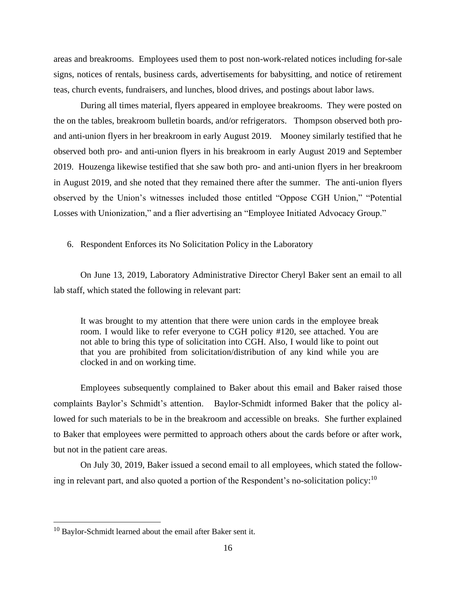areas and breakrooms. Employees used them to post non-work-related notices including for-sale signs, notices of rentals, business cards, advertisements for babysitting, and notice of retirement teas, church events, fundraisers, and lunches, blood drives, and postings about labor laws.

During all times material, flyers appeared in employee breakrooms. They were posted on the on the tables, breakroom bulletin boards, and/or refrigerators. Thompson observed both proand anti-union flyers in her breakroom in early August 2019. Mooney similarly testified that he observed both pro- and anti-union flyers in his breakroom in early August 2019 and September 2019. Houzenga likewise testified that she saw both pro- and anti-union flyers in her breakroom in August 2019, and she noted that they remained there after the summer. The anti-union flyers observed by the Union's witnesses included those entitled "Oppose CGH Union," "Potential Losses with Unionization," and a flier advertising an "Employee Initiated Advocacy Group."

6. Respondent Enforces its No Solicitation Policy in the Laboratory

On June 13, 2019, Laboratory Administrative Director Cheryl Baker sent an email to all lab staff, which stated the following in relevant part:

It was brought to my attention that there were union cards in the employee break room. I would like to refer everyone to CGH policy #120, see attached. You are not able to bring this type of solicitation into CGH. Also, I would like to point out that you are prohibited from solicitation/distribution of any kind while you are clocked in and on working time.

Employees subsequently complained to Baker about this email and Baker raised those complaints Baylor's Schmidt's attention. Baylor-Schmidt informed Baker that the policy allowed for such materials to be in the breakroom and accessible on breaks. She further explained to Baker that employees were permitted to approach others about the cards before or after work, but not in the patient care areas.

On July 30, 2019, Baker issued a second email to all employees, which stated the following in relevant part, and also quoted a portion of the Respondent's no-solicitation policy:<sup>10</sup>

<sup>&</sup>lt;sup>10</sup> Baylor-Schmidt learned about the email after Baker sent it.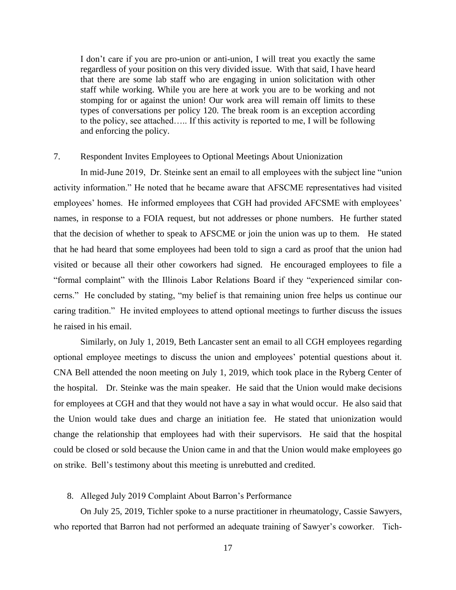I don't care if you are pro-union or anti-union, I will treat you exactly the same regardless of your position on this very divided issue. With that said, I have heard that there are some lab staff who are engaging in union solicitation with other staff while working. While you are here at work you are to be working and not stomping for or against the union! Our work area will remain off limits to these types of conversations per policy 120. The break room is an exception according to the policy, see attached….. If this activity is reported to me, I will be following and enforcing the policy.

### 7. Respondent Invites Employees to Optional Meetings About Unionization

In mid-June 2019, Dr. Steinke sent an email to all employees with the subject line "union activity information." He noted that he became aware that AFSCME representatives had visited employees' homes. He informed employees that CGH had provided AFCSME with employees' names, in response to a FOIA request, but not addresses or phone numbers. He further stated that the decision of whether to speak to AFSCME or join the union was up to them. He stated that he had heard that some employees had been told to sign a card as proof that the union had visited or because all their other coworkers had signed. He encouraged employees to file a "formal complaint" with the Illinois Labor Relations Board if they "experienced similar concerns." He concluded by stating, "my belief is that remaining union free helps us continue our caring tradition." He invited employees to attend optional meetings to further discuss the issues he raised in his email.

Similarly, on July 1, 2019, Beth Lancaster sent an email to all CGH employees regarding optional employee meetings to discuss the union and employees' potential questions about it. CNA Bell attended the noon meeting on July 1, 2019, which took place in the Ryberg Center of the hospital. Dr. Steinke was the main speaker. He said that the Union would make decisions for employees at CGH and that they would not have a say in what would occur. He also said that the Union would take dues and charge an initiation fee. He stated that unionization would change the relationship that employees had with their supervisors. He said that the hospital could be closed or sold because the Union came in and that the Union would make employees go on strike. Bell's testimony about this meeting is unrebutted and credited.

#### 8. Alleged July 2019 Complaint About Barron's Performance

On July 25, 2019, Tichler spoke to a nurse practitioner in rheumatology, Cassie Sawyers, who reported that Barron had not performed an adequate training of Sawyer's coworker. Tich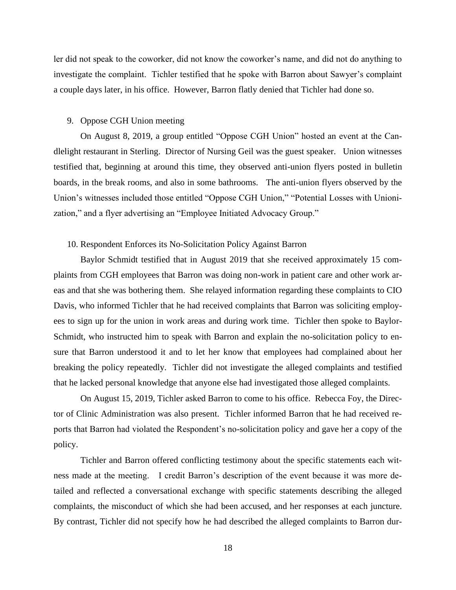ler did not speak to the coworker, did not know the coworker's name, and did not do anything to investigate the complaint. Tichler testified that he spoke with Barron about Sawyer's complaint a couple days later, in his office. However, Barron flatly denied that Tichler had done so.

#### 9. Oppose CGH Union meeting

On August 8, 2019, a group entitled "Oppose CGH Union" hosted an event at the Candlelight restaurant in Sterling. Director of Nursing Geil was the guest speaker. Union witnesses testified that, beginning at around this time, they observed anti-union flyers posted in bulletin boards, in the break rooms, and also in some bathrooms. The anti-union flyers observed by the Union's witnesses included those entitled "Oppose CGH Union," "Potential Losses with Unionization," and a flyer advertising an "Employee Initiated Advocacy Group."

#### 10. Respondent Enforces its No-Solicitation Policy Against Barron

Baylor Schmidt testified that in August 2019 that she received approximately 15 complaints from CGH employees that Barron was doing non-work in patient care and other work areas and that she was bothering them. She relayed information regarding these complaints to CIO Davis, who informed Tichler that he had received complaints that Barron was soliciting employees to sign up for the union in work areas and during work time. Tichler then spoke to Baylor-Schmidt, who instructed him to speak with Barron and explain the no-solicitation policy to ensure that Barron understood it and to let her know that employees had complained about her breaking the policy repeatedly. Tichler did not investigate the alleged complaints and testified that he lacked personal knowledge that anyone else had investigated those alleged complaints.

On August 15, 2019, Tichler asked Barron to come to his office. Rebecca Foy, the Director of Clinic Administration was also present. Tichler informed Barron that he had received reports that Barron had violated the Respondent's no-solicitation policy and gave her a copy of the policy.

Tichler and Barron offered conflicting testimony about the specific statements each witness made at the meeting. I credit Barron's description of the event because it was more detailed and reflected a conversational exchange with specific statements describing the alleged complaints, the misconduct of which she had been accused, and her responses at each juncture. By contrast, Tichler did not specify how he had described the alleged complaints to Barron dur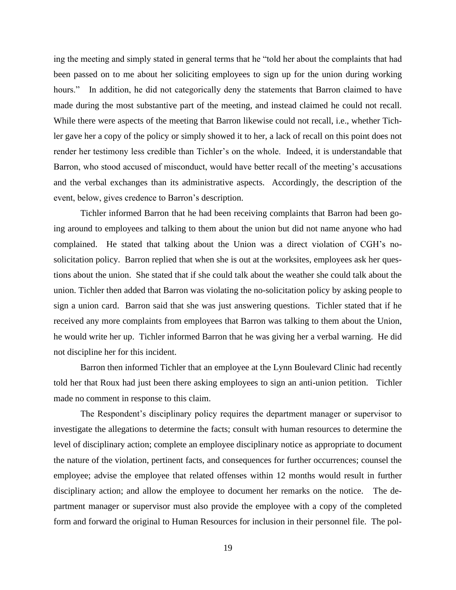ing the meeting and simply stated in general terms that he "told her about the complaints that had been passed on to me about her soliciting employees to sign up for the union during working hours." In addition, he did not categorically deny the statements that Barron claimed to have made during the most substantive part of the meeting, and instead claimed he could not recall. While there were aspects of the meeting that Barron likewise could not recall, i.e., whether Tichler gave her a copy of the policy or simply showed it to her, a lack of recall on this point does not render her testimony less credible than Tichler's on the whole. Indeed, it is understandable that Barron, who stood accused of misconduct, would have better recall of the meeting's accusations and the verbal exchanges than its administrative aspects. Accordingly, the description of the event, below, gives credence to Barron's description.

Tichler informed Barron that he had been receiving complaints that Barron had been going around to employees and talking to them about the union but did not name anyone who had complained. He stated that talking about the Union was a direct violation of CGH's nosolicitation policy. Barron replied that when she is out at the worksites, employees ask her questions about the union. She stated that if she could talk about the weather she could talk about the union. Tichler then added that Barron was violating the no-solicitation policy by asking people to sign a union card. Barron said that she was just answering questions. Tichler stated that if he received any more complaints from employees that Barron was talking to them about the Union, he would write her up. Tichler informed Barron that he was giving her a verbal warning. He did not discipline her for this incident.

Barron then informed Tichler that an employee at the Lynn Boulevard Clinic had recently told her that Roux had just been there asking employees to sign an anti-union petition. Tichler made no comment in response to this claim.

The Respondent's disciplinary policy requires the department manager or supervisor to investigate the allegations to determine the facts; consult with human resources to determine the level of disciplinary action; complete an employee disciplinary notice as appropriate to document the nature of the violation, pertinent facts, and consequences for further occurrences; counsel the employee; advise the employee that related offenses within 12 months would result in further disciplinary action; and allow the employee to document her remarks on the notice. The department manager or supervisor must also provide the employee with a copy of the completed form and forward the original to Human Resources for inclusion in their personnel file. The pol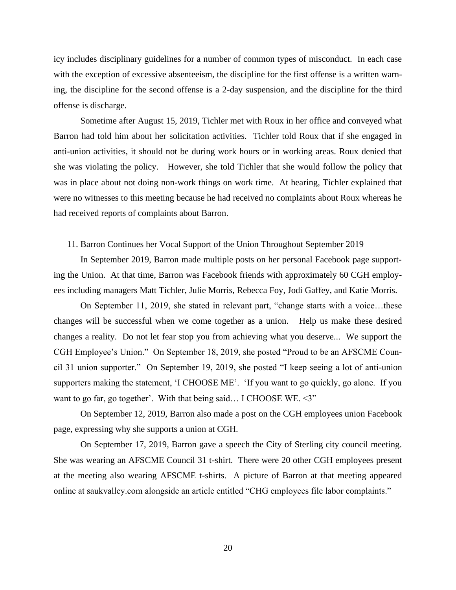icy includes disciplinary guidelines for a number of common types of misconduct. In each case with the exception of excessive absenteeism, the discipline for the first offense is a written warning, the discipline for the second offense is a 2-day suspension, and the discipline for the third offense is discharge.

Sometime after August 15, 2019, Tichler met with Roux in her office and conveyed what Barron had told him about her solicitation activities. Tichler told Roux that if she engaged in anti-union activities, it should not be during work hours or in working areas. Roux denied that she was violating the policy. However, she told Tichler that she would follow the policy that was in place about not doing non-work things on work time. At hearing, Tichler explained that were no witnesses to this meeting because he had received no complaints about Roux whereas he had received reports of complaints about Barron.

#### 11. Barron Continues her Vocal Support of the Union Throughout September 2019

In September 2019, Barron made multiple posts on her personal Facebook page supporting the Union. At that time, Barron was Facebook friends with approximately 60 CGH employees including managers Matt Tichler, Julie Morris, Rebecca Foy, Jodi Gaffey, and Katie Morris.

On September 11, 2019, she stated in relevant part, "change starts with a voice…these changes will be successful when we come together as a union. Help us make these desired changes a reality. Do not let fear stop you from achieving what you deserve... We support the CGH Employee's Union." On September 18, 2019, she posted "Proud to be an AFSCME Council 31 union supporter." On September 19, 2019, she posted "I keep seeing a lot of anti-union supporters making the statement, 'I CHOOSE ME'. 'If you want to go quickly, go alone. If you want to go far, go together'. With that being said... I CHOOSE WE. <3"

On September 12, 2019, Barron also made a post on the CGH employees union Facebook page, expressing why she supports a union at CGH.

On September 17, 2019, Barron gave a speech the City of Sterling city council meeting. She was wearing an AFSCME Council 31 t-shirt. There were 20 other CGH employees present at the meeting also wearing AFSCME t-shirts. A picture of Barron at that meeting appeared online at saukvalley.com alongside an article entitled "CHG employees file labor complaints."

20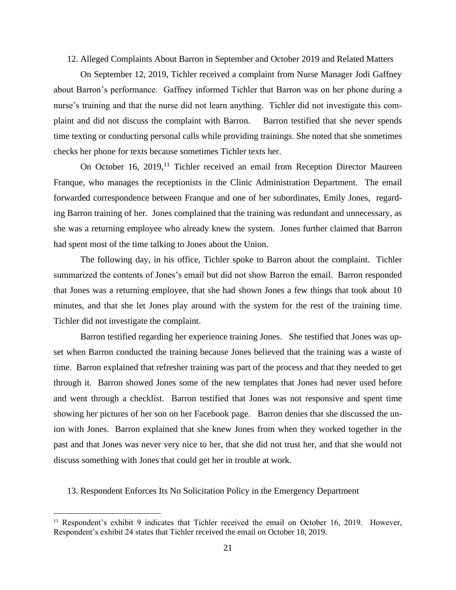#### 12. Alleged Complaints About Barron in September and October 2019 and Related Matters

On September 12, 2019, Tichler received a complaint from Nurse Manager Jodi Gaffney about Barron's performance. Gaffney informed Tichler that Barron was on her phone during a nurse's training and that the nurse did not learn anything. Tichler did not investigate this complaint and did not discuss the complaint with Barron. Barron testified that she never spends time texting or conducting personal calls while providing trainings. She noted that she sometimes checks her phone for texts because sometimes Tichler texts her.

On October 16, 2019,<sup>11</sup> Tichler received an email from Reception Director Maureen Franque, who manages the receptionists in the Clinic Administration Department. The email forwarded correspondence between Franque and one of her subordinates, Emily Jones, regarding Barron training of her. Jones complained that the training was redundant and unnecessary, as she was a returning employee who already knew the system. Jones further claimed that Barron had spent most of the time talking to Jones about the Union.

The following day, in his office, Tichler spoke to Barron about the complaint. Tichler summarized the contents of Jones's email but did not show Barron the email. Barron responded that Jones was a returning employee, that she had shown Jones a few things that took about 10 minutes, and that she let Jones play around with the system for the rest of the training time. Tichler did not investigate the complaint.

Barron testified regarding her experience training Jones. She testified that Jones was upset when Barron conducted the training because Jones believed that the training was a waste of time. Barron explained that refresher training was part of the process and that they needed to get through it. Barron showed Jones some of the new templates that Jones had never used before and went through a checklist. Barron testified that Jones was not responsive and spent time showing her pictures of her son on her Facebook page. Barron denies that she discussed the union with Jones. Barron explained that she knew Jones from when they worked together in the past and that Jones was never very nice to her, that she did not trust her, and that she would not discuss something with Jones that could get her in trouble at work.

13. Respondent Enforces Its No Solicitation Policy in the Emergency Department

<sup>&</sup>lt;sup>11</sup> Respondent's exhibit 9 indicates that Tichler received the email on October 16, 2019. However, Respondent's exhibit 24 states that Tichler received the email on October 18, 2019.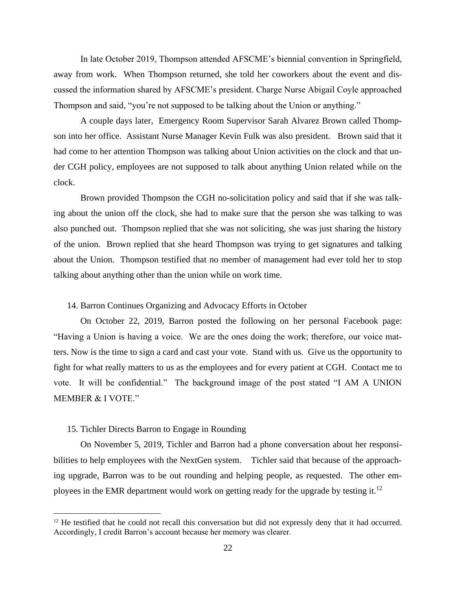In late October 2019, Thompson attended AFSCME's biennial convention in Springfield, away from work. When Thompson returned, she told her coworkers about the event and discussed the information shared by AFSCME's president. Charge Nurse Abigail Coyle approached Thompson and said, "you're not supposed to be talking about the Union or anything."

A couple days later, Emergency Room Supervisor Sarah Alvarez Brown called Thompson into her office. Assistant Nurse Manager Kevin Fulk was also president. Brown said that it had come to her attention Thompson was talking about Union activities on the clock and that under CGH policy, employees are not supposed to talk about anything Union related while on the clock.

Brown provided Thompson the CGH no-solicitation policy and said that if she was talking about the union off the clock, she had to make sure that the person she was talking to was also punched out. Thompson replied that she was not soliciting, she was just sharing the history of the union. Brown replied that she heard Thompson was trying to get signatures and talking about the Union. Thompson testified that no member of management had ever told her to stop talking about anything other than the union while on work time.

#### 14. Barron Continues Organizing and Advocacy Efforts in October

On October 22, 2019, Barron posted the following on her personal Facebook page: "Having a Union is having a voice. We are the ones doing the work; therefore, our voice matters. Now is the time to sign a card and cast your vote. Stand with us. Give us the opportunity to fight for what really matters to us as the employees and for every patient at CGH. Contact me to vote. It will be confidential." The background image of the post stated "I AM A UNION MEMBER & I VOTE."

#### 15. Tichler Directs Barron to Engage in Rounding

On November 5, 2019, Tichler and Barron had a phone conversation about her responsibilities to help employees with the NextGen system. Tichler said that because of the approaching upgrade, Barron was to be out rounding and helping people, as requested. The other employees in the EMR department would work on getting ready for the upgrade by testing it.<sup>12</sup>

<sup>&</sup>lt;sup>12</sup> He testified that he could not recall this conversation but did not expressly deny that it had occurred. Accordingly, I credit Barron's account because her memory was clearer.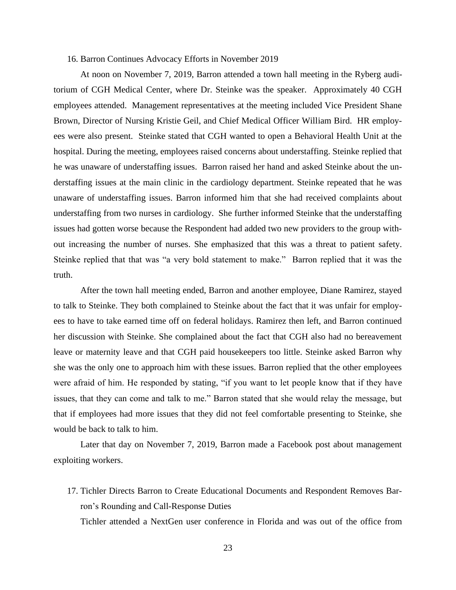#### 16. Barron Continues Advocacy Efforts in November 2019

At noon on November 7, 2019, Barron attended a town hall meeting in the Ryberg auditorium of CGH Medical Center, where Dr. Steinke was the speaker. Approximately 40 CGH employees attended. Management representatives at the meeting included Vice President Shane Brown, Director of Nursing Kristie Geil, and Chief Medical Officer William Bird. HR employees were also present. Steinke stated that CGH wanted to open a Behavioral Health Unit at the hospital. During the meeting, employees raised concerns about understaffing. Steinke replied that he was unaware of understaffing issues. Barron raised her hand and asked Steinke about the understaffing issues at the main clinic in the cardiology department. Steinke repeated that he was unaware of understaffing issues. Barron informed him that she had received complaints about understaffing from two nurses in cardiology. She further informed Steinke that the understaffing issues had gotten worse because the Respondent had added two new providers to the group without increasing the number of nurses. She emphasized that this was a threat to patient safety. Steinke replied that that was "a very bold statement to make." Barron replied that it was the truth.

After the town hall meeting ended, Barron and another employee, Diane Ramirez, stayed to talk to Steinke. They both complained to Steinke about the fact that it was unfair for employees to have to take earned time off on federal holidays. Ramirez then left, and Barron continued her discussion with Steinke. She complained about the fact that CGH also had no bereavement leave or maternity leave and that CGH paid housekeepers too little. Steinke asked Barron why she was the only one to approach him with these issues. Barron replied that the other employees were afraid of him. He responded by stating, "if you want to let people know that if they have issues, that they can come and talk to me." Barron stated that she would relay the message, but that if employees had more issues that they did not feel comfortable presenting to Steinke, she would be back to talk to him.

Later that day on November 7, 2019, Barron made a Facebook post about management exploiting workers.

17. Tichler Directs Barron to Create Educational Documents and Respondent Removes Barron's Rounding and Call-Response Duties

Tichler attended a NextGen user conference in Florida and was out of the office from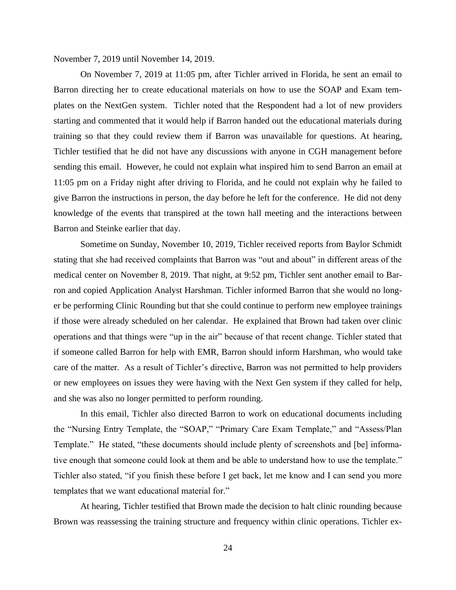November 7, 2019 until November 14, 2019.

On November 7, 2019 at 11:05 pm, after Tichler arrived in Florida, he sent an email to Barron directing her to create educational materials on how to use the SOAP and Exam templates on the NextGen system. Tichler noted that the Respondent had a lot of new providers starting and commented that it would help if Barron handed out the educational materials during training so that they could review them if Barron was unavailable for questions. At hearing, Tichler testified that he did not have any discussions with anyone in CGH management before sending this email. However, he could not explain what inspired him to send Barron an email at 11:05 pm on a Friday night after driving to Florida, and he could not explain why he failed to give Barron the instructions in person, the day before he left for the conference. He did not deny knowledge of the events that transpired at the town hall meeting and the interactions between Barron and Steinke earlier that day.

Sometime on Sunday, November 10, 2019, Tichler received reports from Baylor Schmidt stating that she had received complaints that Barron was "out and about" in different areas of the medical center on November 8, 2019. That night, at 9:52 pm, Tichler sent another email to Barron and copied Application Analyst Harshman. Tichler informed Barron that she would no longer be performing Clinic Rounding but that she could continue to perform new employee trainings if those were already scheduled on her calendar. He explained that Brown had taken over clinic operations and that things were "up in the air" because of that recent change. Tichler stated that if someone called Barron for help with EMR, Barron should inform Harshman, who would take care of the matter. As a result of Tichler's directive, Barron was not permitted to help providers or new employees on issues they were having with the Next Gen system if they called for help, and she was also no longer permitted to perform rounding.

In this email, Tichler also directed Barron to work on educational documents including the "Nursing Entry Template, the "SOAP," "Primary Care Exam Template," and "Assess/Plan Template." He stated, "these documents should include plenty of screenshots and [be] informative enough that someone could look at them and be able to understand how to use the template." Tichler also stated, "if you finish these before I get back, let me know and I can send you more templates that we want educational material for."

At hearing, Tichler testified that Brown made the decision to halt clinic rounding because Brown was reassessing the training structure and frequency within clinic operations. Tichler ex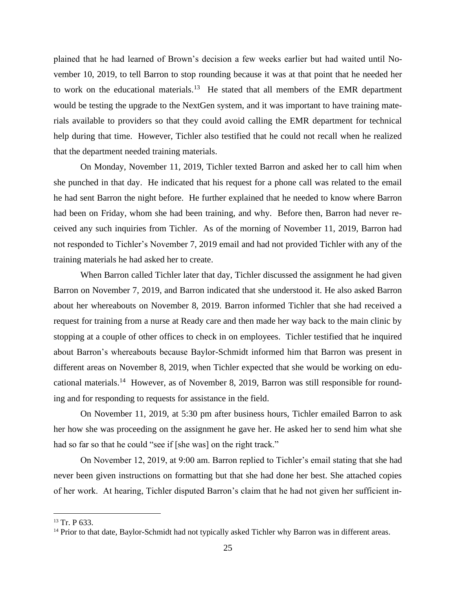plained that he had learned of Brown's decision a few weeks earlier but had waited until November 10, 2019, to tell Barron to stop rounding because it was at that point that he needed her to work on the educational materials.<sup>13</sup> He stated that all members of the EMR department would be testing the upgrade to the NextGen system, and it was important to have training materials available to providers so that they could avoid calling the EMR department for technical help during that time. However, Tichler also testified that he could not recall when he realized that the department needed training materials.

On Monday, November 11, 2019, Tichler texted Barron and asked her to call him when she punched in that day. He indicated that his request for a phone call was related to the email he had sent Barron the night before. He further explained that he needed to know where Barron had been on Friday, whom she had been training, and why. Before then, Barron had never received any such inquiries from Tichler. As of the morning of November 11, 2019, Barron had not responded to Tichler's November 7, 2019 email and had not provided Tichler with any of the training materials he had asked her to create.

When Barron called Tichler later that day, Tichler discussed the assignment he had given Barron on November 7, 2019, and Barron indicated that she understood it. He also asked Barron about her whereabouts on November 8, 2019. Barron informed Tichler that she had received a request for training from a nurse at Ready care and then made her way back to the main clinic by stopping at a couple of other offices to check in on employees. Tichler testified that he inquired about Barron's whereabouts because Baylor-Schmidt informed him that Barron was present in different areas on November 8, 2019, when Tichler expected that she would be working on edu-cational materials.<sup>14</sup> [However, as of November 8, 2019, Barron was still responsible for round](#page-54-0)[ing and for responding to requests for assistance in the field.](#page-54-0) 

On November 11, 2019, at 5:30 pm after business hours, Tichler emailed Barron to ask her how she was proceeding on the assignment he gave her. He asked her to send him what she had so far so that he could "see if [she was] on the right track."

On November 12, 2019, at 9:00 am. Barron replied to Tichler's email stating that she had never been given instructions on formatting but that she had done her best. She attached copies of her work. At hearing, Tichler disputed Barron's claim that he had not given her sufficient in-

<sup>13</sup> Tr. P 633.

<sup>&</sup>lt;sup>14</sup> Prior to that date, Baylor-Schmidt had not typically asked Tichler why Barron was in different areas.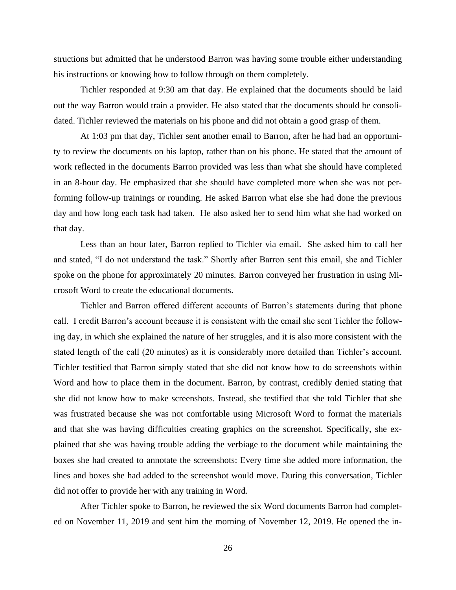structions but admitted that he understood Barron was having some trouble either understanding his instructions or knowing how to follow through on them completely.

Tichler responded at 9:30 am that day. He explained that the documents should be laid out the way Barron would train a provider. He also stated that the documents should be consolidated. Tichler reviewed the materials on his phone and did not obtain a good grasp of them.

At 1:03 pm that day, Tichler sent another email to Barron, after he had had an opportunity to review the documents on his laptop, rather than on his phone. He stated that the amount of work reflected in the documents Barron provided was less than what she should have completed in an 8-hour day. He emphasized that she should have completed more when she was not performing follow-up trainings or rounding. He asked Barron what else she had done the previous day and how long each task had taken. He also asked her to send him what she had worked on that day.

Less than an hour later, Barron replied to Tichler via email. She asked him to call her and stated, "I do not understand the task." Shortly after Barron sent this email, she and Tichler spoke on the phone for approximately 20 minutes. Barron conveyed her frustration in using Microsoft Word to create the educational documents.

Tichler and Barron offered different accounts of Barron's statements during that phone call. I credit Barron's account because it is consistent with the email she sent Tichler the following day, in which she explained the nature of her struggles, and it is also more consistent with the stated length of the call (20 minutes) as it is considerably more detailed than Tichler's account. Tichler testified that Barron simply stated that she did not know how to do screenshots within Word and how to place them in the document. Barron, by contrast, credibly denied stating that she did not know how to make screenshots. Instead, she testified that she told Tichler that she was frustrated because she was not comfortable using Microsoft Word to format the materials and that she was having difficulties creating graphics on the screenshot. Specifically, she explained that she was having trouble adding the verbiage to the document while maintaining the boxes she had created to annotate the screenshots: Every time she added more information, the lines and boxes she had added to the screenshot would move. During this conversation, Tichler did not offer to provide her with any training in Word.

After Tichler spoke to Barron, he reviewed the six Word documents Barron had completed on November 11, 2019 and sent him the morning of November 12, 2019. He opened the in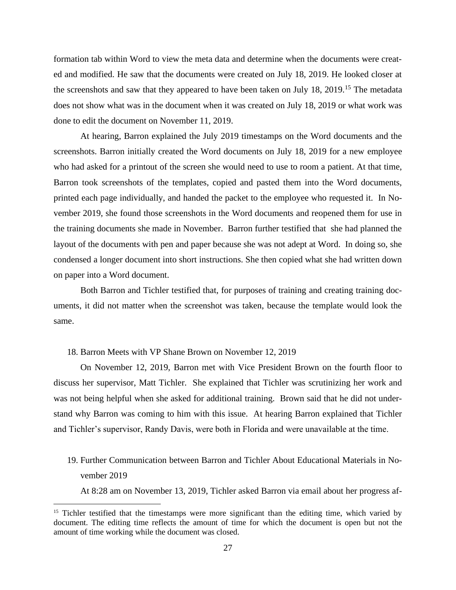formation tab within Word to view the meta data and determine when the documents were created and modified. He saw that the documents were created on July 18, 2019. He looked closer at the screenshots and saw that they appeared to have been taken on July 18, 2019.<sup>15</sup> The metadata does not show what was in the document when it was created on July 18, 2019 or what work was done to edit the document on November 11, 2019.

At hearing, Barron explained the July 2019 timestamps on the Word documents and the screenshots. Barron initially created the Word documents on July 18, 2019 for a new employee who had asked for a printout of the screen she would need to use to room a patient. At that time, Barron took screenshots of the templates, copied and pasted them into the Word documents, printed each page individually, and handed the packet to the employee who requested it. In November 2019, she found those screenshots in the Word documents and reopened them for use in the training documents she made in November. Barron further testified that she had planned the layout of the documents with pen and paper because she was not adept at Word. In doing so, she condensed a longer document into short instructions. She then copied what she had written down on paper into a Word document.

Both Barron and Tichler testified that, for purposes of training and creating training documents, it did not matter when the screenshot was taken, because the template would look the same.

#### 18. Barron Meets with VP Shane Brown on November 12, 2019

On November 12, 2019, Barron met with Vice President Brown on the fourth floor to discuss her supervisor, Matt Tichler. She explained that Tichler was scrutinizing her work and was not being helpful when she asked for additional training. Brown said that he did not understand why Barron was coming to him with this issue. At hearing Barron explained that Tichler and Tichler's supervisor, Randy Davis, were both in Florida and were unavailable at the time.

# 19. Further Communication between Barron and Tichler About Educational Materials in November 2019

At 8:28 am on November 13, 2019, Tichler asked Barron via email about her progress af-

<sup>&</sup>lt;sup>15</sup> Tichler testified that the timestamps were more significant than the editing time, which varied by document. The editing time reflects the amount of time for which the document is open but not the amount of time working while the document was closed.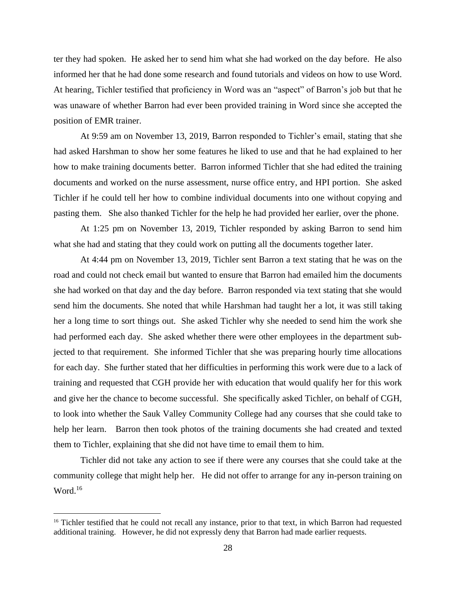ter they had spoken. He asked her to send him what she had worked on the day before. He also informed her that he had done some research and found tutorials and videos on how to use Word. At hearing, Tichler testified that proficiency in Word was an "aspect" of Barron's job but that he was unaware of whether Barron had ever been provided training in Word since she accepted the position of EMR trainer.

At 9:59 am on November 13, 2019, Barron responded to Tichler's email, stating that she had asked Harshman to show her some features he liked to use and that he had explained to her how to make training documents better. Barron informed Tichler that she had edited the training documents and worked on the nurse assessment, nurse office entry, and HPI portion. She asked Tichler if he could tell her how to combine individual documents into one without copying and pasting them. She also thanked Tichler for the help he had provided her earlier, over the phone.

At 1:25 pm on November 13, 2019, Tichler responded by asking Barron to send him what she had and stating that they could work on putting all the documents together later.

At 4:44 pm on November 13, 2019, Tichler sent Barron a text stating that he was on the road and could not check email but wanted to ensure that Barron had emailed him the documents she had worked on that day and the day before. Barron responded via text stating that she would send him the documents. She noted that while Harshman had taught her a lot, it was still taking her a long time to sort things out. She asked Tichler why she needed to send him the work she had performed each day. She asked whether there were other employees in the department subjected to that requirement. She informed Tichler that she was preparing hourly time allocations for each day. She further stated that her difficulties in performing this work were due to a lack of training and requested that CGH provide her with education that would qualify her for this work and give her the chance to become successful. She specifically asked Tichler, on behalf of CGH, to look into whether the Sauk Valley Community College had any courses that she could take to help her learn. Barron then took photos of the training documents she had created and texted them to Tichler, explaining that she did not have time to email them to him.

Tichler did not take any action to see if there were any courses that she could take at the community college that might help her. He did not offer to arrange for any in-person training on Word. $16$ 

<sup>&</sup>lt;sup>16</sup> Tichler testified that he could not recall any instance, prior to that text, in which Barron had requested additional training. However, he did not expressly deny that Barron had made earlier requests.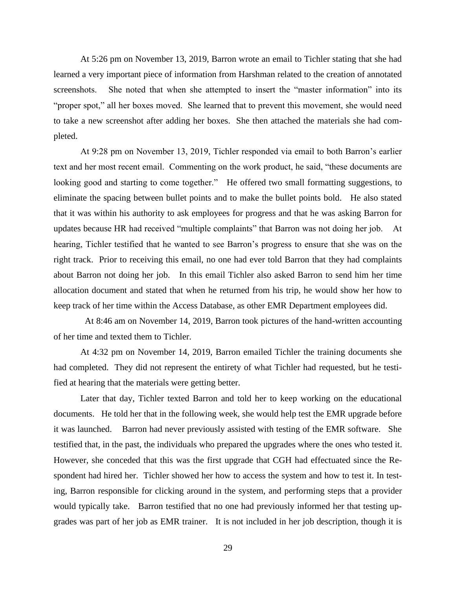At 5:26 pm on November 13, 2019, Barron wrote an email to Tichler stating that she had learned a very important piece of information from Harshman related to the creation of annotated screenshots. She noted that when she attempted to insert the "master information" into its "proper spot," all her boxes moved. She learned that to prevent this movement, she would need to take a new screenshot after adding her boxes. She then attached the materials she had completed.

At 9:28 pm on November 13, 2019, Tichler responded via email to both Barron's earlier text and her most recent email. Commenting on the work product, he said, "these documents are looking good and starting to come together." He offered two small formatting suggestions, to eliminate the spacing between bullet points and to make the bullet points bold. He also stated that it was within his authority to ask employees for progress and that he was asking Barron for updates because HR had received "multiple complaints" that Barron was not doing her job. At hearing, Tichler testified that he wanted to see Barron's progress to ensure that she was on the right track. Prior to receiving this email, no one had ever told Barron that they had complaints about Barron not doing her job. In this email Tichler also asked Barron to send him her time allocation document and stated that when he returned from his trip, he would show her how to keep track of her time within the Access Database, as other EMR Department employees did.

 At 8:46 am on November 14, 2019, Barron took pictures of the hand-written accounting of her time and texted them to Tichler.

At 4:32 pm on November 14, 2019, Barron emailed Tichler the training documents she had completed. They did not represent the entirety of what Tichler had requested, but he testified at hearing that the materials were getting better.

Later that day, Tichler texted Barron and told her to keep working on the educational documents. He told her that in the following week, she would help test the EMR upgrade before it was launched. Barron had never previously assisted with testing of the EMR software. She testified that, in the past, the individuals who prepared the upgrades where the ones who tested it. However, she conceded that this was the first upgrade that CGH had effectuated since the Respondent had hired her. Tichler showed her how to access the system and how to test it. In testing, Barron responsible for clicking around in the system, and performing steps that a provider would typically take. Barron testified that no one had previously informed her that testing upgrades was part of her job as EMR trainer. It is not included in her job description, though it is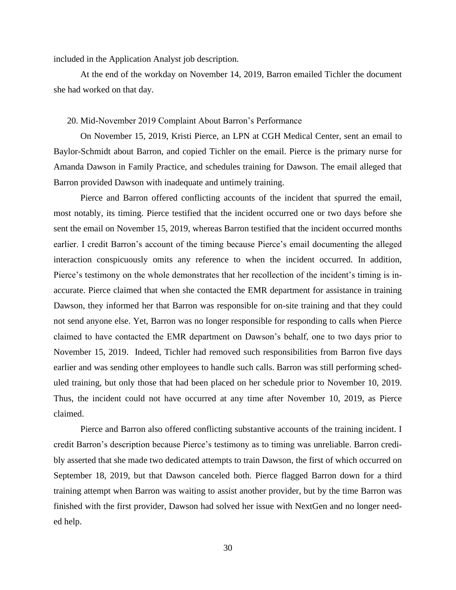included in the Application Analyst job description.

At the end of the workday on November 14, 2019, Barron emailed Tichler the document she had worked on that day.

### 20. Mid-November 2019 Complaint About Barron's Performance

On November 15, 2019, Kristi Pierce, an LPN at CGH Medical Center, sent an email to Baylor-Schmidt about Barron, and copied Tichler on the email. Pierce is the primary nurse for Amanda Dawson in Family Practice, and schedules training for Dawson. The email alleged that Barron provided Dawson with inadequate and untimely training.

Pierce and Barron offered conflicting accounts of the incident that spurred the email, most notably, its timing. Pierce testified that the incident occurred one or two days before she sent the email on November 15, 2019, whereas Barron testified that the incident occurred months earlier. I credit Barron's account of the timing because Pierce's email documenting the alleged interaction conspicuously omits any reference to when the incident occurred. In addition, Pierce's testimony on the whole demonstrates that her recollection of the incident's timing is inaccurate. Pierce claimed that when she contacted the EMR department for assistance in training Dawson, they informed her that Barron was responsible for on-site training and that they could not send anyone else. Yet, Barron was no longer responsible for responding to calls when Pierce claimed to have contacted the EMR department on Dawson's behalf, one to two days prior to November 15, 2019. Indeed, Tichler had removed such responsibilities from Barron five days earlier and was sending other employees to handle such calls. Barron was still performing scheduled training, but only those that had been placed on her schedule prior to November 10, 2019. Thus, the incident could not have occurred at any time after November 10, 2019, as Pierce claimed.

Pierce and Barron also offered conflicting substantive accounts of the training incident. I credit Barron's description because Pierce's testimony as to timing was unreliable. Barron credibly asserted that she made two dedicated attempts to train Dawson, the first of which occurred on September 18, 2019, but that Dawson canceled both. Pierce flagged Barron down for a third training attempt when Barron was waiting to assist another provider, but by the time Barron was finished with the first provider, Dawson had solved her issue with NextGen and no longer needed help.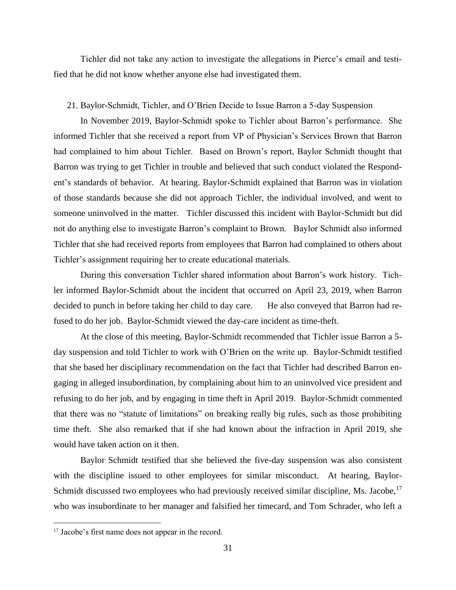Tichler did not take any action to investigate the allegations in Pierce's email and testified that he did not know whether anyone else had investigated them.

#### 21. Baylor-Schmidt, Tichler, and O'Brien Decide to Issue Barron a 5-day Suspension

In November 2019, Baylor-Schmidt spoke to Tichler about Barron's performance. She informed Tichler that she received a report from VP of Physician's Services Brown that Barron had complained to him about Tichler. Based on Brown's report, Baylor Schmidt thought that Barron was trying to get Tichler in trouble and believed that such conduct violated the Respondent's standards of behavior. At hearing. Baylor-Schmidt explained that Barron was in violation of those standards because she did not approach Tichler, the individual involved, and went to someone uninvolved in the matter. Tichler discussed this incident with Baylor-Schmidt but did not do anything else to investigate Barron's complaint to Brown. Baylor Schmidt also informed Tichler that she had received reports from employees that Barron had complained to others about Tichler's assignment requiring her to create educational materials.

During this conversation Tichler shared information about Barron's work history. Tichler informed Baylor-Schmidt about the incident that occurred on April 23, 2019, when Barron decided to punch in before taking her child to day care. He also conveyed that Barron had refused to do her job. Baylor-Schmidt viewed the day-care incident as time-theft.

At the close of this meeting, Baylor-Schmidt recommended that Tichler issue Barron a 5 day suspension and told Tichler to work with O'Brien on the write up. Baylor-Schmidt testified that she based her disciplinary recommendation on the fact that Tichler had described Barron engaging in alleged insubordination, by complaining about him to an uninvolved vice president and refusing to do her job, and by engaging in time theft in April 2019. Baylor-Schmidt commented that there was no "statute of limitations" on breaking really big rules, such as those prohibiting time theft. She also remarked that if she had known about the infraction in April 2019, she would have taken action on it then.

Baylor Schmidt testified that she believed the five-day suspension was also consistent with the discipline issued to other employees for similar misconduct. At hearing, Baylor-Schmidt discussed two employees who had previously received similar discipline, Ms. Jacobe,  $17$ who was insubordinate to her manager and falsified her timecard, and Tom Schrader, who left a

<sup>&</sup>lt;sup>17</sup> Jacobe's first name does not appear in the record.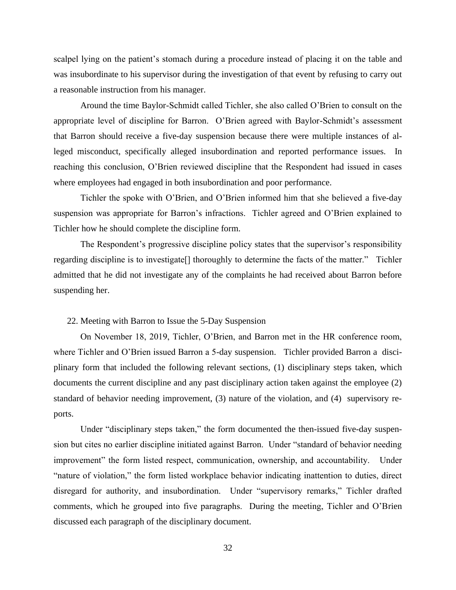scalpel lying on the patient's stomach during a procedure instead of placing it on the table and was insubordinate to his supervisor during the investigation of that event by refusing to carry out a reasonable instruction from his manager.

Around the time Baylor-Schmidt called Tichler, she also called O'Brien to consult on the appropriate level of discipline for Barron. O'Brien agreed with Baylor-Schmidt's assessment that Barron should receive a five-day suspension because there were multiple instances of alleged misconduct, specifically alleged insubordination and reported performance issues. In reaching this conclusion, O'Brien reviewed discipline that the Respondent had issued in cases where employees had engaged in both insubordination and poor performance.

Tichler the spoke with O'Brien, and O'Brien informed him that she believed a five-day suspension was appropriate for Barron's infractions. Tichler agreed and O'Brien explained to Tichler how he should complete the discipline form.

The Respondent's progressive discipline policy states that the supervisor's responsibility regarding discipline is to investigate[] thoroughly to determine the facts of the matter." Tichler admitted that he did not investigate any of the complaints he had received about Barron before suspending her.

## 22. Meeting with Barron to Issue the 5-Day Suspension

On November 18, 2019, Tichler, O'Brien, and Barron met in the HR conference room, where Tichler and O'Brien issued Barron a 5-day suspension. Tichler provided Barron a disciplinary form that included the following relevant sections, (1) disciplinary steps taken, which documents the current discipline and any past disciplinary action taken against the employee (2) standard of behavior needing improvement, (3) nature of the violation, and (4) supervisory reports.

Under "disciplinary steps taken," the form documented the then-issued five-day suspension but cites no earlier discipline initiated against Barron. Under "standard of behavior needing improvement" the form listed respect, communication, ownership, and accountability. Under "nature of violation," the form listed workplace behavior indicating inattention to duties, direct disregard for authority, and insubordination. Under "supervisory remarks," Tichler drafted comments, which he grouped into five paragraphs. During the meeting, Tichler and O'Brien discussed each paragraph of the disciplinary document.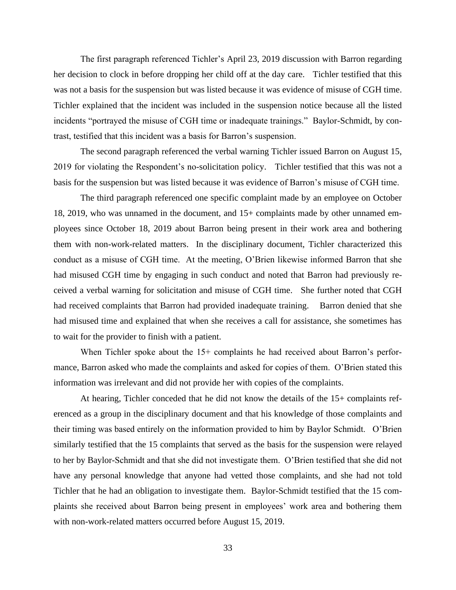The first paragraph referenced Tichler's April 23, 2019 discussion with Barron regarding her decision to clock in before dropping her child off at the day care. Tichler testified that this was not a basis for the suspension but was listed because it was evidence of misuse of CGH time. Tichler explained that the incident was included in the suspension notice because all the listed incidents "portrayed the misuse of CGH time or inadequate trainings." Baylor-Schmidt, by contrast, testified that this incident was a basis for Barron's suspension.

The second paragraph referenced the verbal warning Tichler issued Barron on August 15, 2019 for violating the Respondent's no-solicitation policy. Tichler testified that this was not a basis for the suspension but was listed because it was evidence of Barron's misuse of CGH time.

The third paragraph referenced one specific complaint made by an employee on October 18, 2019, who was unnamed in the document, and 15+ complaints made by other unnamed employees since October 18, 2019 about Barron being present in their work area and bothering them with non-work-related matters. In the disciplinary document, Tichler characterized this conduct as a misuse of CGH time. At the meeting, O'Brien likewise informed Barron that she had misused CGH time by engaging in such conduct and noted that Barron had previously received a verbal warning for solicitation and misuse of CGH time. She further noted that CGH had received complaints that Barron had provided inadequate training. Barron denied that she had misused time and explained that when she receives a call for assistance, she sometimes has to wait for the provider to finish with a patient.

When Tichler spoke about the 15+ complaints he had received about Barron's performance, Barron asked who made the complaints and asked for copies of them. O'Brien stated this information was irrelevant and did not provide her with copies of the complaints.

At hearing, Tichler conceded that he did not know the details of the 15+ complaints referenced as a group in the disciplinary document and that his knowledge of those complaints and their timing was based entirely on the information provided to him by Baylor Schmidt. O'Brien similarly testified that the 15 complaints that served as the basis for the suspension were relayed to her by Baylor-Schmidt and that she did not investigate them. O'Brien testified that she did not have any personal knowledge that anyone had vetted those complaints, and she had not told Tichler that he had an obligation to investigate them. Baylor-Schmidt testified that the 15 complaints she received about Barron being present in employees' work area and bothering them with non-work-related matters occurred before August 15, 2019.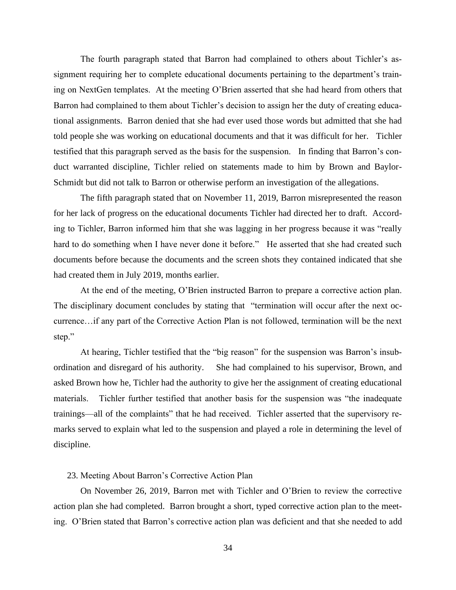The fourth paragraph stated that Barron had complained to others about Tichler's assignment requiring her to complete educational documents pertaining to the department's training on NextGen templates. At the meeting O'Brien asserted that she had heard from others that Barron had complained to them about Tichler's decision to assign her the duty of creating educational assignments. Barron denied that she had ever used those words but admitted that she had told people she was working on educational documents and that it was difficult for her. Tichler testified that this paragraph served as the basis for the suspension. In finding that Barron's conduct warranted discipline, Tichler relied on statements made to him by Brown and Baylor-Schmidt but did not talk to Barron or otherwise perform an investigation of the allegations.

The fifth paragraph stated that on November 11, 2019, Barron misrepresented the reason for her lack of progress on the educational documents Tichler had directed her to draft. According to Tichler, Barron informed him that she was lagging in her progress because it was "really hard to do something when I have never done it before." He asserted that she had created such documents before because the documents and the screen shots they contained indicated that she had created them in July 2019, months earlier.

At the end of the meeting, O'Brien instructed Barron to prepare a corrective action plan. The disciplinary document concludes by stating that "termination will occur after the next occurrence…if any part of the Corrective Action Plan is not followed, termination will be the next step."

At hearing, Tichler testified that the "big reason" for the suspension was Barron's insubordination and disregard of his authority. She had complained to his supervisor, Brown, and asked Brown how he, Tichler had the authority to give her the assignment of creating educational materials. Tichler further testified that another basis for the suspension was "the inadequate trainings—all of the complaints" that he had received. Tichler asserted that the supervisory remarks served to explain what led to the suspension and played a role in determining the level of discipline.

#### 23. Meeting About Barron's Corrective Action Plan

On November 26, 2019, Barron met with Tichler and O'Brien to review the corrective action plan she had completed. Barron brought a short, typed corrective action plan to the meeting. O'Brien stated that Barron's corrective action plan was deficient and that she needed to add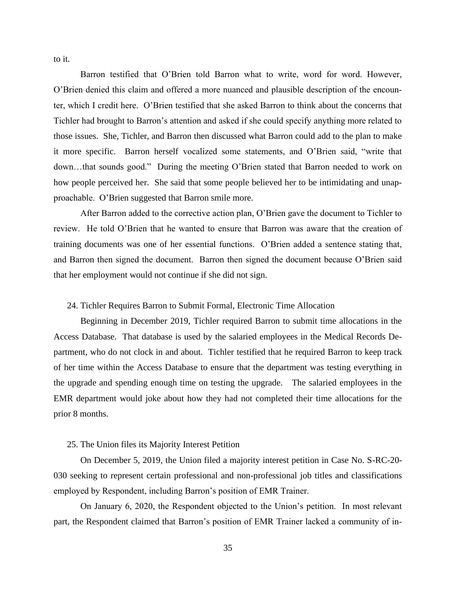to it.

Barron testified that O'Brien told Barron what to write, word for word. However, O'Brien denied this claim and offered a more nuanced and plausible description of the encounter, which I credit here. O'Brien testified that she asked Barron to think about the concerns that Tichler had brought to Barron's attention and asked if she could specify anything more related to those issues. She, Tichler, and Barron then discussed what Barron could add to the plan to make it more specific. Barron herself vocalized some statements, and O'Brien said, "write that down…that sounds good." During the meeting O'Brien stated that Barron needed to work on how people perceived her. She said that some people believed her to be intimidating and unapproachable. O'Brien suggested that Barron smile more.

After Barron added to the corrective action plan, O'Brien gave the document to Tichler to review. He told O'Brien that he wanted to ensure that Barron was aware that the creation of training documents was one of her essential functions. O'Brien added a sentence stating that, and Barron then signed the document. Barron then signed the document because O'Brien said that her employment would not continue if she did not sign.

#### 24. Tichler Requires Barron to Submit Formal, Electronic Time Allocation

Beginning in December 2019, Tichler required Barron to submit time allocations in the Access Database. That database is used by the salaried employees in the Medical Records Department, who do not clock in and about. Tichler testified that he required Barron to keep track of her time within the Access Database to ensure that the department was testing everything in the upgrade and spending enough time on testing the upgrade. The salaried employees in the EMR department would joke about how they had not completed their time allocations for the prior 8 months.

#### 25. The Union files its Majority Interest Petition

On December 5, 2019, the Union filed a majority interest petition in Case No. S-RC-20- 030 seeking to represent certain professional and non-professional job titles and classifications employed by Respondent, including Barron's position of EMR Trainer.

On January 6, 2020, the Respondent objected to the Union's petition. In most relevant part, the Respondent claimed that Barron's position of EMR Trainer lacked a community of in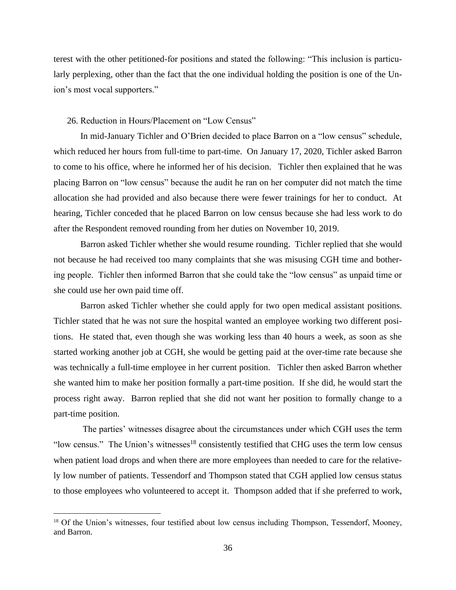terest with the other petitioned-for positions and stated the following: "This inclusion is particularly perplexing, other than the fact that the one individual holding the position is one of the Union's most vocal supporters."

#### 26. Reduction in Hours/Placement on "Low Census"

In mid-January Tichler and O'Brien decided to place Barron on a "low census" schedule, which reduced her hours from full-time to part-time. On January 17, 2020, Tichler asked Barron to come to his office, where he informed her of his decision. Tichler then explained that he was placing Barron on "low census" because the audit he ran on her computer did not match the time allocation she had provided and also because there were fewer trainings for her to conduct. At hearing, Tichler conceded that he placed Barron on low census because she had less work to do after the Respondent removed rounding from her duties on November 10, 2019.

Barron asked Tichler whether she would resume rounding. Tichler replied that she would not because he had received too many complaints that she was misusing CGH time and bothering people. Tichler then informed Barron that she could take the "low census" as unpaid time or she could use her own paid time off.

Barron asked Tichler whether she could apply for two open medical assistant positions. Tichler stated that he was not sure the hospital wanted an employee working two different positions. He stated that, even though she was working less than 40 hours a week, as soon as she started working another job at CGH, she would be getting paid at the over-time rate because she was technically a full-time employee in her current position. Tichler then asked Barron whether she wanted him to make her position formally a part-time position. If she did, he would start the process right away. Barron replied that she did not want her position to formally change to a part-time position.

The parties' witnesses disagree about the circumstances under which CGH uses the term "low census." The Union's witnesses<sup>18</sup> consistently testified that CHG uses the term low census when patient load drops and when there are more employees than needed to care for the relatively low number of patients. Tessendorf and Thompson stated that CGH applied low census status to those employees who volunteered to accept it. Thompson added that if she preferred to work,

<sup>&</sup>lt;sup>18</sup> Of the Union's witnesses, four testified about low census including Thompson, Tessendorf, Mooney, and Barron.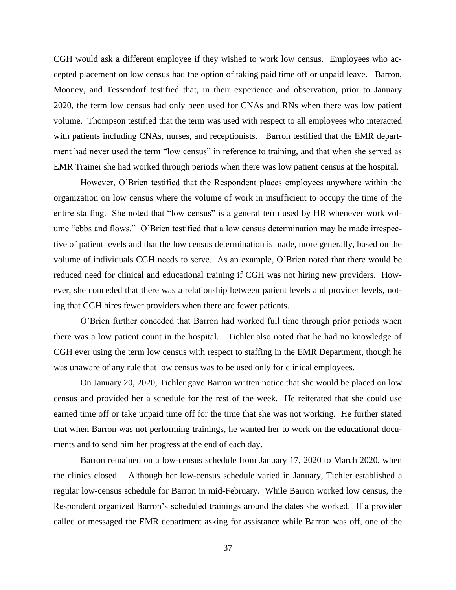CGH would ask a different employee if they wished to work low census. Employees who accepted placement on low census had the option of taking paid time off or unpaid leave. Barron, Mooney, and Tessendorf testified that, in their experience and observation, prior to January 2020, the term low census had only been used for CNAs and RNs when there was low patient volume. Thompson testified that the term was used with respect to all employees who interacted with patients including CNAs, nurses, and receptionists. Barron testified that the EMR department had never used the term "low census" in reference to training, and that when she served as EMR Trainer she had worked through periods when there was low patient census at the hospital.

However, O'Brien testified that the Respondent places employees anywhere within the organization on low census where the volume of work in insufficient to occupy the time of the entire staffing. She noted that "low census" is a general term used by HR whenever work volume "ebbs and flows." O'Brien testified that a low census determination may be made irrespective of patient levels and that the low census determination is made, more generally, based on the volume of individuals CGH needs to serve. As an example, O'Brien noted that there would be reduced need for clinical and educational training if CGH was not hiring new providers. However, she conceded that there was a relationship between patient levels and provider levels, noting that CGH hires fewer providers when there are fewer patients.

O'Brien further conceded that Barron had worked full time through prior periods when there was a low patient count in the hospital. Tichler also noted that he had no knowledge of CGH ever using the term low census with respect to staffing in the EMR Department, though he was unaware of any rule that low census was to be used only for clinical employees.

On January 20, 2020, Tichler gave Barron written notice that she would be placed on low census and provided her a schedule for the rest of the week. He reiterated that she could use earned time off or take unpaid time off for the time that she was not working. He further stated that when Barron was not performing trainings, he wanted her to work on the educational documents and to send him her progress at the end of each day.

Barron remained on a low-census schedule from January 17, 2020 to March 2020, when the clinics closed. Although her low-census schedule varied in January, Tichler established a regular low-census schedule for Barron in mid-February. While Barron worked low census, the Respondent organized Barron's scheduled trainings around the dates she worked. If a provider called or messaged the EMR department asking for assistance while Barron was off, one of the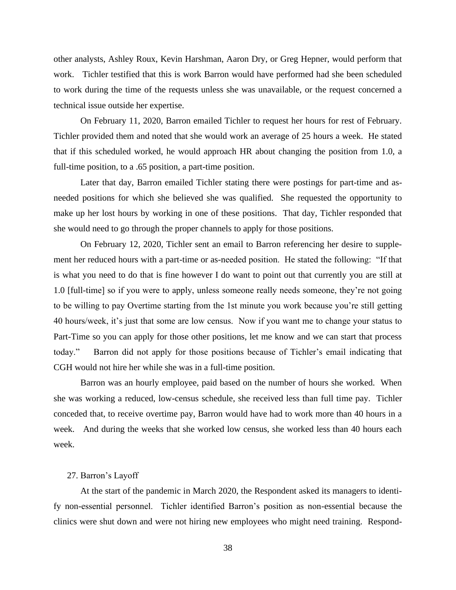other analysts, Ashley Roux, Kevin Harshman, Aaron Dry, or Greg Hepner, would perform that work. Tichler testified that this is work Barron would have performed had she been scheduled to work during the time of the requests unless she was unavailable, or the request concerned a technical issue outside her expertise.

On February 11, 2020, Barron emailed Tichler to request her hours for rest of February. Tichler provided them and noted that she would work an average of 25 hours a week. He stated that if this scheduled worked, he would approach HR about changing the position from 1.0, a full-time position, to a .65 position, a part-time position.

Later that day, Barron emailed Tichler stating there were postings for part-time and asneeded positions for which she believed she was qualified. She requested the opportunity to make up her lost hours by working in one of these positions. That day, Tichler responded that she would need to go through the proper channels to apply for those positions.

On February 12, 2020, Tichler sent an email to Barron referencing her desire to supplement her reduced hours with a part-time or as-needed position. He stated the following: "If that is what you need to do that is fine however I do want to point out that currently you are still at 1.0 [full-time] so if you were to apply, unless someone really needs someone, they're not going to be willing to pay Overtime starting from the 1st minute you work because you're still getting 40 hours/week, it's just that some are low census. Now if you want me to change your status to Part-Time so you can apply for those other positions, let me know and we can start that process today." Barron did not apply for those positions because of Tichler's email indicating that CGH would not hire her while she was in a full-time position.

Barron was an hourly employee, paid based on the number of hours she worked. When she was working a reduced, low-census schedule, she received less than full time pay. Tichler conceded that, to receive overtime pay, Barron would have had to work more than 40 hours in a week. And during the weeks that she worked low census, she worked less than 40 hours each week.

#### 27. Barron's Layoff

At the start of the pandemic in March 2020, the Respondent asked its managers to identify non-essential personnel. Tichler identified Barron's position as non-essential because the clinics were shut down and were not hiring new employees who might need training. Respond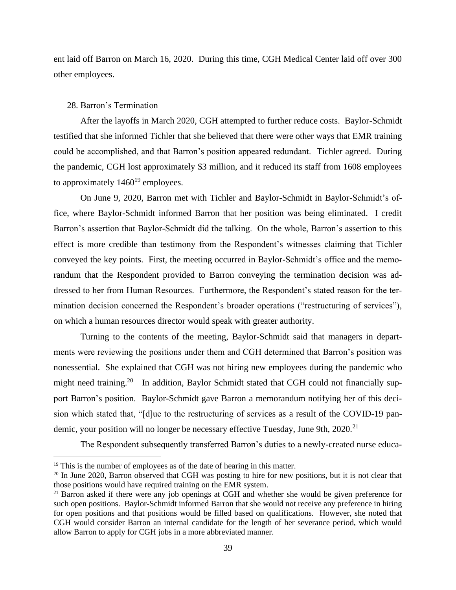ent laid off Barron on March 16, 2020. During this time, CGH Medical Center laid off over 300 other employees.

## 28. Barron's Termination

After the layoffs in March 2020, CGH attempted to further reduce costs. Baylor-Schmidt testified that she informed Tichler that she believed that there were other ways that EMR training could be accomplished, and that Barron's position appeared redundant. Tichler agreed. During the pandemic, CGH lost approximately \$3 million, and it reduced its staff from 1608 employees to approximately  $1460^{19}$  employees.

On June 9, 2020, Barron met with Tichler and Baylor-Schmidt in Baylor-Schmidt's office, where Baylor-Schmidt informed Barron that her position was being eliminated. I credit Barron's assertion that Baylor-Schmidt did the talking. On the whole, Barron's assertion to this effect is more credible than testimony from the Respondent's witnesses claiming that Tichler conveyed the key points. First, the meeting occurred in Baylor-Schmidt's office and the memorandum that the Respondent provided to Barron conveying the termination decision was addressed to her from Human Resources. Furthermore, the Respondent's stated reason for the termination decision concerned the Respondent's broader operations ("restructuring of services"), on which a human resources director would speak with greater authority.

Turning to the contents of the meeting, Baylor-Schmidt said that managers in departments were reviewing the positions under them and CGH determined that Barron's position was nonessential. She explained that CGH was not hiring new employees during the pandemic who might need training.<sup>20</sup> In addition, Baylor Schmidt stated that CGH could not financially support Barron's position. Baylor-Schmidt gave Barron a memorandum notifying her of this decision which stated that, "[d]ue to the restructuring of services as a result of the COVID-19 pandemic, your position will no longer be necessary effective Tuesday, June 9th, 2020.<sup>21</sup>

The Respondent subsequently transferred Barron's duties to a newly-created nurse educa-

<sup>&</sup>lt;sup>19</sup> This is the number of employees as of the date of hearing in this matter.

<sup>&</sup>lt;sup>20</sup> In June 2020, Barron observed that CGH was posting to hire for new positions, but it is not clear that those positions would have required training on the EMR system.

<sup>&</sup>lt;sup>21</sup> Barron asked if there were any job openings at CGH and whether she would be given preference for such open positions. Baylor-Schmidt informed Barron that she would not receive any preference in hiring for open positions and that positions would be filled based on qualifications. However, she noted that CGH would consider Barron an internal candidate for the length of her severance period, which would allow Barron to apply for CGH jobs in a more abbreviated manner.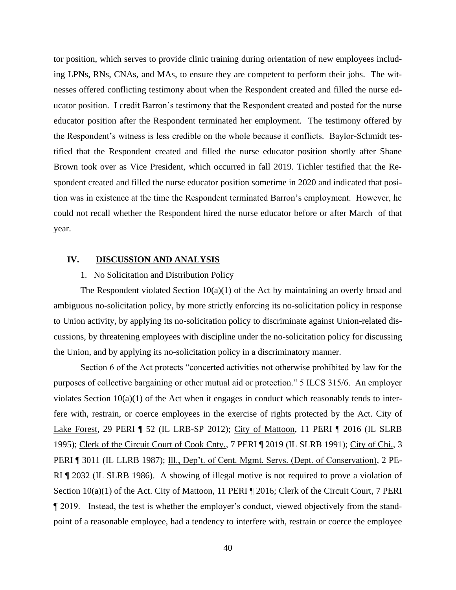tor position, which serves to provide clinic training during orientation of new employees including LPNs, RNs, CNAs, and MAs, to ensure they are competent to perform their jobs. The witnesses offered conflicting testimony about when the Respondent created and filled the nurse educator position. I credit Barron's testimony that the Respondent created and posted for the nurse educator position after the Respondent terminated her employment. The testimony offered by the Respondent's witness is less credible on the whole because it conflicts. Baylor-Schmidt testified that the Respondent created and filled the nurse educator position shortly after Shane Brown took over as Vice President, which occurred in fall 2019. Tichler testified that the Respondent created and filled the nurse educator position sometime in 2020 and indicated that position was in existence at the time the Respondent terminated Barron's employment. However, he could not recall whether the Respondent hired the nurse educator before or after March of that year.

# **IV. DISCUSSION AND ANALYSIS**

## 1. No Solicitation and Distribution Policy

The Respondent violated Section 10(a)(1) of the Act by maintaining an overly broad and ambiguous no-solicitation policy, by more strictly enforcing its no-solicitation policy in response to Union activity, by applying its no-solicitation policy to discriminate against Union-related discussions, by threatening employees with discipline under the no-solicitation policy for discussing the Union, and by applying its no-solicitation policy in a discriminatory manner.

Section 6 of the Act protects "concerted activities not otherwise prohibited by law for the purposes of collective bargaining or other mutual aid or protection." 5 ILCS 315/6. An employer violates Section 10(a)(1) of the Act when it engages in conduct which reasonably tends to interfere with, restrain, or coerce employees in the exercise of rights protected by the Act. City of Lake Forest, 29 PERI ¶ 52 (IL LRB-SP 2012); City of Mattoon, 11 PERI ¶ 2016 (IL SLRB 1995); Clerk of the Circuit Court of Cook Cnty., 7 PERI ¶ 2019 (IL SLRB 1991); City of Chi., 3 PERI ¶ 3011 (IL LLRB 1987); Ill., Dep't. of Cent. Mgmt. Servs. (Dept. of Conservation), 2 PE-RI ¶ 2032 (IL SLRB 1986). A showing of illegal motive is not required to prove a violation of Section 10(a)(1) of the Act. City of Mattoon, 11 PERI ¶ 2016; Clerk of the Circuit Court, 7 PERI ¶ 2019. Instead, the test is whether the employer's conduct, viewed objectively from the standpoint of a reasonable employee, had a tendency to interfere with, restrain or coerce the employee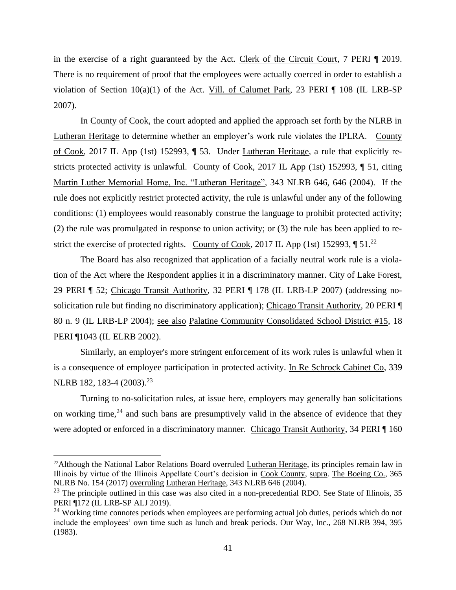in the exercise of a right guaranteed by the Act. Clerk of the Circuit Court, 7 PERI ¶ 2019. There is no requirement of proof that the employees were actually coerced in order to establish a violation of Section 10(a)(1) of the Act. Vill. of Calumet Park, 23 PERI ¶ 108 (IL LRB-SP 2007).

In County of Cook, the court adopted and applied the approach set forth by the NLRB in Lutheran Heritage to determine whether an employer's work rule violates the IPLRA. County of Cook, 2017 IL App (1st) 152993, ¶ 53. Under Lutheran Heritage, a rule that explicitly restricts protected activity is unlawful. County of Cook, 2017 IL App (1st) 152993, ¶ 51, citing Martin Luther Memorial Home, Inc. "Lutheran Heritage", 343 NLRB 646, 646 (2004). If the rule does not explicitly restrict protected activity, the rule is unlawful under any of the following conditions: (1) employees would reasonably construe the language to prohibit protected activity; (2) the rule was promulgated in response to union activity; or (3) the rule has been applied to restrict the exercise of protected rights. County of Cook, 2017 IL App (1st) 152993,  $\P$  51.<sup>22</sup>

The Board has also recognized that application of a facially neutral work rule is a violation of the Act where the Respondent applies it in a discriminatory manner. City of Lake Forest, 29 PERI ¶ 52; Chicago Transit Authority, 32 PERI ¶ 178 (IL LRB-LP 2007) (addressing nosolicitation rule but finding no discriminatory application); Chicago Transit Authority, 20 PERI ¶ 80 n. 9 (IL LRB-LP 2004); see also Palatine Community Consolidated School District #15, 18 PERI ¶1043 (IL ELRB 2002).

Similarly, an employer's more stringent enforcement of its work rules is unlawful when it is a consequence of employee participation in protected activity. In Re Schrock Cabinet Co, 339 NLRB 182, 183-4 (2003).<sup>23</sup>

Turning to no-solicitation rules, at issue here, employers may generally ban solicitations on working time, $24$  and such bans are presumptively valid in the absence of evidence that they were adopted or enforced in a discriminatory manner. Chicago Transit Authority, 34 PERI ¶ 160

<sup>&</sup>lt;sup>22</sup>Although the National Labor Relations Board overruled Lutheran Heritage, its principles remain law in Illinois by virtue of the Illinois Appellate Court's decision in Cook County, supra. The Boeing Co., 365 NLRB No. 154 (2017) overruling Lutheran Heritage, 343 NLRB 646 (2004).

 $23$  The principle outlined in this case was also cited in a non-precedential RDO. See State of Illinois, 35 PERI ¶172 (IL LRB-SP ALJ 2019).

<sup>&</sup>lt;sup>24</sup> Working time connotes periods when employees are performing actual job duties, periods which do not include the employees' own time such as lunch and break periods. Our Way, Inc., 268 NLRB 394, 395 (1983).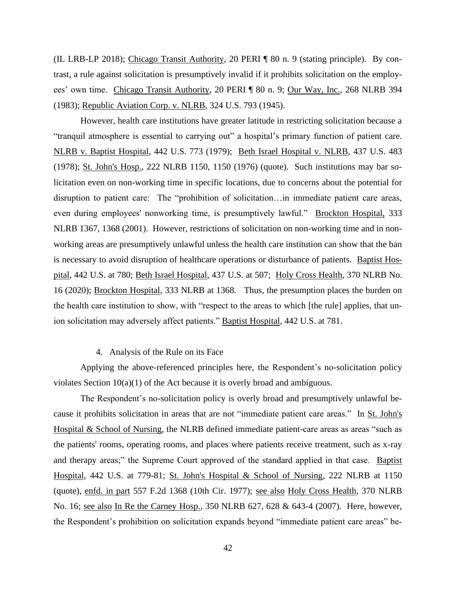(IL LRB-LP 2018); Chicago Transit Authority, 20 PERI ¶ 80 n. 9 (stating principle). By contrast, a rule against solicitation is presumptively invalid if it prohibits solicitation on the employees' own time. Chicago Transit Authority, 20 PERI ¶ 80 n. 9; Our Way, Inc., 268 NLRB 394 (1983); Republic Aviation Corp. v. NLRB, 324 U.S. 793 (1945).

However, health care institutions have greater latitude in restricting solicitation because a "tranquil atmosphere is essential to carrying out" a hospital's primary function of patient care. NLRB v. Baptist Hospital, 442 U.S. 773 (1979); Beth Israel Hospital v. NLRB, 437 U.S. 483 (1978); St. John's Hosp., 222 NLRB 1150, 1150 (1976) (quote). Such institutions may bar solicitation even on non-working time in specific locations, due to concerns about the potential for disruption to patient care: The "prohibition of solicitation…in immediate patient care areas, even during employees' nonworking time, is presumptively lawful." Brockton Hospital, 333 NLRB 1367, 1368 (2001). However, restrictions of solicitation on non-working time and in nonworking areas are presumptively unlawful unless the health care institution can show that the ban is necessary to avoid disruption of healthcare operations or disturbance of patients. Baptist Hospital, 442 U.S. at 780; Beth Israel Hospital, 437 U.S. at 507; Holy Cross Health, 370 NLRB No. 16 (2020); Brockton Hospital, 333 NLRB at 1368. Thus, the presumption places the burden on the health care institution to show, with "respect to the areas to which [the rule] applies, that union solicitation may adversely affect patients." Baptist Hospital, 442 U.S. at 781.

## 4. Analysis of the Rule on its Face

Applying the above-referenced principles here, the Respondent's no-solicitation policy violates Section 10(a)(1) of the Act because it is overly broad and ambiguous.

The Respondent's no-solicitation policy is overly broad and presumptively unlawful because it prohibits solicitation in areas that are not "immediate patient care areas." In St. John's Hospital & School of Nursing, the NLRB defined immediate patient-care areas as areas "such as the patients' rooms, operating rooms, and places where patients receive treatment, such as x-ray and therapy areas;" the Supreme Court approved of the standard applied in that case. Baptist Hospital, 442 U.S. at 779-81; St. John's Hospital & School of Nursing, 222 NLRB at 1150 (quote), enfd. in part 557 F.2d 1368 (10th Cir. 1977); see also Holy Cross Health, 370 NLRB No. 16; see also In Re the Carney Hosp., 350 NLRB 627, 628 & 643-4 (2007). Here, however, the Respondent's prohibition on solicitation expands beyond "immediate patient care areas" be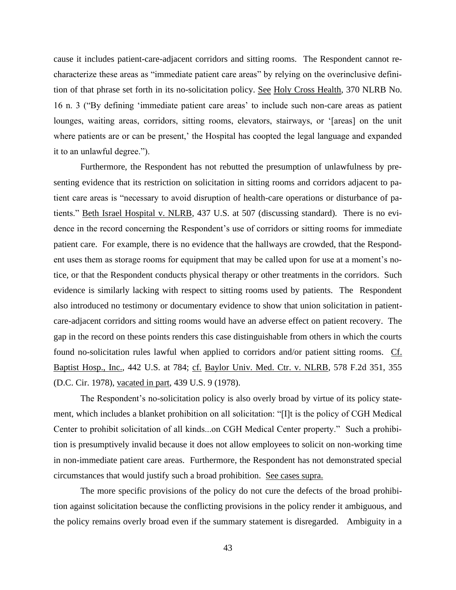cause it includes patient-care-adjacent corridors and sitting rooms. The Respondent cannot recharacterize these areas as "immediate patient care areas" by relying on the overinclusive definition of that phrase set forth in its no-solicitation policy. See Holy Cross Health, 370 NLRB No. 16 n. 3 ("By defining 'immediate patient care areas' to include such non-care areas as patient lounges, waiting areas, corridors, sitting rooms, elevators, stairways, or '[areas] on the unit where patients are or can be present,' the Hospital has coopted the legal language and expanded it to an unlawful degree.").

Furthermore, the Respondent has not rebutted the presumption of unlawfulness by presenting evidence that its restriction on solicitation in sitting rooms and corridors adjacent to patient care areas is "necessary to avoid disruption of health-care operations or disturbance of patients." Beth Israel Hospital v. NLRB, 437 U.S. at 507 (discussing standard). There is no evidence in the record concerning the Respondent's use of corridors or sitting rooms for immediate patient care. For example, there is no evidence that the hallways are crowded, that the Respondent uses them as storage rooms for equipment that may be called upon for use at a moment's notice, or that the Respondent conducts physical therapy or other treatments in the corridors. Such evidence is similarly lacking with respect to sitting rooms used by patients. The Respondent also introduced no testimony or documentary evidence to show that union solicitation in patientcare-adjacent corridors and sitting rooms would have an adverse effect on patient recovery. The gap in the record on these points renders this case distinguishable from others in which the courts found no-solicitation rules lawful when applied to corridors and/or patient sitting rooms. Cf. Baptist Hosp., Inc., 442 U.S. at 784; cf. Baylor Univ. Med. Ctr. v. NLRB, 578 F.2d 351, 355 (D.C. Cir. 1978), vacated in part, 439 U.S. 9 (1978).

The Respondent's no-solicitation policy is also overly broad by virtue of its policy statement, which includes a blanket prohibition on all solicitation: "[I]t is the policy of CGH Medical Center to prohibit solicitation of all kinds...on CGH Medical Center property." Such a prohibition is presumptively invalid because it does not allow employees to solicit on non-working time in non-immediate patient care areas. Furthermore, the Respondent has not demonstrated special circumstances that would justify such a broad prohibition. See cases supra.

The more specific provisions of the policy do not cure the defects of the broad prohibition against solicitation because the conflicting provisions in the policy render it ambiguous, and the policy remains overly broad even if the summary statement is disregarded. Ambiguity in a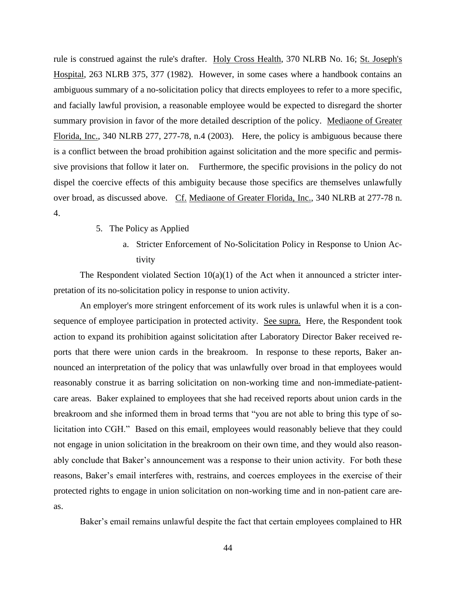rule is construed against the rule's drafter. Holy Cross Health, 370 NLRB No. 16; St. Joseph's Hospital, 263 NLRB 375, 377 (1982). However, in some cases where a handbook contains an ambiguous summary of a no-solicitation policy that directs employees to refer to a more specific, and facially lawful provision, a reasonable employee would be expected to disregard the shorter summary provision in favor of the more detailed description of the policy. Mediaone of Greater Florida, Inc., 340 NLRB 277, 277-78, n.4 (2003). Here, the policy is ambiguous because there is a conflict between the broad prohibition against solicitation and the more specific and permissive provisions that follow it later on. Furthermore, the specific provisions in the policy do not dispel the coercive effects of this ambiguity because those specifics are themselves unlawfully over broad, as discussed above. Cf. Mediaone of Greater Florida, Inc., 340 NLRB at 277-78 n. 4.

- 5. The Policy as Applied
	- a. Stricter Enforcement of No-Solicitation Policy in Response to Union Activity

The Respondent violated Section  $10(a)(1)$  of the Act when it announced a stricter interpretation of its no-solicitation policy in response to union activity.

An employer's more stringent enforcement of its work rules is unlawful when it is a consequence of employee participation in protected activity. See supra. Here, the Respondent took action to expand its prohibition against solicitation after Laboratory Director Baker received reports that there were union cards in the breakroom. In response to these reports, Baker announced an interpretation of the policy that was unlawfully over broad in that employees would reasonably construe it as barring solicitation on non-working time and non-immediate-patientcare areas. Baker explained to employees that she had received reports about union cards in the breakroom and she informed them in broad terms that "you are not able to bring this type of solicitation into CGH." Based on this email, employees would reasonably believe that they could not engage in union solicitation in the breakroom on their own time, and they would also reasonably conclude that Baker's announcement was a response to their union activity. For both these reasons, Baker's email interferes with, restrains, and coerces employees in the exercise of their protected rights to engage in union solicitation on non-working time and in non-patient care areas.

Baker's email remains unlawful despite the fact that certain employees complained to HR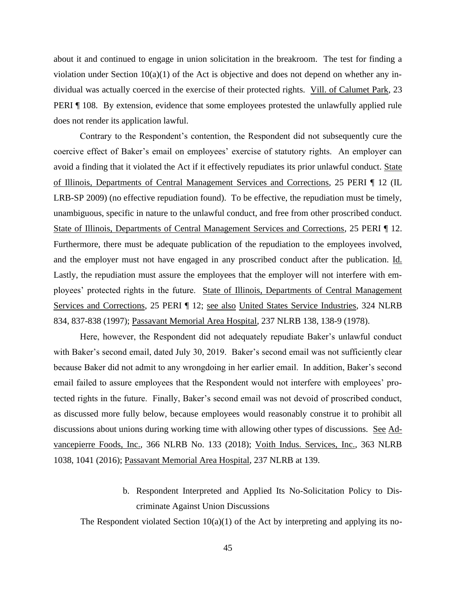about it and continued to engage in union solicitation in the breakroom. The test for finding a violation under Section  $10(a)(1)$  of the Act is objective and does not depend on whether any individual was actually coerced in the exercise of their protected rights. Vill. of Calumet Park, 23 PERI ¶ 108. By extension, evidence that some employees protested the unlawfully applied rule does not render its application lawful.

Contrary to the Respondent's contention, the Respondent did not subsequently cure the coercive effect of Baker's email on employees' exercise of statutory rights. An employer can avoid a finding that it violated the Act if it effectively repudiates its prior unlawful conduct. State of Illinois, Departments of Central Management Services and Corrections, 25 PERI ¶ 12 (IL LRB-SP 2009) (no effective repudiation found). To be effective, the repudiation must be timely, unambiguous, specific in nature to the unlawful conduct, and free from other proscribed conduct. State of Illinois, Departments of Central Management Services and Corrections, 25 PERI ¶ 12. Furthermore, there must be adequate publication of the repudiation to the employees involved, and the employer must not have engaged in any proscribed conduct after the publication. Id. Lastly, the repudiation must assure the employees that the employer will not interfere with employees' protected rights in the future. State of Illinois, Departments of Central Management Services and Corrections, 25 PERI ¶ 12; see also United States Service Industries, 324 NLRB 834, 837-838 (1997); Passavant Memorial Area Hospital, 237 NLRB 138, 138-9 (1978).

Here, however, the Respondent did not adequately repudiate Baker's unlawful conduct with Baker's second email, dated July 30, 2019. Baker's second email was not sufficiently clear because Baker did not admit to any wrongdoing in her earlier email. In addition, Baker's second email failed to assure employees that the Respondent would not interfere with employees' protected rights in the future. Finally, Baker's second email was not devoid of proscribed conduct, as discussed more fully below, because employees would reasonably construe it to prohibit all discussions about unions during working time with allowing other types of discussions. See Advancepierre Foods, Inc., 366 NLRB No. 133 (2018); Voith Indus. Services, Inc., 363 NLRB 1038, 1041 (2016); Passavant Memorial Area Hospital, 237 NLRB at 139.

> b. Respondent Interpreted and Applied Its No-Solicitation Policy to Discriminate Against Union Discussions

The Respondent violated Section  $10(a)(1)$  of the Act by interpreting and applying its no-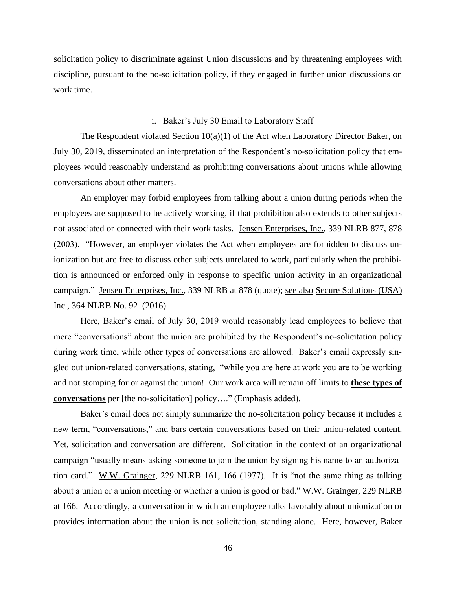solicitation policy to discriminate against Union discussions and by threatening employees with discipline, pursuant to the no-solicitation policy, if they engaged in further union discussions on work time.

## i. Baker's July 30 Email to Laboratory Staff

The Respondent violated Section 10(a)(1) of the Act when Laboratory Director Baker, on July 30, 2019, disseminated an interpretation of the Respondent's no-solicitation policy that employees would reasonably understand as prohibiting conversations about unions while allowing conversations about other matters.

An employer may forbid employees from talking about a union during periods when the employees are supposed to be actively working, if that prohibition also extends to other subjects not associated or connected with their work tasks. Jensen Enterprises, Inc., 339 NLRB 877, 878 (2003). "However, an employer violates the Act when employees are forbidden to discuss unionization but are free to discuss other subjects unrelated to work, particularly when the prohibition is announced or enforced only in response to specific union activity in an organizational campaign." Jensen Enterprises, Inc., 339 NLRB at 878 (quote); see also Secure Solutions (USA) Inc., 364 NLRB No. 92 (2016).

Here, Baker's email of July 30, 2019 would reasonably lead employees to believe that mere "conversations" about the union are prohibited by the Respondent's no-solicitation policy during work time, while other types of conversations are allowed. Baker's email expressly singled out union-related conversations, stating, "while you are here at work you are to be working and not stomping for or against the union! Our work area will remain off limits to **these types of conversations** per [the no-solicitation] policy…." (Emphasis added).

Baker's email does not simply summarize the no-solicitation policy because it includes a new term, "conversations," and bars certain conversations based on their union-related content. Yet, solicitation and conversation are different. Solicitation in the context of an organizational campaign "usually means asking someone to join the union by signing his name to an authorization card." W.W. Grainger, 229 NLRB 161, 166 (1977). It is "not the same thing as talking about a union or a union meeting or whether a union is good or bad." W.W. Grainger, 229 NLRB at 166. Accordingly, a conversation in which an employee talks favorably about unionization or provides information about the union is not solicitation, standing alone. Here, however, Baker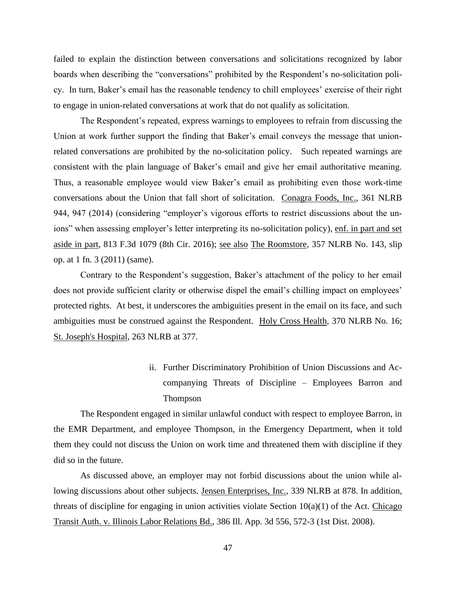failed to explain the distinction between conversations and solicitations recognized by labor boards when describing the "conversations" prohibited by the Respondent's no-solicitation policy. In turn, Baker's email has the reasonable tendency to chill employees' exercise of their right to engage in union-related conversations at work that do not qualify as solicitation.

The Respondent's repeated, express warnings to employees to refrain from discussing the Union at work further support the finding that Baker's email conveys the message that unionrelated conversations are prohibited by the no-solicitation policy. Such repeated warnings are consistent with the plain language of Baker's email and give her email authoritative meaning. Thus, a reasonable employee would view Baker's email as prohibiting even those work-time conversations about the Union that fall short of solicitation. Conagra Foods, Inc., 361 NLRB 944, 947 (2014) (considering "employer's vigorous efforts to restrict discussions about the unions" when assessing employer's letter interpreting its no-solicitation policy), enf. in part and set aside in part, 813 F.3d 1079 (8th Cir. 2016); see also The Roomstore, 357 NLRB No. 143, slip op. at 1 fn. 3 (2011) (same).

Contrary to the Respondent's suggestion, Baker's attachment of the policy to her email does not provide sufficient clarity or otherwise dispel the email's chilling impact on employees' protected rights. At best, it underscores the ambiguities present in the email on its face, and such ambiguities must be construed against the Respondent. Holy Cross Health, 370 NLRB No. 16; St. Joseph's Hospital, 263 NLRB at 377.

> ii. Further Discriminatory Prohibition of Union Discussions and Accompanying Threats of Discipline – Employees Barron and Thompson

The Respondent engaged in similar unlawful conduct with respect to employee Barron, in the EMR Department, and employee Thompson, in the Emergency Department, when it told them they could not discuss the Union on work time and threatened them with discipline if they did so in the future.

As discussed above, an employer may not forbid discussions about the union while allowing discussions about other subjects. Jensen Enterprises, Inc., 339 NLRB at 878. In addition, threats of discipline for engaging in union activities violate Section  $10(a)(1)$  of the Act. Chicago Transit Auth. v. Illinois Labor Relations Bd., 386 Ill. App. 3d 556, 572-3 (1st Dist. 2008).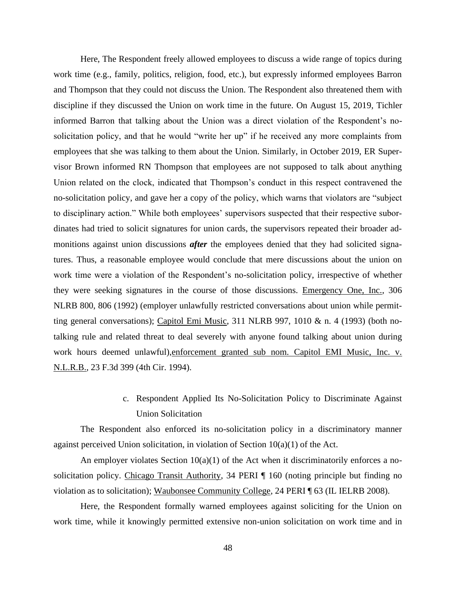Here, The Respondent freely allowed employees to discuss a wide range of topics during work time (e.g., family, politics, religion, food, etc.), but expressly informed employees Barron and Thompson that they could not discuss the Union. The Respondent also threatened them with discipline if they discussed the Union on work time in the future. On August 15, 2019, Tichler informed Barron that talking about the Union was a direct violation of the Respondent's nosolicitation policy, and that he would "write her up" if he received any more complaints from employees that she was talking to them about the Union. Similarly, in October 2019, ER Supervisor Brown informed RN Thompson that employees are not supposed to talk about anything Union related on the clock, indicated that Thompson's conduct in this respect contravened the no-solicitation policy, and gave her a copy of the policy, which warns that violators are "subject to disciplinary action." While both employees' supervisors suspected that their respective subordinates had tried to solicit signatures for union cards, the supervisors repeated their broader admonitions against union discussions *after* the employees denied that they had solicited signatures. Thus, a reasonable employee would conclude that mere discussions about the union on work time were a violation of the Respondent's no-solicitation policy, irrespective of whether they were seeking signatures in the course of those discussions. Emergency One, Inc., 306 NLRB 800, 806 (1992) (employer unlawfully restricted conversations about union while permitting general conversations); Capitol Emi Music, 311 NLRB 997, 1010 & n. 4 (1993) (both notalking rule and related threat to deal severely with anyone found talking about union during work hours deemed unlawful),enforcement granted sub nom. Capitol EMI Music, Inc. v. N.L.R.B., 23 F.3d 399 (4th Cir. 1994).

# c. Respondent Applied Its No-Solicitation Policy to Discriminate Against Union Solicitation

The Respondent also enforced its no-solicitation policy in a discriminatory manner against perceived Union solicitation, in violation of Section  $10(a)(1)$  of the Act.

An employer violates Section  $10(a)(1)$  of the Act when it discriminatorily enforces a nosolicitation policy. Chicago Transit Authority, 34 PERI ¶ 160 (noting principle but finding no violation as to solicitation); Waubonsee Community College, 24 PERI ¶ 63 (IL IELRB 2008).

Here, the Respondent formally warned employees against soliciting for the Union on work time, while it knowingly permitted extensive non-union solicitation on work time and in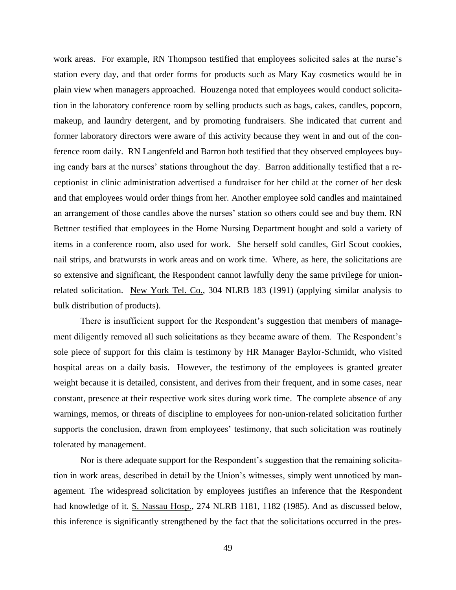work areas. For example, RN Thompson testified that employees solicited sales at the nurse's station every day, and that order forms for products such as Mary Kay cosmetics would be in plain view when managers approached. Houzenga noted that employees would conduct solicitation in the laboratory conference room by selling products such as bags, cakes, candles, popcorn, makeup, and laundry detergent, and by promoting fundraisers. She indicated that current and former laboratory directors were aware of this activity because they went in and out of the conference room daily. RN Langenfeld and Barron both testified that they observed employees buying candy bars at the nurses' stations throughout the day. Barron additionally testified that a receptionist in clinic administration advertised a fundraiser for her child at the corner of her desk and that employees would order things from her. Another employee sold candles and maintained an arrangement of those candles above the nurses' station so others could see and buy them. RN Bettner testified that employees in the Home Nursing Department bought and sold a variety of items in a conference room, also used for work. She herself sold candles, Girl Scout cookies, nail strips, and bratwursts in work areas and on work time. Where, as here, the solicitations are so extensive and significant, the Respondent cannot lawfully deny the same privilege for unionrelated solicitation. New York Tel. Co., 304 NLRB 183 (1991) (applying similar analysis to bulk distribution of products).

There is insufficient support for the Respondent's suggestion that members of management diligently removed all such solicitations as they became aware of them. The Respondent's sole piece of support for this claim is testimony by HR Manager Baylor-Schmidt, who visited hospital areas on a daily basis. However, the testimony of the employees is granted greater weight because it is detailed, consistent, and derives from their frequent, and in some cases, near constant, presence at their respective work sites during work time. The complete absence of any warnings, memos, or threats of discipline to employees for non-union-related solicitation further supports the conclusion, drawn from employees' testimony, that such solicitation was routinely tolerated by management.

Nor is there adequate support for the Respondent's suggestion that the remaining solicitation in work areas, described in detail by the Union's witnesses, simply went unnoticed by management. The widespread solicitation by employees justifies an inference that the Respondent had knowledge of it. S. Nassau Hosp., 274 NLRB 1181, 1182 (1985). And as discussed below, this inference is significantly strengthened by the fact that the solicitations occurred in the pres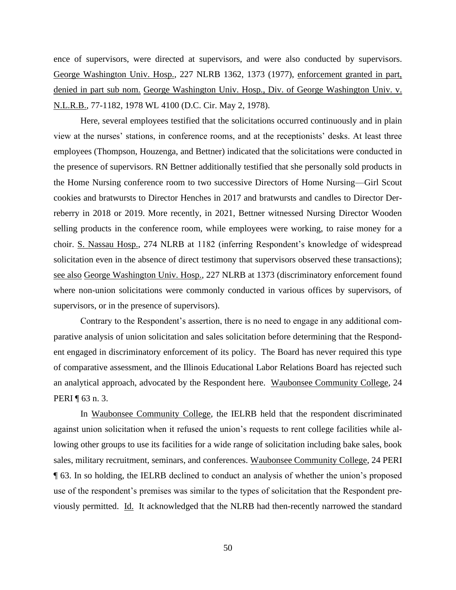ence of supervisors, were directed at supervisors, and were also conducted by supervisors. George Washington Univ. Hosp., 227 NLRB 1362, 1373 (1977), enforcement granted in part, denied in part sub nom. George Washington Univ. Hosp., Div. of George Washington Univ. v. N.L.R.B., 77-1182, 1978 WL 4100 (D.C. Cir. May 2, 1978).

Here, several employees testified that the solicitations occurred continuously and in plain view at the nurses' stations, in conference rooms, and at the receptionists' desks. At least three employees (Thompson, Houzenga, and Bettner) indicated that the solicitations were conducted in the presence of supervisors. RN Bettner additionally testified that she personally sold products in the Home Nursing conference room to two successive Directors of Home Nursing—Girl Scout cookies and bratwursts to Director Henches in 2017 and bratwursts and candles to Director Derreberry in 2018 or 2019. More recently, in 2021, Bettner witnessed Nursing Director Wooden selling products in the conference room, while employees were working, to raise money for a choir. S. Nassau Hosp., 274 NLRB at 1182 (inferring Respondent's knowledge of widespread solicitation even in the absence of direct testimony that supervisors observed these transactions); see also George Washington Univ. Hosp., 227 NLRB at 1373 (discriminatory enforcement found where non-union solicitations were commonly conducted in various offices by supervisors, of supervisors, or in the presence of supervisors).

Contrary to the Respondent's assertion, there is no need to engage in any additional comparative analysis of union solicitation and sales solicitation before determining that the Respondent engaged in discriminatory enforcement of its policy. The Board has never required this type of comparative assessment, and the Illinois Educational Labor Relations Board has rejected such an analytical approach, advocated by the Respondent here. Waubonsee Community College, 24 PERI ¶ 63 n. 3.

In Waubonsee Community College, the IELRB held that the respondent discriminated against union solicitation when it refused the union's requests to rent college facilities while allowing other groups to use its facilities for a wide range of solicitation including bake sales, book sales, military recruitment, seminars, and conferences. Waubonsee Community College, 24 PERI ¶ 63. In so holding, the IELRB declined to conduct an analysis of whether the union's proposed use of the respondent's premises was similar to the types of solicitation that the Respondent previously permitted. Id. It acknowledged that the NLRB had then-recently narrowed the standard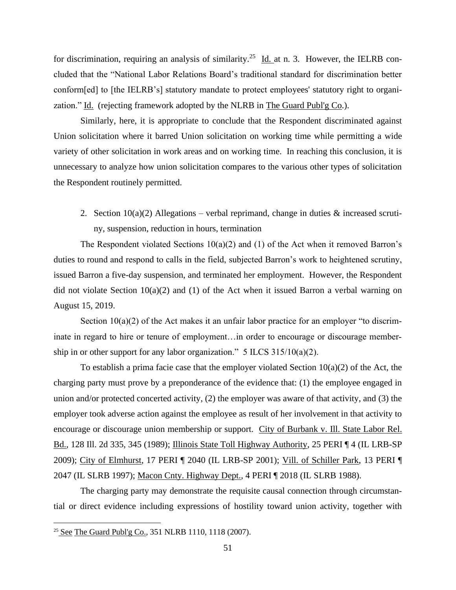for discrimination, requiring an analysis of similarity.<sup>25</sup> Id. at n. 3. However, the IELRB concluded that the "National Labor Relations Board's traditional standard for discrimination better conform[ed] to [the IELRB's] statutory mandate to protect employees' statutory right to organization." Id. (rejecting framework adopted by the NLRB in The Guard Publ'g Co.).

Similarly, here, it is appropriate to conclude that the Respondent discriminated against Union solicitation where it barred Union solicitation on working time while permitting a wide variety of other solicitation in work areas and on working time. In reaching this conclusion, it is unnecessary to analyze how union solicitation compares to the various other types of solicitation the Respondent routinely permitted.

2. Section  $10(a)(2)$  Allegations – verbal reprimand, change in duties & increased scrutiny, suspension, reduction in hours, termination

The Respondent violated Sections  $10(a)(2)$  and (1) of the Act when it removed Barron's duties to round and respond to calls in the field, subjected Barron's work to heightened scrutiny, issued Barron a five-day suspension, and terminated her employment. However, the Respondent did not violate Section 10(a)(2) and (1) of the Act when it issued Barron a verbal warning on August 15, 2019.

Section  $10(a)(2)$  of the Act makes it an unfair labor practice for an employer "to discriminate in regard to hire or tenure of employment…in order to encourage or discourage membership in or other support for any labor organization."  $5$  ILCS 315/10(a)(2).

To establish a prima facie case that the employer violated Section  $10(a)(2)$  of the Act, the charging party must prove by a preponderance of the evidence that: (1) the employee engaged in union and/or protected concerted activity, (2) the employer was aware of that activity, and (3) the employer took adverse action against the employee as result of her involvement in that activity to encourage or discourage union membership or support. City of Burbank v. Ill. State Labor Rel. Bd., 128 Ill. 2d 335, 345 (1989); Illinois State Toll Highway Authority, 25 PERI ¶ 4 (IL LRB-SP 2009); City of Elmhurst, 17 PERI ¶ 2040 (IL LRB-SP 2001); Vill. of Schiller Park, 13 PERI ¶ 2047 (IL SLRB 1997); Macon Cnty. Highway Dept., 4 PERI ¶ 2018 (IL SLRB 1988).

The charging party may demonstrate the requisite causal connection through circumstantial or direct evidence including expressions of hostility toward union activity, together with

<sup>&</sup>lt;sup>25</sup> See The Guard Publ'g Co., 351 NLRB 1110, 1118 (2007).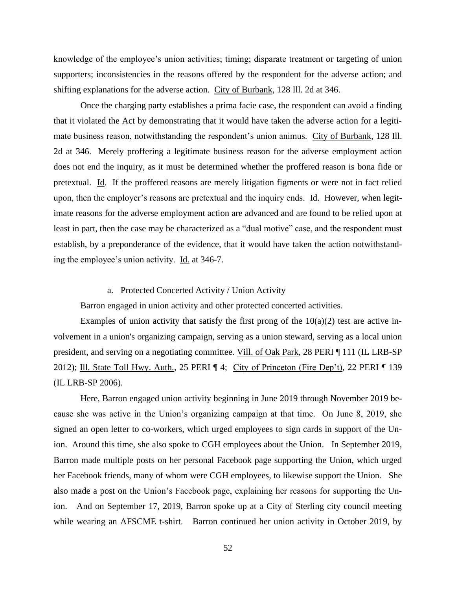knowledge of the employee's union activities; timing; disparate treatment or targeting of union supporters; inconsistencies in the reasons offered by the respondent for the adverse action; and shifting explanations for the adverse action. City of Burbank, 128 Ill. 2d at 346.

Once the charging party establishes a prima facie case, the respondent can avoid a finding that it violated the Act by demonstrating that it would have taken the adverse action for a legitimate business reason, notwithstanding the respondent's union animus. City of Burbank, 128 Ill. 2d at 346. Merely proffering a legitimate business reason for the adverse employment action does not end the inquiry, as it must be determined whether the proffered reason is bona fide or pretextual. Id. If the proffered reasons are merely litigation figments or were not in fact relied upon, then the employer's reasons are pretextual and the inquiry ends. Id. However, when legitimate reasons for the adverse employment action are advanced and are found to be relied upon at least in part, then the case may be characterized as a "dual motive" case, and the respondent must establish, by a preponderance of the evidence, that it would have taken the action notwithstanding the employee's union activity. Id. at 346-7.

#### a. Protected Concerted Activity / Union Activity

Barron engaged in union activity and other protected concerted activities.

Examples of union activity that satisfy the first prong of the  $10(a)(2)$  test are active involvement in a union's organizing campaign, serving as a union steward, serving as a local union president, and serving on a negotiating committee. Vill. of Oak Park, 28 PERI ¶ 111 (IL LRB-SP 2012); Ill. State Toll Hwy. Auth., 25 PERI ¶ 4; City of Princeton (Fire Dep't), 22 PERI ¶ 139 (IL LRB-SP 2006).

Here, Barron engaged union activity beginning in June 2019 through November 2019 because she was active in the Union's organizing campaign at that time. On June 8, 2019, she signed an open letter to co-workers, which urged employees to sign cards in support of the Union. Around this time, she also spoke to CGH employees about the Union. In September 2019, Barron made multiple posts on her personal Facebook page supporting the Union, which urged her Facebook friends, many of whom were CGH employees, to likewise support the Union. She also made a post on the Union's Facebook page, explaining her reasons for supporting the Union. And on September 17, 2019, Barron spoke up at a City of Sterling city council meeting while wearing an AFSCME t-shirt. Barron continued her union activity in October 2019, by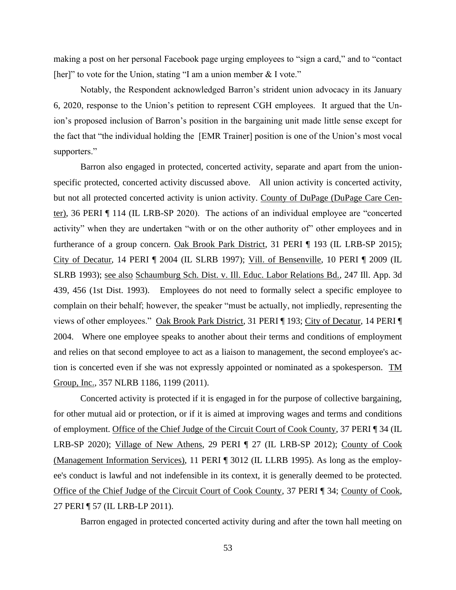making a post on her personal Facebook page urging employees to "sign a card," and to "contact [her]" to vote for the Union, stating "I am a union member & I vote."

Notably, the Respondent acknowledged Barron's strident union advocacy in its January 6, 2020, response to the Union's petition to represent CGH employees. It argued that the Union's proposed inclusion of Barron's position in the bargaining unit made little sense except for the fact that "the individual holding the [EMR Trainer] position is one of the Union's most vocal supporters."

Barron also engaged in protected, concerted activity, separate and apart from the unionspecific protected, concerted activity discussed above. All union activity is concerted activity, but not all protected concerted activity is union activity. County of DuPage (DuPage Care Center), 36 PERI ¶ 114 (IL LRB-SP 2020). The actions of an individual employee are "concerted activity" when they are undertaken "with or on the other authority of" other employees and in furtherance of a group concern. Oak Brook Park District, 31 PERI ¶ 193 (IL LRB-SP 2015); City of Decatur, 14 PERI ¶ 2004 (IL SLRB 1997); Vill. of Bensenville, 10 PERI ¶ 2009 (IL SLRB 1993); see also Schaumburg Sch. Dist. v. Ill. Educ. Labor Relations Bd., 247 Ill. App. 3d 439, 456 (1st Dist. 1993). Employees do not need to formally select a specific employee to complain on their behalf; however, the speaker "must be actually, not impliedly, representing the views of other employees." Oak Brook Park District, 31 PERI ¶ 193; City of Decatur, 14 PERI ¶ 2004. Where one employee speaks to another about their terms and conditions of employment and relies on that second employee to act as a liaison to management, the second employee's action is concerted even if she was not expressly appointed or nominated as a spokesperson. TM Group, Inc., 357 NLRB 1186, 1199 (2011).

Concerted activity is protected if it is engaged in for the purpose of collective bargaining, for other mutual aid or protection, or if it is aimed at improving wages and terms and conditions of employment. Office of the Chief Judge of the Circuit Court of Cook County, 37 PERI ¶ 34 (IL LRB-SP 2020); Village of New Athens, 29 PERI ¶ 27 (IL LRB-SP 2012); County of Cook (Management Information Services), 11 PERI ¶ 3012 (IL LLRB 1995). As long as the employee's conduct is lawful and not indefensible in its context, it is generally deemed to be protected. Office of the Chief Judge of the Circuit Court of Cook County, 37 PERI ¶ 34; County of Cook, 27 PERI ¶ 57 (IL LRB-LP 2011).

Barron engaged in protected concerted activity during and after the town hall meeting on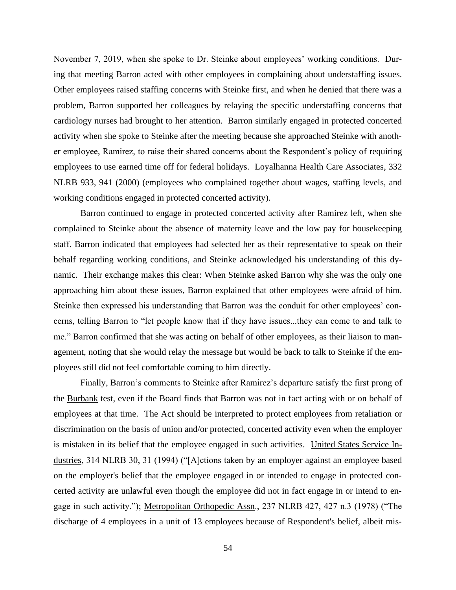November 7, 2019, when she spoke to Dr. Steinke about employees' working conditions. During that meeting Barron acted with other employees in complaining about understaffing issues. Other employees raised staffing concerns with Steinke first, and when he denied that there was a problem, Barron supported her colleagues by relaying the specific understaffing concerns that cardiology nurses had brought to her attention. Barron similarly engaged in protected concerted activity when she spoke to Steinke after the meeting because she approached Steinke with another employee, Ramirez, to raise their shared concerns about the Respondent's policy of requiring employees to use earned time off for federal holidays. Loyalhanna Health Care Associates, 332 NLRB 933, 941 (2000) (employees who complained together about wages, staffing levels, and working conditions engaged in protected concerted activity).

Barron continued to engage in protected concerted activity after Ramirez left, when she complained to Steinke about the absence of maternity leave and the low pay for housekeeping staff. Barron indicated that employees had selected her as their representative to speak on their behalf regarding working conditions, and Steinke acknowledged his understanding of this dynamic. Their exchange makes this clear: When Steinke asked Barron why she was the only one approaching him about these issues, Barron explained that other employees were afraid of him. Steinke then expressed his understanding that Barron was the conduit for other employees' concerns, telling Barron to "let people know that if they have issues...they can come to and talk to me." Barron confirmed that she was acting on behalf of other employees, as their liaison to management, noting that she would relay the message but would be back to talk to Steinke if the employees still did not feel comfortable coming to him directly.

Finally, Barron's comments to Steinke after Ramirez's departure satisfy the first prong of the Burbank test, even if the Board finds that Barron was not in fact acting with or on behalf of employees at that time. The Act should be interpreted to protect employees from retaliation or discrimination on the basis of union and/or protected, concerted activity even when the employer is mistaken in its belief that the employee engaged in such activities. United States Service Industries, 314 NLRB 30, 31 (1994) ("[A]ctions taken by an employer against an employee based on the employer's belief that the employee engaged in or intended to engage in protected concerted activity are unlawful even though the employee did not in fact engage in or intend to engage in such activity."); Metropolitan Orthopedic Assn., 237 NLRB 427, 427 n.3 (1978) ("The discharge of 4 employees in a unit of 13 employees because of Respondent's belief, albeit mis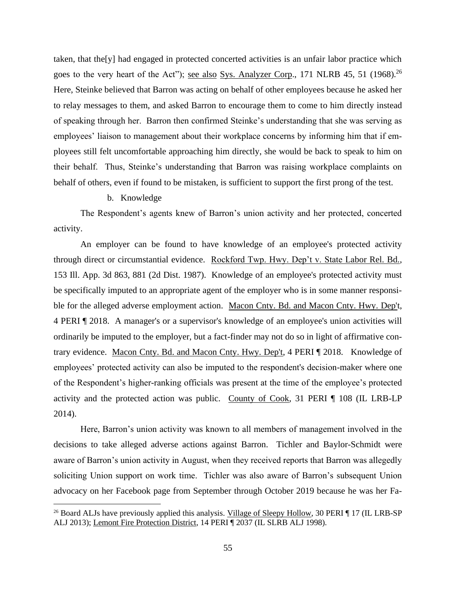taken, that the[y] had engaged in protected concerted activities is an unfair labor practice which goes to the very heart of the Act"); <u>see also Sys. Analyzer Corp</u>., 171 NLRB 45, 51 (1968).<sup>26</sup> Here, Steinke believed that Barron was acting on behalf of other employees because he asked her to relay messages to them, and asked Barron to encourage them to come to him directly instead of speaking through her. Barron then confirmed Steinke's understanding that she was serving as employees' liaison to management about their workplace concerns by informing him that if employees still felt uncomfortable approaching him directly, she would be back to speak to him on their behalf. Thus, Steinke's understanding that Barron was raising workplace complaints on behalf of others, even if found to be mistaken, is sufficient to support the first prong of the test.

## b. Knowledge

The Respondent's agents knew of Barron's union activity and her protected, concerted activity.

An employer can be found to have knowledge of an employee's protected activity through direct or circumstantial evidence. Rockford Twp. Hwy. Dep't v. State Labor Rel. Bd., 153 Ill. App. 3d 863, 881 (2d Dist. 1987). Knowledge of an employee's protected activity must be specifically imputed to an appropriate agent of the employer who is in some manner responsible for the alleged adverse employment action. Macon Cnty. Bd. and Macon Cnty. Hwy. Dep't, 4 PERI ¶ 2018. A manager's or a supervisor's knowledge of an employee's union activities will ordinarily be imputed to the employer, but a fact-finder may not do so in light of affirmative contrary evidence. Macon Cnty. Bd. and Macon Cnty. Hwy. Dep't, 4 PERI ¶ 2018. Knowledge of employees' protected activity can also be imputed to the respondent's decision-maker where one of the Respondent's higher-ranking officials was present at the time of the employee's protected activity and the protected action was public. County of Cook, 31 PERI ¶ 108 (IL LRB-LP 2014).

Here, Barron's union activity was known to all members of management involved in the decisions to take alleged adverse actions against Barron. Tichler and Baylor-Schmidt were aware of Barron's union activity in August, when they received reports that Barron was allegedly soliciting Union support on work time. Tichler was also aware of Barron's subsequent Union advocacy on her Facebook page from September through October 2019 because he was her Fa-

<sup>&</sup>lt;sup>26</sup> Board ALJs have previously applied this analysis. Village of Sleepy Hollow, 30 PERI ¶ 17 (IL LRB-SP) ALJ 2013); Lemont Fire Protection District, 14 PERI ¶ 2037 (IL SLRB ALJ 1998).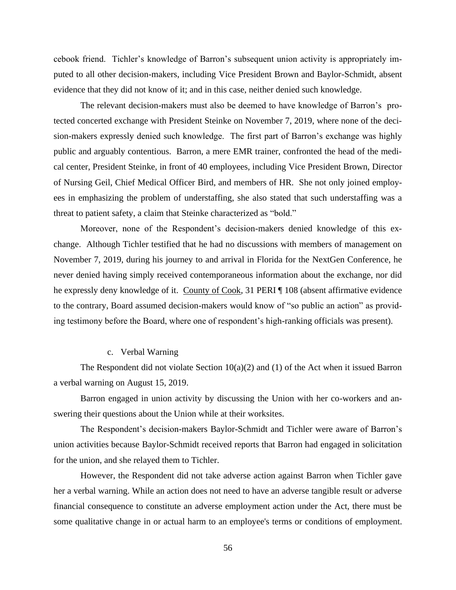cebook friend. Tichler's knowledge of Barron's subsequent union activity is appropriately imputed to all other decision-makers, including Vice President Brown and Baylor-Schmidt, absent evidence that they did not know of it; and in this case, neither denied such knowledge.

The relevant decision-makers must also be deemed to have knowledge of Barron's protected concerted exchange with President Steinke on November 7, 2019, where none of the decision-makers expressly denied such knowledge. The first part of Barron's exchange was highly public and arguably contentious. Barron, a mere EMR trainer, confronted the head of the medical center, President Steinke, in front of 40 employees, including Vice President Brown, Director of Nursing Geil, Chief Medical Officer Bird, and members of HR. She not only joined employees in emphasizing the problem of understaffing, she also stated that such understaffing was a threat to patient safety, a claim that Steinke characterized as "bold."

Moreover, none of the Respondent's decision-makers denied knowledge of this exchange. Although Tichler testified that he had no discussions with members of management on November 7, 2019, during his journey to and arrival in Florida for the NextGen Conference, he never denied having simply received contemporaneous information about the exchange, nor did he expressly deny knowledge of it. County of Cook, 31 PERI ¶ 108 (absent affirmative evidence to the contrary, Board assumed decision-makers would know of "so public an action" as providing testimony before the Board, where one of respondent's high-ranking officials was present).

## c. Verbal Warning

The Respondent did not violate Section  $10(a)(2)$  and (1) of the Act when it issued Barron a verbal warning on August 15, 2019.

Barron engaged in union activity by discussing the Union with her co-workers and answering their questions about the Union while at their worksites.

The Respondent's decision-makers Baylor-Schmidt and Tichler were aware of Barron's union activities because Baylor-Schmidt received reports that Barron had engaged in solicitation for the union, and she relayed them to Tichler.

However, the Respondent did not take adverse action against Barron when Tichler gave her a verbal warning. While an action does not need to have an adverse tangible result or adverse financial consequence to constitute an adverse employment action under the Act, there must be some qualitative change in or actual harm to an employee's terms or conditions of employment.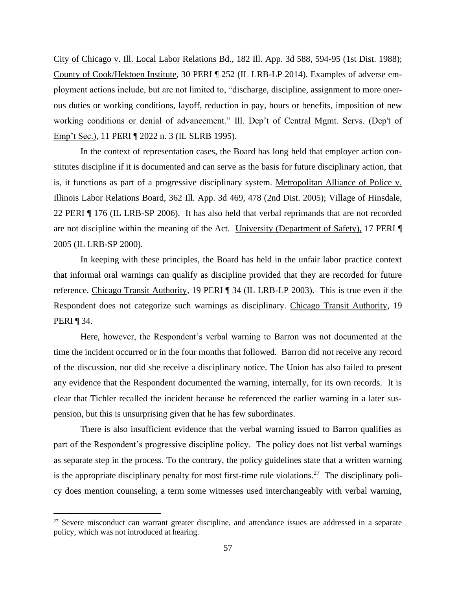City of Chicago v. Ill. Local Labor Relations Bd., 182 Ill. App. 3d 588, 594-95 (1st Dist. 1988); County of Cook/Hektoen Institute, 30 PERI ¶ 252 (IL LRB-LP 2014). Examples of adverse employment actions include, but are not limited to, "discharge, discipline, assignment to more onerous duties or working conditions, layoff, reduction in pay, hours or benefits, imposition of new working conditions or denial of advancement." Ill. Dep't of Central Mgmt. Servs. (Dep't of Emp't Sec.), 11 PERI ¶ 2022 n. 3 (IL SLRB 1995).

In the context of representation cases, the Board has long held that employer action constitutes discipline if it is documented and can serve as the basis for future disciplinary action, that is, it functions as part of a progressive disciplinary system. Metropolitan Alliance of Police v. Illinois Labor Relations Board, 362 Ill. App. 3d 469, 478 (2nd Dist. 2005); Village of Hinsdale, 22 PERI ¶ 176 (IL LRB-SP 2006). It has also held that verbal reprimands that are not recorded are not discipline within the meaning of the Act. University (Department of Safety), 17 PERI ¶ 2005 (IL LRB-SP 2000).

In keeping with these principles, the Board has held in the unfair labor practice context that informal oral warnings can qualify as discipline provided that they are recorded for future reference. Chicago Transit Authority, 19 PERI ¶ 34 (IL LRB-LP 2003). This is true even if the Respondent does not categorize such warnings as disciplinary. Chicago Transit Authority, 19 PERI ¶ 34.

Here, however, the Respondent's verbal warning to Barron was not documented at the time the incident occurred or in the four months that followed. Barron did not receive any record of the discussion, nor did she receive a disciplinary notice. The Union has also failed to present any evidence that the Respondent documented the warning, internally, for its own records. It is clear that Tichler recalled the incident because he referenced the earlier warning in a later suspension, but this is unsurprising given that he has few subordinates.

There is also insufficient evidence that the verbal warning issued to Barron qualifies as part of the Respondent's progressive discipline policy. The policy does not list verbal warnings as separate step in the process. To the contrary, the policy guidelines state that a written warning is the appropriate disciplinary penalty for most first-time rule violations.<sup>27</sup> The disciplinary policy does mention counseling, a term some witnesses used interchangeably with verbal warning,

<sup>&</sup>lt;sup>27</sup> Severe misconduct can warrant greater discipline, and attendance issues are addressed in a separate policy, which was not introduced at hearing.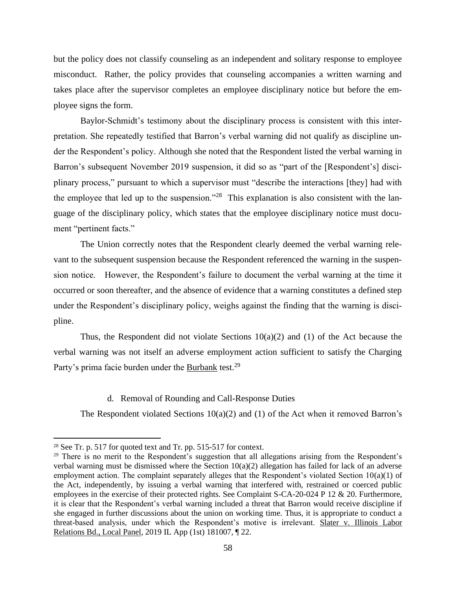but the policy does not classify counseling as an independent and solitary response to employee misconduct. Rather, the policy provides that counseling accompanies a written warning and takes place after the supervisor completes an employee disciplinary notice but before the employee signs the form.

Baylor-Schmidt's testimony about the disciplinary process is consistent with this interpretation. She repeatedly testified that Barron's verbal warning did not qualify as discipline under the Respondent's policy. Although she noted that the Respondent listed the verbal warning in Barron's subsequent November 2019 suspension, it did so as "part of the [Respondent's] disciplinary process," pursuant to which a supervisor must "describe the interactions [they] had with the employee that led up to the suspension."<sup>28</sup> This explanation is also consistent with the language of the disciplinary policy, which states that the employee disciplinary notice must document "pertinent facts."

The Union correctly notes that the Respondent clearly deemed the verbal warning relevant to the subsequent suspension because the Respondent referenced the warning in the suspension notice. However, the Respondent's failure to document the verbal warning at the time it occurred or soon thereafter, and the absence of evidence that a warning constitutes a defined step under the Respondent's disciplinary policy, weighs against the finding that the warning is discipline.

Thus, the Respondent did not violate Sections  $10(a)(2)$  and (1) of the Act because the verbal warning was not itself an adverse employment action sufficient to satisfy the Charging Party's prima facie burden under the Burbank test.<sup>29</sup>

## d. Removal of Rounding and Call-Response Duties

The Respondent violated Sections  $10(a)(2)$  and  $(1)$  of the Act when it removed Barron's

<sup>28</sup> See Tr. p. 517 for quoted text and Tr. pp. 515-517 for context.

<sup>&</sup>lt;sup>29</sup> There is no merit to the Respondent's suggestion that all allegations arising from the Respondent's verbal warning must be dismissed where the Section  $10(a)(2)$  allegation has failed for lack of an adverse employment action. The complaint separately alleges that the Respondent's violated Section 10(a)(1) of the Act, independently, by issuing a verbal warning that interfered with, restrained or coerced public employees in the exercise of their protected rights. See Complaint S-CA-20-024 P 12 & 20. Furthermore, it is clear that the Respondent's verbal warning included a threat that Barron would receive discipline if she engaged in further discussions about the union on working time. Thus, it is appropriate to conduct a threat-based analysis, under which the Respondent's motive is irrelevant. Slater v. Illinois Labor Relations Bd., Local Panel, 2019 IL App (1st) 181007, ¶ 22.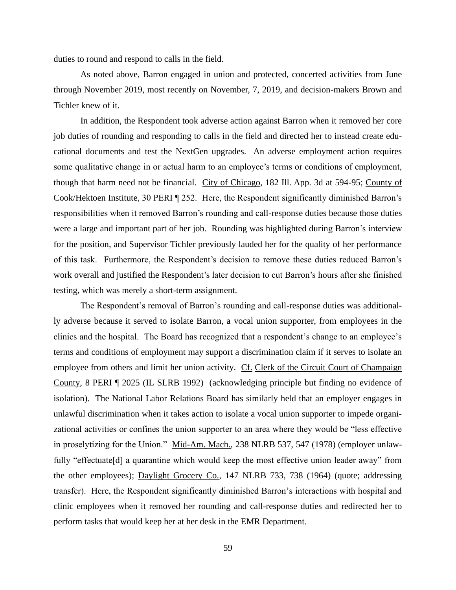duties to round and respond to calls in the field.

As noted above, Barron engaged in union and protected, concerted activities from June through November 2019, most recently on November, 7, 2019, and decision-makers Brown and Tichler knew of it.

In addition, the Respondent took adverse action against Barron when it removed her core job duties of rounding and responding to calls in the field and directed her to instead create educational documents and test the NextGen upgrades. An adverse employment action requires some qualitative change in or actual harm to an employee's terms or conditions of employment, though that harm need not be financial. City of Chicago, 182 Ill. App. 3d at 594-95; County of Cook/Hektoen Institute, 30 PERI ¶ 252. Here, the Respondent significantly diminished Barron's responsibilities when it removed Barron's rounding and call-response duties because those duties were a large and important part of her job. Rounding was highlighted during Barron's interview for the position, and Supervisor Tichler previously lauded her for the quality of her performance of this task. Furthermore, the Respondent's decision to remove these duties reduced Barron's work overall and justified the Respondent's later decision to cut Barron's hours after she finished testing, which was merely a short-term assignment.

The Respondent's removal of Barron's rounding and call-response duties was additionally adverse because it served to isolate Barron, a vocal union supporter, from employees in the clinics and the hospital. The Board has recognized that a respondent's change to an employee's terms and conditions of employment may support a discrimination claim if it serves to isolate an employee from others and limit her union activity. Cf. Clerk of the Circuit Court of Champaign County, 8 PERI ¶ 2025 (IL SLRB 1992) (acknowledging principle but finding no evidence of isolation). The National Labor Relations Board has similarly held that an employer engages in unlawful discrimination when it takes action to isolate a vocal union supporter to impede organizational activities or confines the union supporter to an area where they would be "less effective in proselytizing for the Union." Mid-Am. Mach., 238 NLRB 537, 547 (1978) (employer unlawfully "effectuate[d] a quarantine which would keep the most effective union leader away" from the other employees); Daylight Grocery Co., 147 NLRB 733, 738 (1964) (quote; addressing transfer). Here, the Respondent significantly diminished Barron's interactions with hospital and clinic employees when it removed her rounding and call-response duties and redirected her to perform tasks that would keep her at her desk in the EMR Department.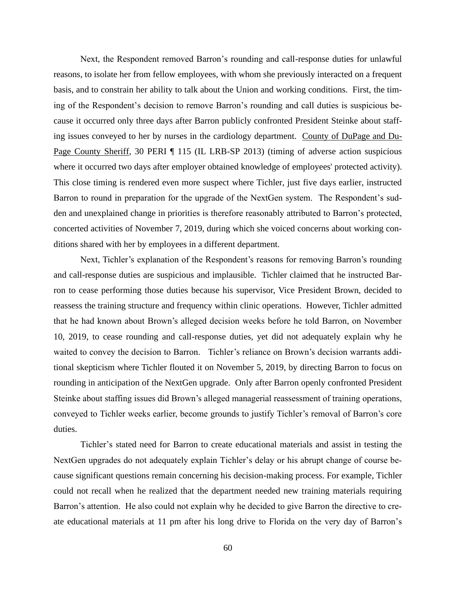Next, the Respondent removed Barron's rounding and call-response duties for unlawful reasons, to isolate her from fellow employees, with whom she previously interacted on a frequent basis, and to constrain her ability to talk about the Union and working conditions. First, the timing of the Respondent's decision to remove Barron's rounding and call duties is suspicious because it occurred only three days after Barron publicly confronted President Steinke about staffing issues conveyed to her by nurses in the cardiology department. County of DuPage and Du-Page County Sheriff, 30 PERI ¶ 115 (IL LRB-SP 2013) (timing of adverse action suspicious where it occurred two days after employer obtained knowledge of employees' protected activity). This close timing is rendered even more suspect where Tichler, just five days earlier, instructed Barron to round in preparation for the upgrade of the NextGen system. The Respondent's sudden and unexplained change in priorities is therefore reasonably attributed to Barron's protected, concerted activities of November 7, 2019, during which she voiced concerns about working conditions shared with her by employees in a different department.

Next, Tichler's explanation of the Respondent's reasons for removing Barron's rounding and call-response duties are suspicious and implausible. Tichler claimed that he instructed Barron to cease performing those duties because his supervisor, Vice President Brown, decided to reassess the training structure and frequency within clinic operations. However, Tichler admitted that he had known about Brown's alleged decision weeks before he told Barron, on November 10, 2019, to cease rounding and call-response duties, yet did not adequately explain why he waited to convey the decision to Barron. Tichler's reliance on Brown's decision warrants additional skepticism where Tichler flouted it on November 5, 2019, by directing Barron to focus on rounding in anticipation of the NextGen upgrade. Only after Barron openly confronted President Steinke about staffing issues did Brown's alleged managerial reassessment of training operations, conveyed to Tichler weeks earlier, become grounds to justify Tichler's removal of Barron's core duties.

Tichler's stated need for Barron to create educational materials and assist in testing the NextGen upgrades do not adequately explain Tichler's delay or his abrupt change of course because significant questions remain concerning his decision-making process. For example, Tichler could not recall when he realized that the department needed new training materials requiring Barron's attention. He also could not explain why he decided to give Barron the directive to create educational materials at 11 pm after his long drive to Florida on the very day of Barron's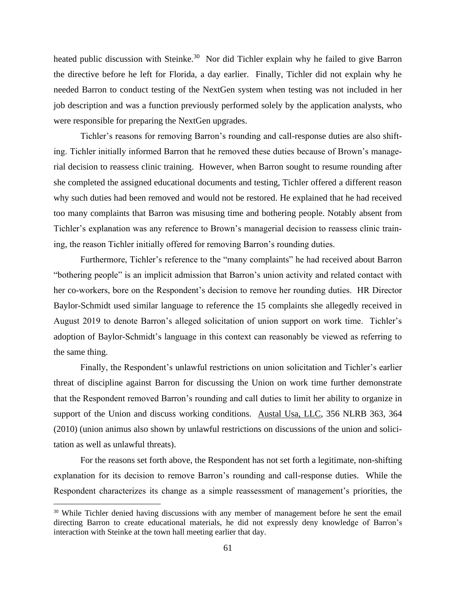heated public discussion with Steinke.<sup>30</sup> Nor did Tichler explain why he failed to give Barron the directive before he left for Florida, a day earlier. Finally, Tichler did not explain why he needed Barron to conduct testing of the NextGen system when testing was not included in her job description and was a function previously performed solely by the application analysts, who were responsible for preparing the NextGen upgrades.

Tichler's reasons for removing Barron's rounding and call-response duties are also shifting. Tichler initially informed Barron that he removed these duties because of Brown's managerial decision to reassess clinic training. However, when Barron sought to resume rounding after she completed the assigned educational documents and testing, Tichler offered a different reason why such duties had been removed and would not be restored. He explained that he had received too many complaints that Barron was misusing time and bothering people. Notably absent from Tichler's explanation was any reference to Brown's managerial decision to reassess clinic training, the reason Tichler initially offered for removing Barron's rounding duties.

Furthermore, Tichler's reference to the "many complaints" he had received about Barron "bothering people" is an implicit admission that Barron's union activity and related contact with her co-workers, bore on the Respondent's decision to remove her rounding duties. HR Director Baylor-Schmidt used similar language to reference the 15 complaints she allegedly received in August 2019 to denote Barron's alleged solicitation of union support on work time. Tichler's adoption of Baylor-Schmidt's language in this context can reasonably be viewed as referring to the same thing.

Finally, the Respondent's unlawful restrictions on union solicitation and Tichler's earlier threat of discipline against Barron for discussing the Union on work time further demonstrate that the Respondent removed Barron's rounding and call duties to limit her ability to organize in support of the Union and discuss working conditions. Austal Usa, LLC, 356 NLRB 363, 364 (2010) (union animus also shown by unlawful restrictions on discussions of the union and solicitation as well as unlawful threats).

For the reasons set forth above, the Respondent has not set forth a legitimate, non-shifting explanation for its decision to remove Barron's rounding and call-response duties. While the Respondent characterizes its change as a simple reassessment of management's priorities, the

<sup>&</sup>lt;sup>30</sup> While Tichler denied having discussions with any member of management before he sent the email directing Barron to create educational materials, he did not expressly deny knowledge of Barron's interaction with Steinke at the town hall meeting earlier that day.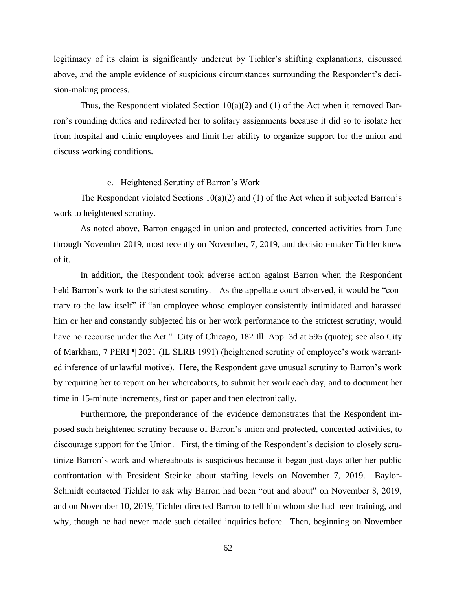legitimacy of its claim is significantly undercut by Tichler's shifting explanations, discussed above, and the ample evidence of suspicious circumstances surrounding the Respondent's decision-making process.

Thus, the Respondent violated Section  $10(a)(2)$  and (1) of the Act when it removed Barron's rounding duties and redirected her to solitary assignments because it did so to isolate her from hospital and clinic employees and limit her ability to organize support for the union and discuss working conditions.

#### e. Heightened Scrutiny of Barron's Work

The Respondent violated Sections  $10(a)(2)$  and (1) of the Act when it subjected Barron's work to heightened scrutiny.

As noted above, Barron engaged in union and protected, concerted activities from June through November 2019, most recently on November, 7, 2019, and decision-maker Tichler knew of it.

In addition, the Respondent took adverse action against Barron when the Respondent held Barron's work to the strictest scrutiny. As the appellate court observed, it would be "contrary to the law itself" if "an employee whose employer consistently intimidated and harassed him or her and constantly subjected his or her work performance to the strictest scrutiny, would have no recourse under the Act." City of Chicago, 182 Ill. App. 3d at 595 (quote); <u>see also City</u> of Markham, 7 PERI ¶ 2021 (IL SLRB 1991) (heightened scrutiny of employee's work warranted inference of unlawful motive). Here, the Respondent gave unusual scrutiny to Barron's work by requiring her to report on her whereabouts, to submit her work each day, and to document her time in 15-minute increments, first on paper and then electronically.

Furthermore, the preponderance of the evidence demonstrates that the Respondent imposed such heightened scrutiny because of Barron's union and protected, concerted activities, to discourage support for the Union. First, the timing of the Respondent's decision to closely scrutinize Barron's work and whereabouts is suspicious because it began just days after her public confrontation with President Steinke about staffing levels on November 7, 2019. Baylor-Schmidt contacted Tichler to ask why Barron had been "out and about" on November 8, 2019, and on November 10, 2019, Tichler directed Barron to tell him whom she had been training, and why, though he had never made such detailed inquiries before. Then, beginning on November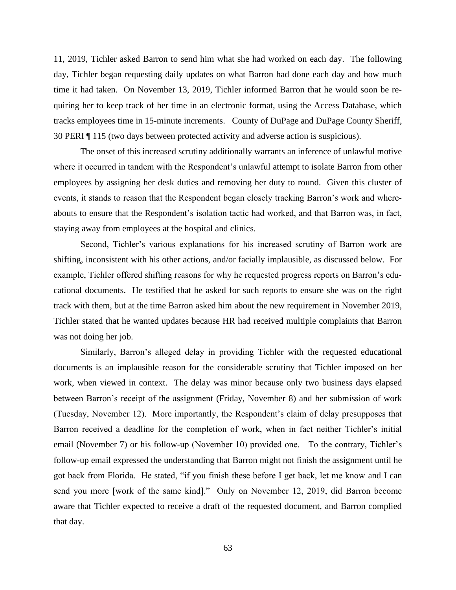11, 2019, Tichler asked Barron to send him what she had worked on each day. The following day, Tichler began requesting daily updates on what Barron had done each day and how much time it had taken. On November 13, 2019, Tichler informed Barron that he would soon be requiring her to keep track of her time in an electronic format, using the Access Database, which tracks employees time in 15-minute increments. County of DuPage and DuPage County Sheriff, 30 PERI ¶ 115 (two days between protected activity and adverse action is suspicious).

The onset of this increased scrutiny additionally warrants an inference of unlawful motive where it occurred in tandem with the Respondent's unlawful attempt to isolate Barron from other employees by assigning her desk duties and removing her duty to round. Given this cluster of events, it stands to reason that the Respondent began closely tracking Barron's work and whereabouts to ensure that the Respondent's isolation tactic had worked, and that Barron was, in fact, staying away from employees at the hospital and clinics.

Second, Tichler's various explanations for his increased scrutiny of Barron work are shifting, inconsistent with his other actions, and/or facially implausible, as discussed below. For example, Tichler offered shifting reasons for why he requested progress reports on Barron's educational documents. He testified that he asked for such reports to ensure she was on the right track with them, but at the time Barron asked him about the new requirement in November 2019, Tichler stated that he wanted updates because HR had received multiple complaints that Barron was not doing her job.

Similarly, Barron's alleged delay in providing Tichler with the requested educational documents is an implausible reason for the considerable scrutiny that Tichler imposed on her work, when viewed in context. The delay was minor because only two business days elapsed between Barron's receipt of the assignment (Friday, November 8) and her submission of work (Tuesday, November 12). More importantly, the Respondent's claim of delay presupposes that Barron received a deadline for the completion of work, when in fact neither Tichler's initial email (November 7) or his follow-up (November 10) provided one. To the contrary, Tichler's follow-up email expressed the understanding that Barron might not finish the assignment until he got back from Florida. He stated, "if you finish these before I get back, let me know and I can send you more [work of the same kind]." Only on November 12, 2019, did Barron become aware that Tichler expected to receive a draft of the requested document, and Barron complied that day.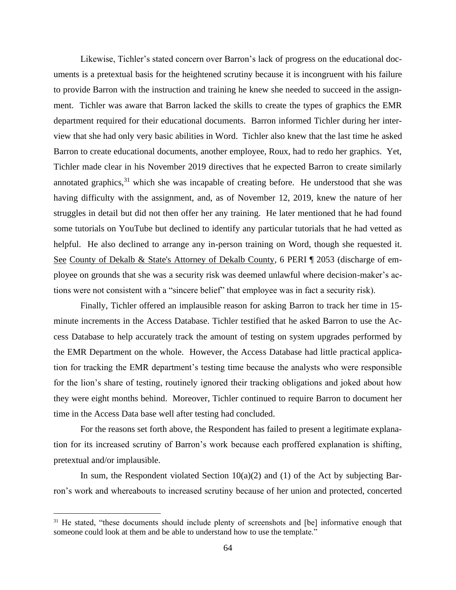Likewise, Tichler's stated concern over Barron's lack of progress on the educational documents is a pretextual basis for the heightened scrutiny because it is incongruent with his failure to provide Barron with the instruction and training he knew she needed to succeed in the assignment. Tichler was aware that Barron lacked the skills to create the types of graphics the EMR department required for their educational documents. Barron informed Tichler during her interview that she had only very basic abilities in Word. Tichler also knew that the last time he asked Barron to create educational documents, another employee, Roux, had to redo her graphics. Yet, Tichler made clear in his November 2019 directives that he expected Barron to create similarly annotated graphics, $31$  which she was incapable of creating before. He understood that she was having difficulty with the assignment, and, as of November 12, 2019, knew the nature of her struggles in detail but did not then offer her any training. He later mentioned that he had found some tutorials on YouTube but declined to identify any particular tutorials that he had vetted as helpful. He also declined to arrange any in-person training on Word, though she requested it. See County of Dekalb & State's Attorney of Dekalb County, 6 PERI ¶ 2053 (discharge of employee on grounds that she was a security risk was deemed unlawful where decision-maker's actions were not consistent with a "sincere belief" that employee was in fact a security risk).

Finally, Tichler offered an implausible reason for asking Barron to track her time in 15 minute increments in the Access Database. Tichler testified that he asked Barron to use the Access Database to help accurately track the amount of testing on system upgrades performed by the EMR Department on the whole. However, the Access Database had little practical application for tracking the EMR department's testing time because the analysts who were responsible for the lion's share of testing, routinely ignored their tracking obligations and joked about how they were eight months behind. Moreover, Tichler continued to require Barron to document her time in the Access Data base well after testing had concluded.

For the reasons set forth above, the Respondent has failed to present a legitimate explanation for its increased scrutiny of Barron's work because each proffered explanation is shifting, pretextual and/or implausible.

In sum, the Respondent violated Section  $10(a)(2)$  and (1) of the Act by subjecting Barron's work and whereabouts to increased scrutiny because of her union and protected, concerted

<sup>&</sup>lt;sup>31</sup> He stated, "these documents should include plenty of screenshots and [be] informative enough that someone could look at them and be able to understand how to use the template."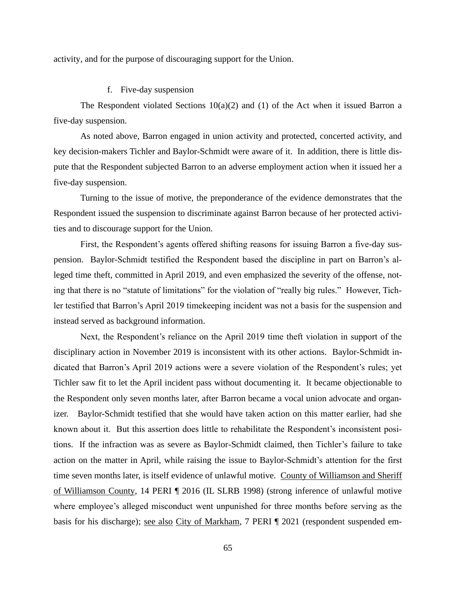activity, and for the purpose of discouraging support for the Union.

## f. Five-day suspension

The Respondent violated Sections  $10(a)(2)$  and (1) of the Act when it issued Barron a five-day suspension.

As noted above, Barron engaged in union activity and protected, concerted activity, and key decision-makers Tichler and Baylor-Schmidt were aware of it. In addition, there is little dispute that the Respondent subjected Barron to an adverse employment action when it issued her a five-day suspension.

Turning to the issue of motive, the preponderance of the evidence demonstrates that the Respondent issued the suspension to discriminate against Barron because of her protected activities and to discourage support for the Union.

First, the Respondent's agents offered shifting reasons for issuing Barron a five-day suspension. Baylor-Schmidt testified the Respondent based the discipline in part on Barron's alleged time theft, committed in April 2019, and even emphasized the severity of the offense, noting that there is no "statute of limitations" for the violation of "really big rules." However, Tichler testified that Barron's April 2019 timekeeping incident was not a basis for the suspension and instead served as background information.

Next, the Respondent's reliance on the April 2019 time theft violation in support of the disciplinary action in November 2019 is inconsistent with its other actions. Baylor-Schmidt indicated that Barron's April 2019 actions were a severe violation of the Respondent's rules; yet Tichler saw fit to let the April incident pass without documenting it. It became objectionable to the Respondent only seven months later, after Barron became a vocal union advocate and organizer. Baylor-Schmidt testified that she would have taken action on this matter earlier, had she known about it. But this assertion does little to rehabilitate the Respondent's inconsistent positions. If the infraction was as severe as Baylor-Schmidt claimed, then Tichler's failure to take action on the matter in April, while raising the issue to Baylor-Schmidt's attention for the first time seven months later, is itself evidence of unlawful motive. County of Williamson and Sheriff of Williamson County, 14 PERI ¶ 2016 (IL SLRB 1998) (strong inference of unlawful motive where employee's alleged misconduct went unpunished for three months before serving as the basis for his discharge); see also City of Markham, 7 PERI ¶ 2021 (respondent suspended em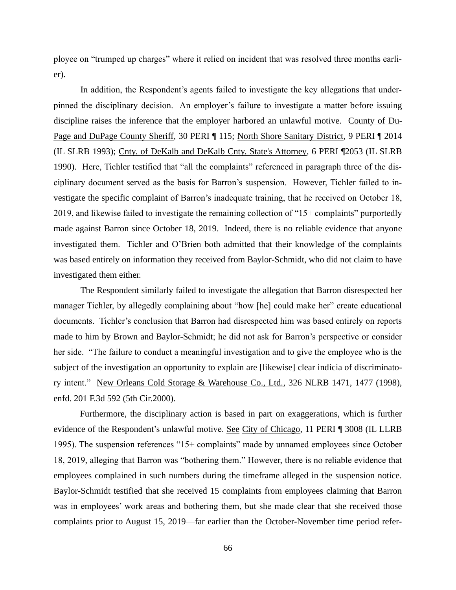ployee on "trumped up charges" where it relied on incident that was resolved three months earlier).

In addition, the Respondent's agents failed to investigate the key allegations that underpinned the disciplinary decision. An employer's failure to investigate a matter before issuing discipline raises the inference that the employer harbored an unlawful motive. County of Du-Page and DuPage County Sheriff, 30 PERI ¶ 115; North Shore Sanitary District, 9 PERI ¶ 2014 (IL SLRB 1993); Cnty. of DeKalb and DeKalb Cnty. State's Attorney, 6 PERI ¶2053 (IL SLRB 1990). Here, Tichler testified that "all the complaints" referenced in paragraph three of the disciplinary document served as the basis for Barron's suspension. However, Tichler failed to investigate the specific complaint of Barron's inadequate training, that he received on October 18, 2019, and likewise failed to investigate the remaining collection of "15+ complaints" purportedly made against Barron since October 18, 2019. Indeed, there is no reliable evidence that anyone investigated them. Tichler and O'Brien both admitted that their knowledge of the complaints was based entirely on information they received from Baylor-Schmidt, who did not claim to have investigated them either.

The Respondent similarly failed to investigate the allegation that Barron disrespected her manager Tichler, by allegedly complaining about "how [he] could make her" create educational documents. Tichler's conclusion that Barron had disrespected him was based entirely on reports made to him by Brown and Baylor-Schmidt; he did not ask for Barron's perspective or consider her side. "The failure to conduct a meaningful investigation and to give the employee who is the subject of the investigation an opportunity to explain are [likewise] clear indicia of discriminatory intent." New Orleans Cold Storage & Warehouse Co., Ltd., 326 NLRB 1471, 1477 (1998), enfd. 201 F.3d 592 (5th Cir.2000).

Furthermore, the disciplinary action is based in part on exaggerations, which is further evidence of the Respondent's unlawful motive. See City of Chicago, 11 PERI ¶ 3008 (IL LLRB 1995). The suspension references "15+ complaints" made by unnamed employees since October 18, 2019, alleging that Barron was "bothering them." However, there is no reliable evidence that employees complained in such numbers during the timeframe alleged in the suspension notice. Baylor-Schmidt testified that she received 15 complaints from employees claiming that Barron was in employees' work areas and bothering them, but she made clear that she received those complaints prior to August 15, 2019—far earlier than the October-November time period refer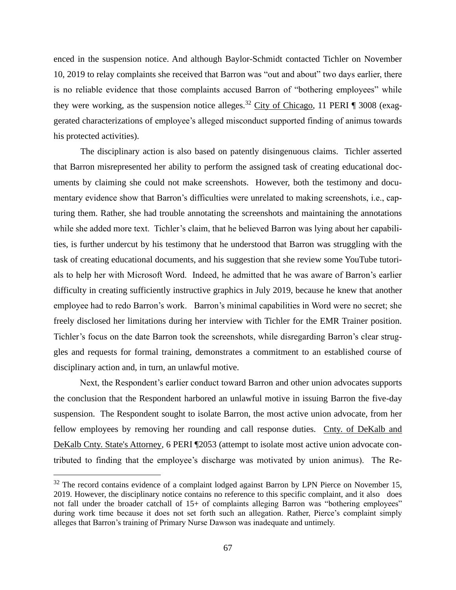enced in the suspension notice. And although Baylor-Schmidt contacted Tichler on November 10, 2019 to relay complaints she received that Barron was "out and about" two days earlier, there is no reliable evidence that those complaints accused Barron of "bothering employees" while they were working, as the suspension notice alleges.<sup>32</sup> City of Chicago, 11 PERI ¶ 3008 (exaggerated characterizations of employee's alleged misconduct supported finding of animus towards his protected activities).

The disciplinary action is also based on patently disingenuous claims. Tichler asserted that Barron misrepresented her ability to perform the assigned task of creating educational documents by claiming she could not make screenshots. However, both the testimony and documentary evidence show that Barron's difficulties were unrelated to making screenshots, i.e., capturing them. Rather, she had trouble annotating the screenshots and maintaining the annotations while she added more text. Tichler's claim, that he believed Barron was lying about her capabilities, is further undercut by his testimony that he understood that Barron was struggling with the task of creating educational documents, and his suggestion that she review some YouTube tutorials to help her with Microsoft Word. Indeed, he admitted that he was aware of Barron's earlier difficulty in creating sufficiently instructive graphics in July 2019, because he knew that another employee had to redo Barron's work. Barron's minimal capabilities in Word were no secret; she freely disclosed her limitations during her interview with Tichler for the EMR Trainer position. Tichler's focus on the date Barron took the screenshots, while disregarding Barron's clear struggles and requests for formal training, demonstrates a commitment to an established course of disciplinary action and, in turn, an unlawful motive.

Next, the Respondent's earlier conduct toward Barron and other union advocates supports the conclusion that the Respondent harbored an unlawful motive in issuing Barron the five-day suspension. The Respondent sought to isolate Barron, the most active union advocate, from her fellow employees by removing her rounding and call response duties. Cnty. of DeKalb and DeKalb Cnty. State's Attorney, 6 PERI ¶2053 (attempt to isolate most active union advocate contributed to finding that the employee's discharge was motivated by union animus). The Re-

 $32$  The record contains evidence of a complaint lodged against Barron by LPN Pierce on November 15, 2019. However, the disciplinary notice contains no reference to this specific complaint, and it also does not fall under the broader catchall of 15+ of complaints alleging Barron was "bothering employees" during work time because it does not set forth such an allegation. Rather, Pierce's complaint simply alleges that Barron's training of Primary Nurse Dawson was inadequate and untimely.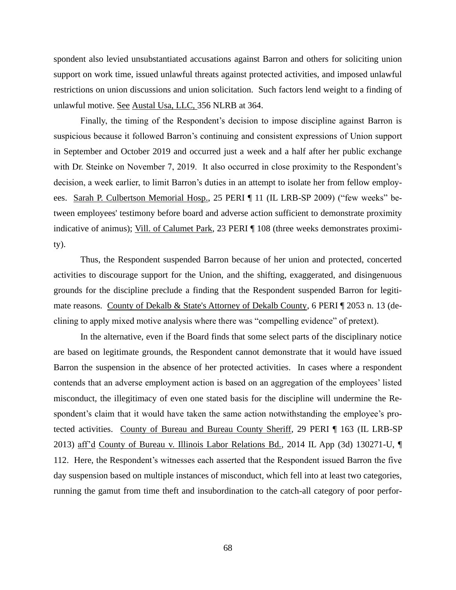spondent also levied unsubstantiated accusations against Barron and others for soliciting union support on work time, issued unlawful threats against protected activities, and imposed unlawful restrictions on union discussions and union solicitation. Such factors lend weight to a finding of unlawful motive. See Austal Usa, LLC, 356 NLRB at 364.

Finally, the timing of the Respondent's decision to impose discipline against Barron is suspicious because it followed Barron's continuing and consistent expressions of Union support in September and October 2019 and occurred just a week and a half after her public exchange with Dr. Steinke on November 7, 2019. It also occurred in close proximity to the Respondent's decision, a week earlier, to limit Barron's duties in an attempt to isolate her from fellow employees. Sarah P. Culbertson Memorial Hosp., 25 PERI ¶ 11 (IL LRB-SP 2009) ("few weeks" between employees' testimony before board and adverse action sufficient to demonstrate proximity indicative of animus); Vill. of Calumet Park, 23 PERI | 108 (three weeks demonstrates proximity).

Thus, the Respondent suspended Barron because of her union and protected, concerted activities to discourage support for the Union, and the shifting, exaggerated, and disingenuous grounds for the discipline preclude a finding that the Respondent suspended Barron for legitimate reasons. County of Dekalb & State's Attorney of Dekalb County, 6 PERI [ 2053 n. 13 (declining to apply mixed motive analysis where there was "compelling evidence" of pretext).

In the alternative, even if the Board finds that some select parts of the disciplinary notice are based on legitimate grounds, the Respondent cannot demonstrate that it would have issued Barron the suspension in the absence of her protected activities. In cases where a respondent contends that an adverse employment action is based on an aggregation of the employees' listed misconduct, the illegitimacy of even one stated basis for the discipline will undermine the Respondent's claim that it would have taken the same action notwithstanding the employee's protected activities. County of Bureau and Bureau County Sheriff, 29 PERI ¶ 163 (IL LRB-SP 2013) aff'd County of Bureau v. Illinois Labor Relations Bd., 2014 IL App (3d) 130271-U, ¶ 112. Here, the Respondent's witnesses each asserted that the Respondent issued Barron the five day suspension based on multiple instances of misconduct, which fell into at least two categories, running the gamut from time theft and insubordination to the catch-all category of poor perfor-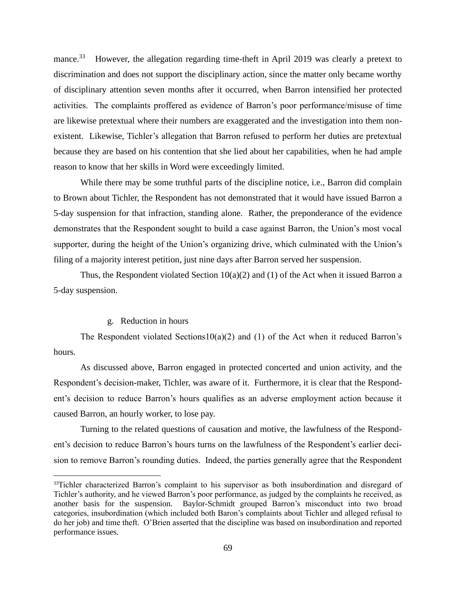mance.<sup>33</sup> However, the allegation regarding time-theft in April 2019 was clearly a pretext to discrimination and does not support the disciplinary action, since the matter only became worthy of disciplinary attention seven months after it occurred, when Barron intensified her protected activities. The complaints proffered as evidence of Barron's poor performance/misuse of time are likewise pretextual where their numbers are exaggerated and the investigation into them nonexistent. Likewise, Tichler's allegation that Barron refused to perform her duties are pretextual because they are based on his contention that she lied about her capabilities, when he had ample reason to know that her skills in Word were exceedingly limited.

While there may be some truthful parts of the discipline notice, i.e., Barron did complain to Brown about Tichler, the Respondent has not demonstrated that it would have issued Barron a 5-day suspension for that infraction, standing alone. Rather, the preponderance of the evidence demonstrates that the Respondent sought to build a case against Barron, the Union's most vocal supporter, during the height of the Union's organizing drive, which culminated with the Union's filing of a majority interest petition, just nine days after Barron served her suspension.

Thus, the Respondent violated Section  $10(a)(2)$  and (1) of the Act when it issued Barron a 5-day suspension.

## g. Reduction in hours

The Respondent violated Sections10(a)(2) and (1) of the Act when it reduced Barron's hours.

As discussed above, Barron engaged in protected concerted and union activity, and the Respondent's decision-maker, Tichler, was aware of it. Furthermore, it is clear that the Respondent's decision to reduce Barron's hours qualifies as an adverse employment action because it caused Barron, an hourly worker, to lose pay.

Turning to the related questions of causation and motive, the lawfulness of the Respondent's decision to reduce Barron's hours turns on the lawfulness of the Respondent's earlier decision to remove Barron's rounding duties. Indeed, the parties generally agree that the Respondent

<sup>&</sup>lt;sup>33</sup>Tichler characterized Barron's complaint to his supervisor as both insubordination and disregard of Tichler's authority, and he viewed Barron's poor performance, as judged by the complaints he received, as another basis for the suspension. Baylor-Schmidt grouped Barron's misconduct into two broad categories, insubordination (which included both Baron's complaints about Tichler and alleged refusal to do her job) and time theft. O'Brien asserted that the discipline was based on insubordination and reported performance issues.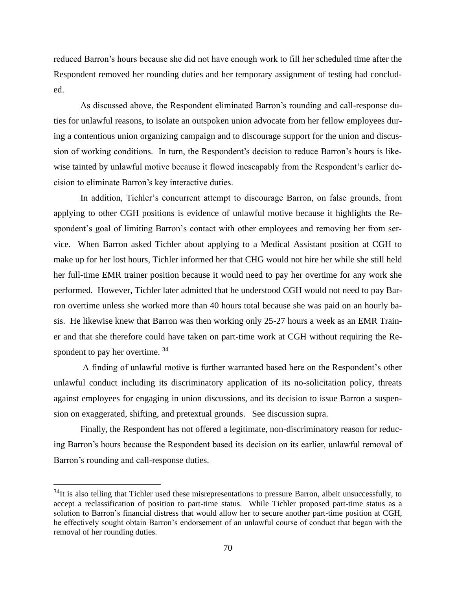reduced Barron's hours because she did not have enough work to fill her scheduled time after the Respondent removed her rounding duties and her temporary assignment of testing had concluded.

As discussed above, the Respondent eliminated Barron's rounding and call-response duties for unlawful reasons, to isolate an outspoken union advocate from her fellow employees during a contentious union organizing campaign and to discourage support for the union and discussion of working conditions. In turn, the Respondent's decision to reduce Barron's hours is likewise tainted by unlawful motive because it flowed inescapably from the Respondent's earlier decision to eliminate Barron's key interactive duties.

In addition, Tichler's concurrent attempt to discourage Barron, on false grounds, from applying to other CGH positions is evidence of unlawful motive because it highlights the Respondent's goal of limiting Barron's contact with other employees and removing her from service. When Barron asked Tichler about applying to a Medical Assistant position at CGH to make up for her lost hours, Tichler informed her that CHG would not hire her while she still held her full-time EMR trainer position because it would need to pay her overtime for any work she performed. However, Tichler later admitted that he understood CGH would not need to pay Barron overtime unless she worked more than 40 hours total because she was paid on an hourly basis. He likewise knew that Barron was then working only 25-27 hours a week as an EMR Trainer and that she therefore could have taken on part-time work at CGH without requiring the Respondent to pay her overtime.  $34$ 

A finding of unlawful motive is further warranted based here on the Respondent's other unlawful conduct including its discriminatory application of its no-solicitation policy, threats against employees for engaging in union discussions, and its decision to issue Barron a suspension on exaggerated, shifting, and pretextual grounds. See discussion supra.

Finally, the Respondent has not offered a legitimate, non-discriminatory reason for reducing Barron's hours because the Respondent based its decision on its earlier, unlawful removal of Barron's rounding and call-response duties.

 $34$ It is also telling that Tichler used these misrepresentations to pressure Barron, albeit unsuccessfully, to accept a reclassification of position to part-time status. While Tichler proposed part-time status as a solution to Barron's financial distress that would allow her to secure another part-time position at CGH, he effectively sought obtain Barron's endorsement of an unlawful course of conduct that began with the removal of her rounding duties.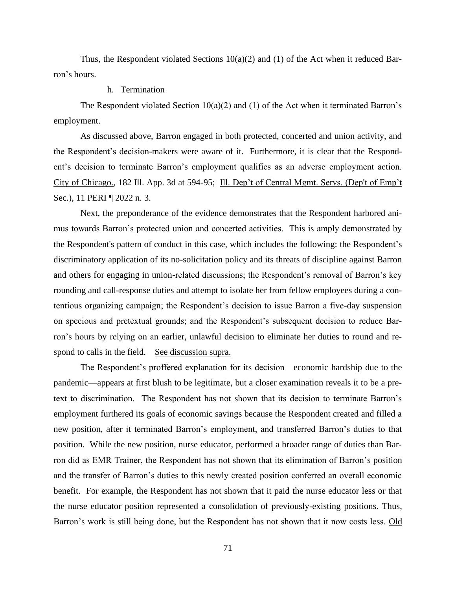Thus, the Respondent violated Sections  $10(a)(2)$  and (1) of the Act when it reduced Barron's hours.

## h. Termination

The Respondent violated Section  $10(a)(2)$  and (1) of the Act when it terminated Barron's employment.

As discussed above, Barron engaged in both protected, concerted and union activity, and the Respondent's decision-makers were aware of it. Furthermore, it is clear that the Respondent's decision to terminate Barron's employment qualifies as an adverse employment action. City of Chicago., 182 Ill. App. 3d at 594-95; Ill. Dep't of Central Mgmt. Servs. (Dep't of Emp't Sec.), 11 PERI ¶ 2022 n. 3.

Next, the preponderance of the evidence demonstrates that the Respondent harbored animus towards Barron's protected union and concerted activities. This is amply demonstrated by the Respondent's pattern of conduct in this case, which includes the following: the Respondent's discriminatory application of its no-solicitation policy and its threats of discipline against Barron and others for engaging in union-related discussions; the Respondent's removal of Barron's key rounding and call-response duties and attempt to isolate her from fellow employees during a contentious organizing campaign; the Respondent's decision to issue Barron a five-day suspension on specious and pretextual grounds; and the Respondent's subsequent decision to reduce Barron's hours by relying on an earlier, unlawful decision to eliminate her duties to round and respond to calls in the field. See discussion supra.

The Respondent's proffered explanation for its decision—economic hardship due to the pandemic—appears at first blush to be legitimate, but a closer examination reveals it to be a pretext to discrimination. The Respondent has not shown that its decision to terminate Barron's employment furthered its goals of economic savings because the Respondent created and filled a new position, after it terminated Barron's employment, and transferred Barron's duties to that position. While the new position, nurse educator, performed a broader range of duties than Barron did as EMR Trainer, the Respondent has not shown that its elimination of Barron's position and the transfer of Barron's duties to this newly created position conferred an overall economic benefit. For example, the Respondent has not shown that it paid the nurse educator less or that the nurse educator position represented a consolidation of previously-existing positions. Thus, Barron's work is still being done, but the Respondent has not shown that it now costs less. Old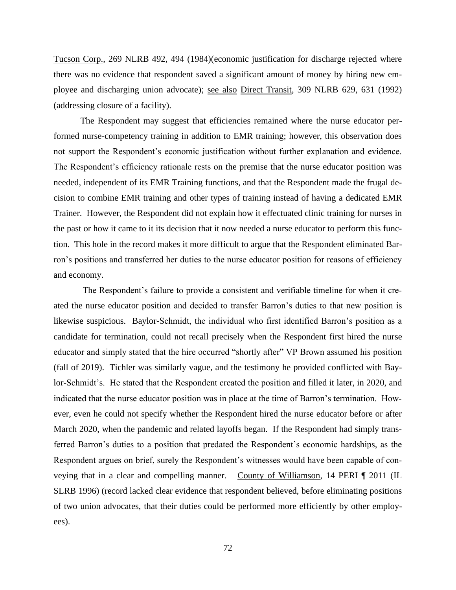Tucson Corp., 269 NLRB 492, 494 (1984)(economic justification for discharge rejected where there was no evidence that respondent saved a significant amount of money by hiring new employee and discharging union advocate); see also Direct Transit, 309 NLRB 629, 631 (1992) (addressing closure of a facility).

The Respondent may suggest that efficiencies remained where the nurse educator performed nurse-competency training in addition to EMR training; however, this observation does not support the Respondent's economic justification without further explanation and evidence. The Respondent's efficiency rationale rests on the premise that the nurse educator position was needed, independent of its EMR Training functions, and that the Respondent made the frugal decision to combine EMR training and other types of training instead of having a dedicated EMR Trainer. However, the Respondent did not explain how it effectuated clinic training for nurses in the past or how it came to it its decision that it now needed a nurse educator to perform this function. This hole in the record makes it more difficult to argue that the Respondent eliminated Barron's positions and transferred her duties to the nurse educator position for reasons of efficiency and economy.

The Respondent's failure to provide a consistent and verifiable timeline for when it created the nurse educator position and decided to transfer Barron's duties to that new position is likewise suspicious. Baylor-Schmidt, the individual who first identified Barron's position as a candidate for termination, could not recall precisely when the Respondent first hired the nurse educator and simply stated that the hire occurred "shortly after" VP Brown assumed his position (fall of 2019). Tichler was similarly vague, and the testimony he provided conflicted with Baylor-Schmidt's. He stated that the Respondent created the position and filled it later, in 2020, and indicated that the nurse educator position was in place at the time of Barron's termination. However, even he could not specify whether the Respondent hired the nurse educator before or after March 2020, when the pandemic and related layoffs began. If the Respondent had simply transferred Barron's duties to a position that predated the Respondent's economic hardships, as the Respondent argues on brief, surely the Respondent's witnesses would have been capable of conveying that in a clear and compelling manner. County of Williamson, 14 PERI ¶ 2011 (IL SLRB 1996) (record lacked clear evidence that respondent believed, before eliminating positions of two union advocates, that their duties could be performed more efficiently by other employees).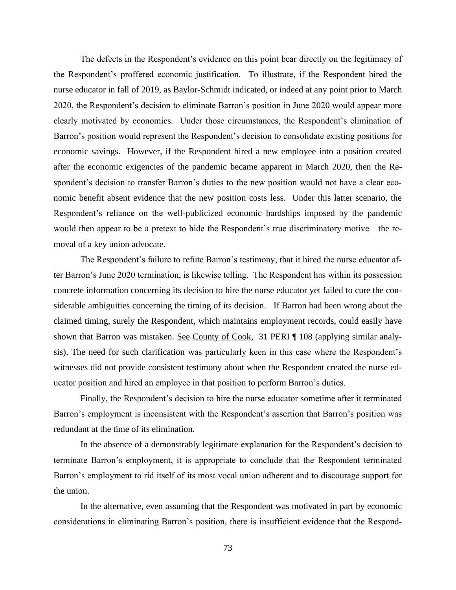The defects in the Respondent's evidence on this point bear directly on the legitimacy of the Respondent's proffered economic justification. To illustrate, if the Respondent hired the nurse educator in fall of 2019, as Baylor-Schmidt indicated, or indeed at any point prior to March 2020, the Respondent's decision to eliminate Barron's position in June 2020 would appear more clearly motivated by economics. Under those circumstances, the Respondent's elimination of Barron's position would represent the Respondent's decision to consolidate existing positions for economic savings. However, if the Respondent hired a new employee into a position created after the economic exigencies of the pandemic became apparent in March 2020, then the Respondent's decision to transfer Barron's duties to the new position would not have a clear economic benefit absent evidence that the new position costs less. Under this latter scenario, the Respondent's reliance on the well-publicized economic hardships imposed by the pandemic would then appear to be a pretext to hide the Respondent's true discriminatory motive—the removal of a key union advocate.

The Respondent's failure to refute Barron's testimony, that it hired the nurse educator after Barron's June 2020 termination, is likewise telling. The Respondent has within its possession concrete information concerning its decision to hire the nurse educator yet failed to cure the considerable ambiguities concerning the timing of its decision. If Barron had been wrong about the claimed timing, surely the Respondent, which maintains employment records, could easily have shown that Barron was mistaken. See County of Cook, 31 PERI ¶ 108 (applying similar analysis). The need for such clarification was particularly keen in this case where the Respondent's witnesses did not provide consistent testimony about when the Respondent created the nurse educator position and hired an employee in that position to perform Barron's duties.

Finally, the Respondent's decision to hire the nurse educator sometime after it terminated Barron's employment is inconsistent with the Respondent's assertion that Barron's position was redundant at the time of its elimination.

In the absence of a demonstrably legitimate explanation for the Respondent's decision to terminate Barron's employment, it is appropriate to conclude that the Respondent terminated Barron's employment to rid itself of its most vocal union adherent and to discourage support for the union.

In the alternative, even assuming that the Respondent was motivated in part by economic considerations in eliminating Barron's position, there is insufficient evidence that the Respond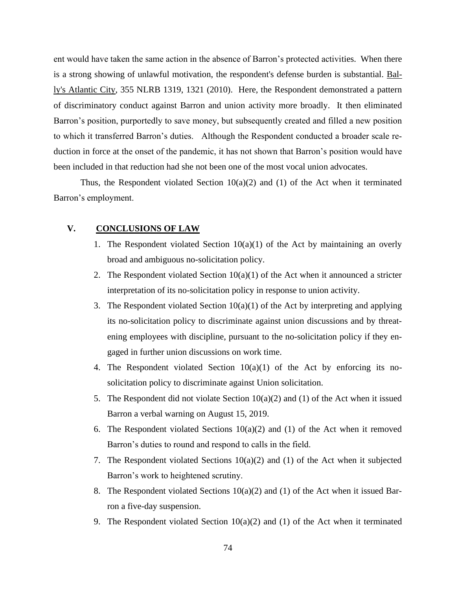ent would have taken the same action in the absence of Barron's protected activities. When there is a strong showing of unlawful motivation, the respondent's defense burden is substantial. Bally's Atlantic City, 355 NLRB 1319, 1321 (2010). Here, the Respondent demonstrated a pattern of discriminatory conduct against Barron and union activity more broadly. It then eliminated Barron's position, purportedly to save money, but subsequently created and filled a new position to which it transferred Barron's duties. Although the Respondent conducted a broader scale reduction in force at the onset of the pandemic, it has not shown that Barron's position would have been included in that reduction had she not been one of the most vocal union advocates.

Thus, the Respondent violated Section  $10(a)(2)$  and (1) of the Act when it terminated Barron's employment.

### **V. CONCLUSIONS OF LAW**

- 1. The Respondent violated Section  $10(a)(1)$  of the Act by maintaining an overly broad and ambiguous no-solicitation policy.
- 2. The Respondent violated Section  $10(a)(1)$  of the Act when it announced a stricter interpretation of its no-solicitation policy in response to union activity.
- 3. The Respondent violated Section  $10(a)(1)$  of the Act by interpreting and applying its no-solicitation policy to discriminate against union discussions and by threatening employees with discipline, pursuant to the no-solicitation policy if they engaged in further union discussions on work time.
- 4. The Respondent violated Section 10(a)(1) of the Act by enforcing its nosolicitation policy to discriminate against Union solicitation.
- 5. The Respondent did not violate Section  $10(a)(2)$  and (1) of the Act when it issued Barron a verbal warning on August 15, 2019.
- 6. The Respondent violated Sections  $10(a)(2)$  and (1) of the Act when it removed Barron's duties to round and respond to calls in the field.
- 7. The Respondent violated Sections 10(a)(2) and (1) of the Act when it subjected Barron's work to heightened scrutiny.
- 8. The Respondent violated Sections 10(a)(2) and (1) of the Act when it issued Barron a five-day suspension.
- 9. The Respondent violated Section  $10(a)(2)$  and (1) of the Act when it terminated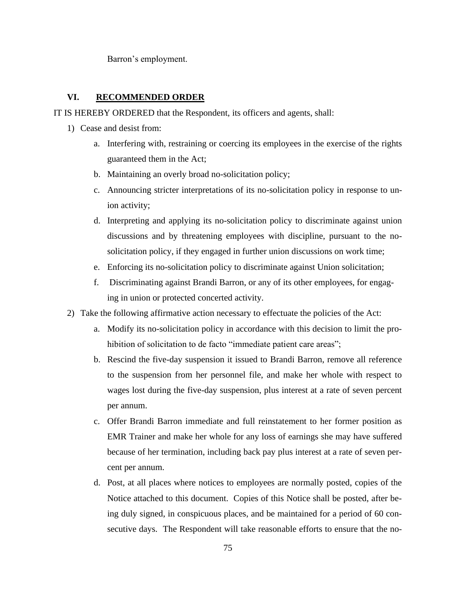Barron's employment.

### **VI. RECOMMENDED ORDER**

IT IS HEREBY ORDERED that the Respondent, its officers and agents, shall:

- 1) Cease and desist from:
	- a. Interfering with, restraining or coercing its employees in the exercise of the rights guaranteed them in the Act;
	- b. Maintaining an overly broad no-solicitation policy;
	- c. Announcing stricter interpretations of its no-solicitation policy in response to union activity;
	- d. Interpreting and applying its no-solicitation policy to discriminate against union discussions and by threatening employees with discipline, pursuant to the nosolicitation policy, if they engaged in further union discussions on work time;
	- e. Enforcing its no-solicitation policy to discriminate against Union solicitation;
	- f. Discriminating against Brandi Barron, or any of its other employees, for engaging in union or protected concerted activity.
- 2) Take the following affirmative action necessary to effectuate the policies of the Act:
	- a. Modify its no-solicitation policy in accordance with this decision to limit the prohibition of solicitation to de facto "immediate patient care areas";
	- b. Rescind the five-day suspension it issued to Brandi Barron, remove all reference to the suspension from her personnel file, and make her whole with respect to wages lost during the five-day suspension, plus interest at a rate of seven percent per annum.
	- c. Offer Brandi Barron immediate and full reinstatement to her former position as EMR Trainer and make her whole for any loss of earnings she may have suffered because of her termination, including back pay plus interest at a rate of seven percent per annum.
	- d. Post, at all places where notices to employees are normally posted, copies of the Notice attached to this document. Copies of this Notice shall be posted, after being duly signed, in conspicuous places, and be maintained for a period of 60 consecutive days. The Respondent will take reasonable efforts to ensure that the no-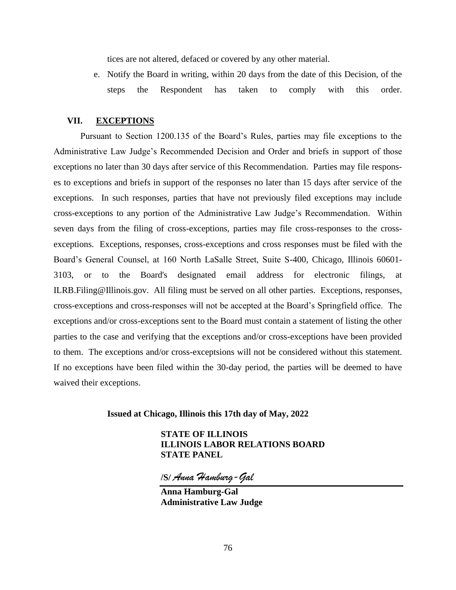tices are not altered, defaced or covered by any other material.

e. Notify the Board in writing, within 20 days from the date of this Decision, of the steps the Respondent has taken to comply with this order.

### **VII. EXCEPTIONS**

Pursuant to Section 1200.135 of the Board's Rules, parties may file exceptions to the Administrative Law Judge's Recommended Decision and Order and briefs in support of those exceptions no later than 30 days after service of this Recommendation. Parties may file responses to exceptions and briefs in support of the responses no later than 15 days after service of the exceptions. In such responses, parties that have not previously filed exceptions may include cross-exceptions to any portion of the Administrative Law Judge's Recommendation. Within seven days from the filing of cross-exceptions, parties may file cross-responses to the crossexceptions. Exceptions, responses, cross-exceptions and cross responses must be filed with the Board's General Counsel, at 160 North LaSalle Street, Suite S-400, Chicago, Illinois 60601- 3103, or to the Board's designated email address for electronic filings, at ILRB.Filing@Illinois.gov. All filing must be served on all other parties. Exceptions, responses, cross-exceptions and cross-responses will not be accepted at the Board's Springfield office. The exceptions and/or cross-exceptions sent to the Board must contain a statement of listing the other parties to the case and verifying that the exceptions and/or cross-exceptions have been provided to them. The exceptions and/or cross-exceptsions will not be considered without this statement. If no exceptions have been filed within the 30-day period, the parties will be deemed to have waived their exceptions.

#### **Issued at Chicago, Illinois this 17th day of May, 2022**

**STATE OF ILLINOIS ILLINOIS LABOR RELATIONS BOARD STATE PANEL** 

**/S/** *Anna Hamburg-Gal*

**Anna Hamburg-Gal Administrative Law Judge**